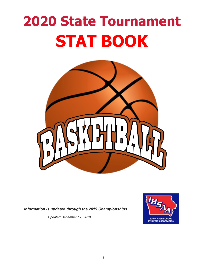# **2020 State Tournament STAT BOOK**



*Information is updated through the 2019 Championships*

*Updated December 17, 2019*

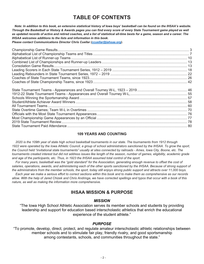### **TABLE OF CONTENTS**

 *Note: In addition to this book, an extensive statistical history of Iowa boys' basketball can be found on the IHSAA's website. Through the Basketball or History & Awards pages you can find every score of every State Tournament game played as well as updated records of active and retired coaches, and a list of statistical all-time bests for a game, season and a career. The IHSAA welcomes additions to the lists and information in this book.* 

*Please contact Communications Director Chris Cuellar [\(ccuellar@iahsaa.org\)](mailto:ccuellar@iahsaa.org).*

#### **109 YEARS AND COUNTING**

 *2020 is the 109th year of state high school basketball tournaments in our state. The tournaments from 1912 through 1922 were operated by the Iowa Athletic Council, a group of school administrators sanctioned by the IHSAA. To grow the sport, the Council held "invitational state tournaments" usually at sites connected by railroads - Ames, Iowa City, Boone, etc. The tournaments created interest but did not address issues like length of the season, number of games, eligibility, academic grade and age of the participants, etc. Thus, in 1923 the IHSAA assumed total control of the sport.*

 *For many years, basketball was the "gold standard" for the Association, generating enough revenue to offset the cost of salaries, operations, awards, and administering each of the other sports sanctioned by the IHSAA. Because of strong support of the administrators from the member schools, the sport, today still enjoys strong public support and attracts over 11,000 boys.*

 *Each year we make a serious effort to correct sections within this book and to make them as comprehensive as our records allow. With the help of Jared Chizek and Chris Andringa, we have corrected spellings and typos that occur with a book of this nature, as well as making the information more comprehensive.* 

#### **IHSAA MISSION & PURPOSE**

#### *MISSION*

"The Iowa High School Athletic Association serves its member schools and students by providing leadership and support for education based interscholastic athletics that enrich the educational experience of the student athlete."

#### *PURPOSE*

"To promote, develop, direct, protect, and regulate amateur interscholastic athletic relationships between member schools and to stimulate fair play, friendly rivalry, and good sportsmanship among contestants, schools, and communities throughout the state."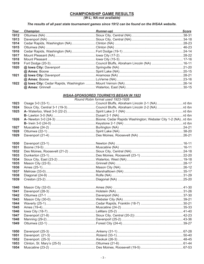## CHAMPIONSHIP GAME RESULTS<br>(W-L; NA-not available)

#### The results of all past state tournament games since 1912 can be found on the IHSAA website.

| Year | <b>Champion</b> | <b>Runner-up)</b> | <b>Score</b> |
|------|-----------------|-------------------|--------------|
| 1912 |                 |                   |              |
| 1913 |                 |                   |              |
| 1914 |                 |                   |              |
| 1915 |                 |                   |              |
| 1916 |                 |                   |              |
| 1917 |                 |                   |              |
| 1918 |                 |                   |              |
| 1919 |                 |                   |              |
| 1920 |                 |                   |              |
|      |                 |                   |              |
| 1921 |                 |                   |              |
|      |                 |                   |              |
| 1922 |                 |                   |              |
|      |                 |                   |              |

#### **IHSAA-SPONSORED TOURNEYS BEGAN IN 1923**

|      | Round Robin format used 1923-1926                                            |  |
|------|------------------------------------------------------------------------------|--|
| 1923 |                                                                              |  |
| 1924 | Sioux City, Central 3-1 (19-3)Council Bluffs, Abraham Lincoln 2-2 (NA)rd rbn |  |
| 1925 |                                                                              |  |
|      |                                                                              |  |
| 1926 |                                                                              |  |
|      |                                                                              |  |
| 1927 |                                                                              |  |
| 1928 |                                                                              |  |
| 1929 |                                                                              |  |
| 1930 |                                                                              |  |
| 1931 |                                                                              |  |
| 1932 |                                                                              |  |
| 1933 |                                                                              |  |
| 1934 |                                                                              |  |
| 1935 |                                                                              |  |
| 1936 |                                                                              |  |
| 1937 |                                                                              |  |
| 1938 |                                                                              |  |
| 1939 |                                                                              |  |
| 1940 |                                                                              |  |
| 1941 |                                                                              |  |
| 1942 |                                                                              |  |
| 1943 |                                                                              |  |
| 1944 |                                                                              |  |
| 1945 |                                                                              |  |
| 1946 |                                                                              |  |
| 1947 |                                                                              |  |
| 1948 |                                                                              |  |
| 1949 |                                                                              |  |
| 1950 |                                                                              |  |
| 1951 |                                                                              |  |
| 1952 |                                                                              |  |
| 1953 |                                                                              |  |
| 1954 |                                                                              |  |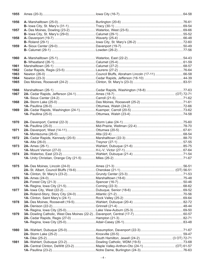| 1955 |                                    |                                                                                      | $.64 - 58$ |
|------|------------------------------------|--------------------------------------------------------------------------------------|------------|
| 1956 |                                    |                                                                                      |            |
|      |                                    |                                                                                      |            |
| 1957 |                                    |                                                                                      |            |
|      |                                    |                                                                                      |            |
| 1958 |                                    |                                                                                      |            |
|      |                                    | B- Roland (29-1) …………………………………………lowa City, St. Mary's (26-2) ……………………………………………72-60 |            |
| 1959 |                                    |                                                                                      |            |
|      |                                    |                                                                                      |            |
|      |                                    |                                                                                      |            |
| 1960 |                                    |                                                                                      |            |
|      |                                    |                                                                                      |            |
| 1961 |                                    |                                                                                      |            |
| 1962 |                                    |                                                                                      |            |
| 1963 |                                    | Council Bluffs, Abraham Lincoln (17-11)  66-58                                       |            |
| 1964 |                                    |                                                                                      |            |
| 1965 | Des Moines, Roosevelt (24-2)       |                                                                                      |            |
| 1966 |                                    |                                                                                      |            |
| 1967 | 2A- Cedar Rapids, Jefferson (24-1) |                                                                                      |            |
|      |                                    |                                                                                      |            |
| 1968 |                                    |                                                                                      |            |
|      |                                    |                                                                                      |            |
| 1969 |                                    |                                                                                      |            |
|      |                                    |                                                                                      |            |
|      |                                    |                                                                                      |            |
| 1970 |                                    |                                                                                      |            |
|      |                                    |                                                                                      |            |
| 1971 |                                    |                                                                                      |            |
|      |                                    |                                                                                      |            |
| 1972 | 2A- Cedar Rapids, Kennedy (20-5)   |                                                                                      |            |
|      |                                    |                                                                                      |            |
|      |                                    |                                                                                      |            |
| 1973 |                                    |                                                                                      |            |
|      |                                    |                                                                                      |            |
| 1974 |                                    |                                                                                      |            |
|      |                                    |                                                                                      |            |
| 1975 |                                    |                                                                                      |            |
|      |                                    |                                                                                      |            |
|      |                                    |                                                                                      |            |
| 1976 |                                    |                                                                                      |            |
|      |                                    |                                                                                      |            |
|      |                                    |                                                                                      |            |
| 1977 |                                    |                                                                                      |            |
|      |                                    |                                                                                      |            |
|      |                                    |                                                                                      |            |
| 1978 |                                    |                                                                                      |            |
|      |                                    |                                                                                      |            |
|      |                                    |                                                                                      |            |
| 1979 |                                    |                                                                                      |            |
|      |                                    |                                                                                      |            |
|      |                                    |                                                                                      |            |
|      |                                    |                                                                                      |            |
| 1980 |                                    |                                                                                      |            |
|      |                                    |                                                                                      |            |
|      |                                    |                                                                                      |            |
| 1981 |                                    |                                                                                      |            |
|      |                                    |                                                                                      |            |
|      |                                    |                                                                                      |            |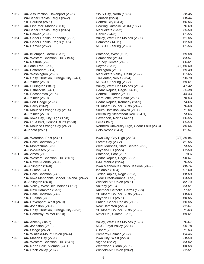| 1982 |                                         |                                                                                   |  |
|------|-----------------------------------------|-----------------------------------------------------------------------------------|--|
|      |                                         |                                                                                   |  |
|      |                                         |                                                                                   |  |
| 1983 |                                         |                                                                                   |  |
|      |                                         |                                                                                   |  |
|      |                                         |                                                                                   |  |
| 1984 |                                         |                                                                                   |  |
|      |                                         |                                                                                   |  |
|      |                                         |                                                                                   |  |
|      |                                         |                                                                                   |  |
| 1985 |                                         |                                                                                   |  |
|      |                                         |                                                                                   |  |
|      |                                         |                                                                                   |  |
|      |                                         |                                                                                   |  |
| 1986 |                                         |                                                                                   |  |
|      |                                         |                                                                                   |  |
|      | 1A- Unity Christian, Orange City (24-1) |                                                                                   |  |
|      |                                         |                                                                                   |  |
| 1987 |                                         |                                                                                   |  |
|      |                                         |                                                                                   |  |
|      |                                         |                                                                                   |  |
|      |                                         |                                                                                   |  |
| 1988 |                                         |                                                                                   |  |
|      |                                         |                                                                                   |  |
|      |                                         |                                                                                   |  |
|      |                                         |                                                                                   |  |
| 1989 | 3A- Iowa City, City High (17-8)         |                                                                                   |  |
|      |                                         |                                                                                   |  |
|      |                                         | 1A- Maurice-Orange City (24-2) Northern University High, Cedar Falls (23-3) 85-64 |  |
|      |                                         |                                                                                   |  |
|      |                                         |                                                                                   |  |
|      |                                         |                                                                                   |  |
| 1990 |                                         |                                                                                   |  |
|      |                                         |                                                                                   |  |
|      |                                         |                                                                                   |  |
|      |                                         |                                                                                   |  |
| 1991 |                                         |                                                                                   |  |
|      |                                         |                                                                                   |  |
|      |                                         |                                                                                   |  |
|      |                                         |                                                                                   |  |
| 1992 |                                         |                                                                                   |  |
|      |                                         |                                                                                   |  |
|      |                                         |                                                                                   |  |
|      |                                         |                                                                                   |  |
| 1993 |                                         |                                                                                   |  |
|      |                                         |                                                                                   |  |
|      |                                         |                                                                                   |  |
|      |                                         |                                                                                   |  |
| 1994 |                                         |                                                                                   |  |
|      |                                         |                                                                                   |  |
|      |                                         |                                                                                   |  |
|      |                                         |                                                                                   |  |
| 1995 |                                         |                                                                                   |  |
|      |                                         |                                                                                   |  |
|      |                                         |                                                                                   |  |
|      |                                         |                                                                                   |  |
| 1996 |                                         |                                                                                   |  |
|      |                                         |                                                                                   |  |
|      |                                         |                                                                                   |  |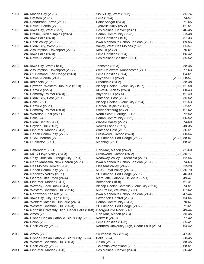| 1997 |                                                                                |  |
|------|--------------------------------------------------------------------------------|--|
|      |                                                                                |  |
|      |                                                                                |  |
|      |                                                                                |  |
| 1998 |                                                                                |  |
|      |                                                                                |  |
|      |                                                                                |  |
|      |                                                                                |  |
| 1999 |                                                                                |  |
|      |                                                                                |  |
|      |                                                                                |  |
|      |                                                                                |  |
| 2000 |                                                                                |  |
|      |                                                                                |  |
|      |                                                                                |  |
|      |                                                                                |  |
| 2001 |                                                                                |  |
|      | 3A- Epworth, Western Dubuque (27-0) Bishop Heelan, Sioux City (19-7)(OT) 61-58 |  |
|      |                                                                                |  |
|      |                                                                                |  |
| 2002 |                                                                                |  |
|      |                                                                                |  |
|      |                                                                                |  |
|      |                                                                                |  |
| 2003 |                                                                                |  |
|      |                                                                                |  |
|      |                                                                                |  |
|      |                                                                                |  |
| 2004 |                                                                                |  |
|      |                                                                                |  |
|      |                                                                                |  |
|      |                                                                                |  |
| 2005 |                                                                                |  |
|      |                                                                                |  |
|      |                                                                                |  |
|      | 1A- North Mahaska, New Sharon (27-1) Iowa Mennonite School, Kalona (28-1)74-63 |  |
| 2006 |                                                                                |  |
|      |                                                                                |  |
|      |                                                                                |  |
|      |                                                                                |  |
| 2007 |                                                                                |  |
|      | 3A- Waverly-Shell Rock (24-3) Bishop Heelan Catholic, Sioux City (22-5) 74-51  |  |
|      |                                                                                |  |
|      |                                                                                |  |
| 2008 |                                                                                |  |
|      |                                                                                |  |
|      |                                                                                |  |
|      |                                                                                |  |
| 2009 |                                                                                |  |
|      |                                                                                |  |
|      |                                                                                |  |
|      |                                                                                |  |
| 2010 |                                                                                |  |
|      |                                                                                |  |
|      |                                                                                |  |
|      |                                                                                |  |
| 2011 |                                                                                |  |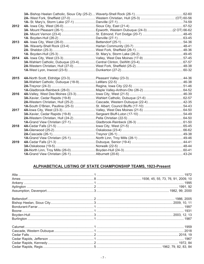| 2012 |  |  |
|------|--|--|
|      |  |  |
|      |  |  |
|      |  |  |
| 2013 |  |  |
|      |  |  |
|      |  |  |
|      |  |  |
| 2014 |  |  |
|      |  |  |
|      |  |  |
|      |  |  |
| 2015 |  |  |
|      |  |  |
|      |  |  |
|      |  |  |
| 2016 |  |  |
|      |  |  |
|      |  |  |
|      |  |  |
| 2017 |  |  |
|      |  |  |
|      |  |  |
|      |  |  |
| 2018 |  |  |
|      |  |  |
|      |  |  |
|      |  |  |
| 2019 |  |  |
|      |  |  |
|      |  |  |
|      |  |  |

#### ALPHABETICAL LISTING OF STATE CHAMPIONSHIP TEAMS, 1923-Present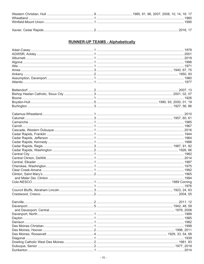#### **RUNNER-UP TEAMS - Alphabetically**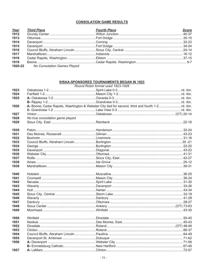#### **CONSOLATION GAME RESULTS**

| Year | <b>Third Place</b>                  | <b>Fourth Place</b> | <b>Score</b> |
|------|-------------------------------------|---------------------|--------------|
| 1912 |                                     |                     |              |
| 1913 |                                     |                     |              |
| 1914 |                                     |                     |              |
| 1915 |                                     |                     |              |
| 1916 |                                     |                     |              |
| 1917 |                                     |                     |              |
| 1918 |                                     |                     |              |
| 1919 |                                     |                     |              |
|      | 1920-22 No Consolation Games Played |                     |              |

#### **IHSAA-SPONSORED TOURNAMENTS BEGAN IN 1923**

|      |                                 | Round Robin format used 1923-1926 |  |
|------|---------------------------------|-----------------------------------|--|
| 1923 |                                 |                                   |  |
| 1924 |                                 |                                   |  |
| 1925 |                                 |                                   |  |
|      |                                 |                                   |  |
| 1926 |                                 |                                   |  |
|      |                                 |                                   |  |
| 1927 |                                 |                                   |  |
| 1928 | No true consolation game played |                                   |  |
| 1929 |                                 |                                   |  |
| 1930 |                                 |                                   |  |
| 1931 |                                 |                                   |  |
| 1932 |                                 |                                   |  |
| 1933 |                                 |                                   |  |
| 1934 |                                 |                                   |  |
| 1935 |                                 |                                   |  |
| 1936 |                                 |                                   |  |
| 1937 |                                 |                                   |  |
| 1938 |                                 |                                   |  |
| 1939 |                                 |                                   |  |
| 1940 |                                 |                                   |  |
| 1941 |                                 |                                   |  |
| 1942 |                                 |                                   |  |
| 1943 |                                 |                                   |  |
| 1944 |                                 |                                   |  |
| 1945 |                                 |                                   |  |
| 1946 |                                 |                                   |  |
| 1947 |                                 |                                   |  |
| 1948 |                                 |                                   |  |
| 1949 |                                 |                                   |  |
| 1950 |                                 |                                   |  |
| 1951 |                                 |                                   |  |
| 1952 |                                 |                                   |  |
| 1953 |                                 |                                   |  |
| 1954 |                                 |                                   |  |
| 1955 |                                 |                                   |  |
| 1956 |                                 |                                   |  |
|      |                                 |                                   |  |
| 1957 |                                 |                                   |  |
|      |                                 |                                   |  |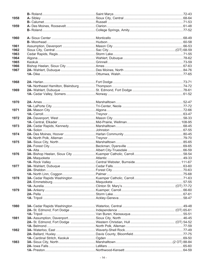| 1958 |  |  |
|------|--|--|
|      |  |  |
| 1959 |  |  |
|      |  |  |
|      |  |  |
| 1960 |  |  |
|      |  |  |
| 1961 |  |  |
| 1962 |  |  |
| 1963 |  |  |
| 1964 |  |  |
| 1965 |  |  |
| 1966 |  |  |
| 1967 |  |  |
|      |  |  |
|      |  |  |
| 1968 |  |  |
|      |  |  |
| 1969 |  |  |
|      |  |  |
|      |  |  |
| 1970 |  |  |
|      |  |  |
| 1971 |  |  |
|      |  |  |
| 1972 |  |  |
|      |  |  |
|      |  |  |
| 1973 |  |  |
|      |  |  |
| 1974 |  |  |
|      |  |  |
| 1975 |  |  |
|      |  |  |
|      |  |  |
| 1976 |  |  |
|      |  |  |
|      |  |  |
| 1977 |  |  |
|      |  |  |
|      |  |  |
| 1978 |  |  |
|      |  |  |
|      |  |  |
| 1979 |  |  |
|      |  |  |
|      |  |  |
|      |  |  |
| 1980 |  |  |
|      |  |  |
|      |  |  |
| 1981 |  |  |
|      |  |  |
|      |  |  |
| 1982 |  |  |
|      |  |  |
|      |  |  |
| 1983 |  |  |
|      |  |  |
|      |  |  |
|      |  |  |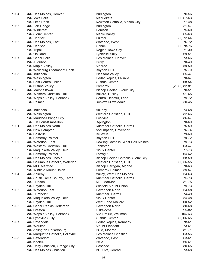| 1984 |  |  |
|------|--|--|
|      |  |  |
|      |  |  |
| 1985 |  |  |
|      |  |  |
|      |  |  |
|      |  |  |
| 1986 |  |  |
|      |  |  |
|      |  |  |
|      |  |  |
| 1987 |  |  |
|      |  |  |
|      |  |  |
|      |  |  |
| 1988 |  |  |
|      |  |  |
|      |  |  |
|      |  |  |
| 1989 |  |  |
|      |  |  |
|      |  |  |
|      |  |  |
|      |  |  |
| 1990 |  |  |
|      |  |  |
|      |  |  |
|      |  |  |
| 1991 |  |  |
|      |  |  |
|      |  |  |
|      |  |  |
| 1992 |  |  |
|      |  |  |
|      |  |  |
|      |  |  |
| 1993 |  |  |
|      |  |  |
|      |  |  |
|      |  |  |
| 1994 |  |  |
|      |  |  |
|      |  |  |
|      |  |  |
| 1995 |  |  |
|      |  |  |
|      |  |  |
|      |  |  |
| 1996 |  |  |
|      |  |  |
|      |  |  |
|      |  |  |
| 1997 |  |  |
|      |  |  |
|      |  |  |
|      |  |  |
| 1998 |  |  |
|      |  |  |
|      |  |  |
|      |  |  |
|      |  |  |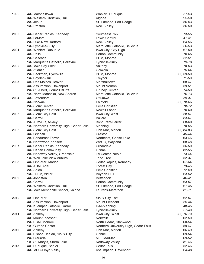| 1999 |  |  |
|------|--|--|
|      |  |  |
|      |  |  |
|      |  |  |
|      |  |  |
| 2000 |  |  |
|      |  |  |
|      |  |  |
|      |  |  |
| 2001 |  |  |
|      |  |  |
|      |  |  |
|      |  |  |
| 2002 |  |  |
|      |  |  |
|      |  |  |
|      |  |  |
| 2003 |  |  |
|      |  |  |
|      |  |  |
|      |  |  |
| 2004 |  |  |
|      |  |  |
|      |  |  |
| 2005 |  |  |
|      |  |  |
|      |  |  |
|      |  |  |
| 2006 |  |  |
|      |  |  |
|      |  |  |
|      |  |  |
| 2007 |  |  |
|      |  |  |
|      |  |  |
|      |  |  |
| 2008 |  |  |
|      |  |  |
|      |  |  |
|      |  |  |
| 2009 |  |  |
|      |  |  |
|      |  |  |
|      |  |  |
|      |  |  |
| 2010 |  |  |
|      |  |  |
|      |  |  |
|      |  |  |
| 2011 |  |  |
|      |  |  |
|      |  |  |
|      |  |  |
| 2012 |  |  |
|      |  |  |
|      |  |  |
|      |  |  |
| 2013 |  |  |
|      |  |  |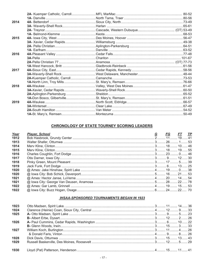| 2014 |  |  |
|------|--|--|
|      |  |  |
|      |  |  |
|      |  |  |
| 2015 |  |  |
|      |  |  |
|      |  |  |
|      |  |  |
| 2016 |  |  |
|      |  |  |
|      |  |  |
|      |  |  |
| 2017 |  |  |
|      |  |  |
|      |  |  |
|      |  |  |
| 2018 |  |  |
|      |  |  |
|      |  |  |
|      |  |  |
| 2019 |  |  |
|      |  |  |
|      |  |  |
|      |  |  |

#### **CHRONOLOGY OF STATE TOURNEY SCORING LEADERS**

| Year | <b>Player, School</b> | $G$ and $G$ | <u>FG FT TP</u> |  |
|------|-----------------------|-------------|-----------------|--|
| 1912 |                       |             |                 |  |
| 1913 |                       |             |                 |  |
| 1914 |                       |             |                 |  |
| 1915 |                       |             |                 |  |
| 1916 |                       |             |                 |  |
| 1917 |                       |             |                 |  |
| 1918 |                       |             |                 |  |
| 1919 |                       |             |                 |  |
| 1920 |                       |             |                 |  |
| 1920 |                       |             |                 |  |
| 1921 |                       |             |                 |  |
| 1921 |                       |             |                 |  |
| 1922 |                       |             |                 |  |
| 1922 |                       |             |                 |  |

#### **IHSAA-SPONSORED TOURNAMENTS BEGAN IN 1923**

| 1923 |  |  |  |
|------|--|--|--|
| 1924 |  |  |  |
| 1925 |  |  |  |
|      |  |  |  |
| 1926 |  |  |  |
|      |  |  |  |
| 1927 |  |  |  |
|      |  |  |  |
| 1928 |  |  |  |
| 1929 |  |  |  |
|      |  |  |  |
| 1930 |  |  |  |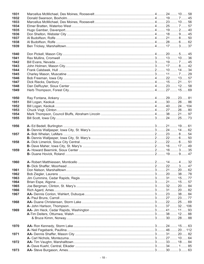| 1931         |  |  |  |
|--------------|--|--|--|
| 1932         |  |  |  |
| 1933         |  |  |  |
| 1934         |  |  |  |
| 1935         |  |  |  |
| 1936         |  |  |  |
| 1937         |  |  |  |
| 1938         |  |  |  |
| 1939         |  |  |  |
|              |  |  |  |
| 1940         |  |  |  |
| 1941         |  |  |  |
| 1942         |  |  |  |
| 1943         |  |  |  |
| 1944         |  |  |  |
|              |  |  |  |
| 1945         |  |  |  |
| 1946         |  |  |  |
| 1947         |  |  |  |
| 1948         |  |  |  |
| 1949         |  |  |  |
|              |  |  |  |
| 1950         |  |  |  |
| 1951         |  |  |  |
| 1952         |  |  |  |
| 1953         |  |  |  |
| 1954         |  |  |  |
| 1955         |  |  |  |
|              |  |  |  |
| 1956         |  |  |  |
|              |  |  |  |
| 1957         |  |  |  |
|              |  |  |  |
| 1958         |  |  |  |
|              |  |  |  |
| 1959         |  |  |  |
|              |  |  |  |
|              |  |  |  |
| 1960         |  |  |  |
|              |  |  |  |
| 1961         |  |  |  |
| 1962         |  |  |  |
| 1963         |  |  |  |
| 1964         |  |  |  |
|              |  |  |  |
| 1965<br>1966 |  |  |  |
|              |  |  |  |
| 1967         |  |  |  |
|              |  |  |  |
| 1968         |  |  |  |
|              |  |  |  |
| 1969         |  |  |  |
|              |  |  |  |
|              |  |  |  |
|              |  |  |  |
| 1970         |  |  |  |
|              |  |  |  |
| 1971         |  |  |  |
|              |  |  |  |
| 1972         |  |  |  |
|              |  |  |  |
| 1973         |  |  |  |
|              |  |  |  |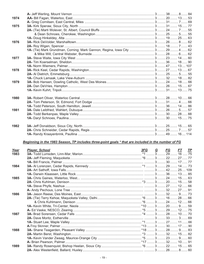| 1974        |                                                                                                                                                                                                                                              |  |  |  |
|-------------|----------------------------------------------------------------------------------------------------------------------------------------------------------------------------------------------------------------------------------------------|--|--|--|
|             |                                                                                                                                                                                                                                              |  |  |  |
| 1975        |                                                                                                                                                                                                                                              |  |  |  |
|             |                                                                                                                                                                                                                                              |  |  |  |
|             |                                                                                                                                                                                                                                              |  |  |  |
|             |                                                                                                                                                                                                                                              |  |  |  |
| 1976        |                                                                                                                                                                                                                                              |  |  |  |
|             |                                                                                                                                                                                                                                              |  |  |  |
|             |                                                                                                                                                                                                                                              |  |  |  |
|             |                                                                                                                                                                                                                                              |  |  |  |
| 1977        |                                                                                                                                                                                                                                              |  |  |  |
|             |                                                                                                                                                                                                                                              |  |  |  |
|             |                                                                                                                                                                                                                                              |  |  |  |
| 1978        |                                                                                                                                                                                                                                              |  |  |  |
|             |                                                                                                                                                                                                                                              |  |  |  |
|             |                                                                                                                                                                                                                                              |  |  |  |
|             |                                                                                                                                                                                                                                              |  |  |  |
| 1979        |                                                                                                                                                                                                                                              |  |  |  |
|             |                                                                                                                                                                                                                                              |  |  |  |
|             |                                                                                                                                                                                                                                              |  |  |  |
|             |                                                                                                                                                                                                                                              |  |  |  |
| 1980        |                                                                                                                                                                                                                                              |  |  |  |
|             |                                                                                                                                                                                                                                              |  |  |  |
|             |                                                                                                                                                                                                                                              |  |  |  |
| 1981        |                                                                                                                                                                                                                                              |  |  |  |
|             |                                                                                                                                                                                                                                              |  |  |  |
|             |                                                                                                                                                                                                                                              |  |  |  |
|             |                                                                                                                                                                                                                                              |  |  |  |
| 1982        |                                                                                                                                                                                                                                              |  |  |  |
|             |                                                                                                                                                                                                                                              |  |  |  |
|             |                                                                                                                                                                                                                                              |  |  |  |
|             |                                                                                                                                                                                                                                              |  |  |  |
|             |                                                                                                                                                                                                                                              |  |  |  |
|             | Beginning in the 1983 Season, TP includes three-point goals * that are included in the number of FG                                                                                                                                          |  |  |  |
|             |                                                                                                                                                                                                                                              |  |  |  |
| <u>Year</u> |                                                                                                                                                                                                                                              |  |  |  |
| 1983        |                                                                                                                                                                                                                                              |  |  |  |
|             | <mark>9 Player, School Englished Nation</mark> Control of the Marian Marian Control of the Marian Control of the Marian Cont<br>16 ……… 3 ……… 29 ……… 16 …… 75 شبیه 10 میلاد که از این است از منابع از این است که از این این این این این این ا |  |  |  |
|             |                                                                                                                                                                                                                                              |  |  |  |
|             |                                                                                                                                                                                                                                              |  |  |  |
| 1984        |                                                                                                                                                                                                                                              |  |  |  |
|             |                                                                                                                                                                                                                                              |  |  |  |
|             |                                                                                                                                                                                                                                              |  |  |  |
| 1985        |                                                                                                                                                                                                                                              |  |  |  |
|             |                                                                                                                                                                                                                                              |  |  |  |
|             |                                                                                                                                                                                                                                              |  |  |  |
|             |                                                                                                                                                                                                                                              |  |  |  |
| 1986        |                                                                                                                                                                                                                                              |  |  |  |
|             |                                                                                                                                                                                                                                              |  |  |  |
|             |                                                                                                                                                                                                                                              |  |  |  |
|             |                                                                                                                                                                                                                                              |  |  |  |
|             |                                                                                                                                                                                                                                              |  |  |  |
| 1987        |                                                                                                                                                                                                                                              |  |  |  |
|             |                                                                                                                                                                                                                                              |  |  |  |
|             |                                                                                                                                                                                                                                              |  |  |  |
|             |                                                                                                                                                                                                                                              |  |  |  |
| 1988        |                                                                                                                                                                                                                                              |  |  |  |
|             |                                                                                                                                                                                                                                              |  |  |  |
|             |                                                                                                                                                                                                                                              |  |  |  |
|             |                                                                                                                                                                                                                                              |  |  |  |
| 1989        |                                                                                                                                                                                                                                              |  |  |  |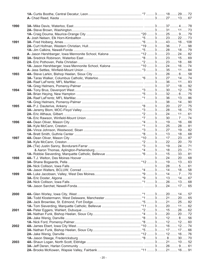| 1990 |  |  |
|------|--|--|
|      |  |  |
|      |  |  |
|      |  |  |
| 1991 |  |  |
|      |  |  |
|      |  |  |
|      |  |  |
|      |  |  |
| 1992 |  |  |
|      |  |  |
|      |  |  |
|      |  |  |
| 1993 |  |  |
|      |  |  |
|      |  |  |
|      |  |  |
| 1994 |  |  |
|      |  |  |
|      |  |  |
|      |  |  |
| 1995 |  |  |
|      |  |  |
|      |  |  |
|      |  |  |
|      |  |  |
| 1996 |  |  |
|      |  |  |
|      |  |  |
|      |  |  |
| 1997 |  |  |
|      |  |  |
|      |  |  |
|      |  |  |
|      |  |  |
| 1998 |  |  |
|      |  |  |
|      |  |  |
|      |  |  |
| 1999 |  |  |
|      |  |  |
|      |  |  |
|      |  |  |
|      |  |  |
|      |  |  |
| 2000 |  |  |
|      |  |  |
|      |  |  |
|      |  |  |
| 2001 |  |  |
|      |  |  |
|      |  |  |
|      |  |  |
| 2002 |  |  |
|      |  |  |
|      |  |  |
|      |  |  |
|      |  |  |
| 2003 |  |  |
|      |  |  |
|      |  |  |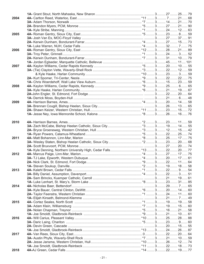| 2004 |  |  |  |
|------|--|--|--|
|      |  |  |  |
|      |  |  |  |
|      |  |  |  |
| 2005 |  |  |  |
|      |  |  |  |
|      |  |  |  |
|      |  |  |  |
| 2006 |  |  |  |
|      |  |  |  |
|      |  |  |  |
|      |  |  |  |
|      |  |  |  |
| 2007 |  |  |  |
|      |  |  |  |
|      |  |  |  |
|      |  |  |  |
|      |  |  |  |
| 2008 |  |  |  |
|      |  |  |  |
|      |  |  |  |
|      |  |  |  |
| 2009 |  |  |  |
|      |  |  |  |
|      |  |  |  |
|      |  |  |  |
|      |  |  |  |
|      |  |  |  |
| 2010 |  |  |  |
|      |  |  |  |
|      |  |  |  |
|      |  |  |  |
| 2011 |  |  |  |
|      |  |  |  |
|      |  |  |  |
|      |  |  |  |
| 2012 |  |  |  |
|      |  |  |  |
|      |  |  |  |
|      |  |  |  |
| 2013 |  |  |  |
|      |  |  |  |
|      |  |  |  |
|      |  |  |  |
|      |  |  |  |
| 2014 |  |  |  |
|      |  |  |  |
|      |  |  |  |
|      |  |  |  |
| 2015 |  |  |  |
|      |  |  |  |
|      |  |  |  |
|      |  |  |  |
| 2016 |  |  |  |
|      |  |  |  |
|      |  |  |  |
|      |  |  |  |
| 2017 |  |  |  |
|      |  |  |  |
|      |  |  |  |
|      |  |  |  |
|      |  |  |  |
| 2018 |  |  |  |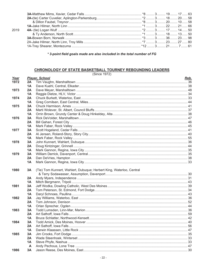| 2019 |  |  |  |
|------|--|--|--|
|      |  |  |  |
|      |  |  |  |
|      |  |  |  |
|      |  |  |  |
|      |  |  |  |

\*3-point field goals made are also included in the total number of FG

#### CHRONOLOGY OF STATE BASKETBALL TOURNEY REBOUNDING LEADERS

|      |          | (SIICE IYZ)                                                          |             |
|------|----------|----------------------------------------------------------------------|-------------|
| Year |          | <b>Player, School</b>                                                | <u>Reb.</u> |
| 1972 | 2A       |                                                                      |             |
|      | 1A       |                                                                      |             |
| 1973 | 2A       |                                                                      |             |
|      | 1A       |                                                                      |             |
| 1974 | 2A       |                                                                      |             |
|      | 1A       |                                                                      |             |
| 1975 | 3A       |                                                                      |             |
|      | 2A<br>1A |                                                                      |             |
|      | 3A       |                                                                      |             |
| 1976 | 2A       |                                                                      |             |
|      | 1A       |                                                                      |             |
| 1977 | 3A       |                                                                      |             |
|      | 2A       |                                                                      |             |
|      | 1A       |                                                                      |             |
| 1978 | 3A       |                                                                      |             |
|      | 2A       |                                                                      |             |
|      | 1A       |                                                                      |             |
| 1979 | 3A       |                                                                      |             |
|      | 2A       |                                                                      |             |
|      | 1A       |                                                                      |             |
|      |          |                                                                      |             |
| 1980 | 3A       | (Tie) Tom Kunnert, Wahlert, Dubuque; Herbert King, Waterloo, Central |             |
|      |          |                                                                      |             |
|      | 2A       |                                                                      |             |
|      | 1A       |                                                                      |             |
| 1981 | 3A       |                                                                      |             |
|      | 2A       |                                                                      |             |
|      | 1A       |                                                                      |             |
| 1982 | 3A       |                                                                      |             |
|      | 2A       |                                                                      |             |
|      | 1A       |                                                                      |             |
| 1983 | 3A       |                                                                      |             |
|      | 2A       |                                                                      |             |
|      | 1A       |                                                                      |             |
| 1984 | 3A       |                                                                      |             |
|      | 2A       |                                                                      |             |
|      | 1A       |                                                                      |             |
| 1985 | 3A       |                                                                      |             |
|      | 2A       |                                                                      |             |
|      | 1A       |                                                                      |             |
|      | A        |                                                                      |             |
| 1986 | 3A       |                                                                      |             |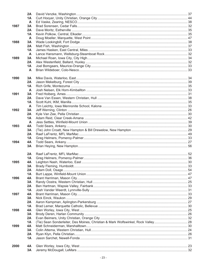|      | 2A        |                                                                                   |  |
|------|-----------|-----------------------------------------------------------------------------------|--|
|      | 1Α        |                                                                                   |  |
|      | A         |                                                                                   |  |
| 1987 | 3A        |                                                                                   |  |
|      | 2Α        |                                                                                   |  |
|      | 1А        |                                                                                   |  |
|      | A         |                                                                                   |  |
| 1988 | 3A        |                                                                                   |  |
|      | 2Α        |                                                                                   |  |
|      | 1A        |                                                                                   |  |
|      | A         |                                                                                   |  |
| 1989 | 3A        |                                                                                   |  |
|      | 2Α        |                                                                                   |  |
|      | 1A        |                                                                                   |  |
|      |           |                                                                                   |  |
|      | A         |                                                                                   |  |
|      |           |                                                                                   |  |
| 1990 | 3A        |                                                                                   |  |
|      | 2A        |                                                                                   |  |
|      | 1A        |                                                                                   |  |
|      | A         |                                                                                   |  |
| 1991 | 3A        |                                                                                   |  |
|      | 2Α        |                                                                                   |  |
|      | 1A        |                                                                                   |  |
|      | A         |                                                                                   |  |
| 1992 | 3A        |                                                                                   |  |
|      | 2A        |                                                                                   |  |
|      | 1A        |                                                                                   |  |
|      | A         |                                                                                   |  |
| 1993 | 4A        |                                                                                   |  |
|      | 3A        |                                                                                   |  |
|      | 2A        |                                                                                   |  |
|      | <b>1A</b> |                                                                                   |  |
| 1994 | 4A        |                                                                                   |  |
|      | 3A        |                                                                                   |  |
|      |           |                                                                                   |  |
|      | 2A        |                                                                                   |  |
|      | 1Α        |                                                                                   |  |
| 1995 | 4A        |                                                                                   |  |
|      | 3А        |                                                                                   |  |
|      | 2A        |                                                                                   |  |
|      | <b>1A</b> |                                                                                   |  |
| 1996 | 4A        |                                                                                   |  |
|      | 3A        |                                                                                   |  |
|      | 2A        |                                                                                   |  |
|      | <b>1A</b> |                                                                                   |  |
| 1997 | 4A        |                                                                                   |  |
|      |           |                                                                                   |  |
|      | 3A        |                                                                                   |  |
|      | 2A        |                                                                                   |  |
|      | 1A        |                                                                                   |  |
| 1998 | 4A        |                                                                                   |  |
|      | 3A        |                                                                                   |  |
|      | 2A        |                                                                                   |  |
|      | 1A        | (Tie) Sean Sonderleiter, Des Moines, Christian & Mark Wolfswinkel, Rock Valley 28 |  |
| 1999 | 4A        |                                                                                   |  |
|      | 3A        |                                                                                   |  |
|      | 2A        |                                                                                   |  |
|      | <b>1A</b> |                                                                                   |  |
|      |           |                                                                                   |  |
| 2000 | 4A        |                                                                                   |  |
|      | 3A        |                                                                                   |  |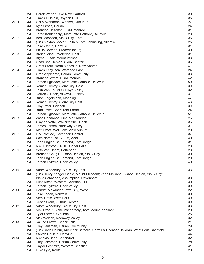|      | 2A        |                                                                                            |  |
|------|-----------|--------------------------------------------------------------------------------------------|--|
|      | 1А        |                                                                                            |  |
| 2001 | 4A        |                                                                                            |  |
|      | 3A        |                                                                                            |  |
|      | 2A        |                                                                                            |  |
|      | 1А        |                                                                                            |  |
| 2002 | 4A        |                                                                                            |  |
|      | 3A        |                                                                                            |  |
|      | 2A        |                                                                                            |  |
|      | 1A        |                                                                                            |  |
| 2003 | 4А        |                                                                                            |  |
|      | 3A        |                                                                                            |  |
|      | 2A        |                                                                                            |  |
|      | 1A        |                                                                                            |  |
| 2004 | 4A        |                                                                                            |  |
|      | 3A        |                                                                                            |  |
|      | 2A        |                                                                                            |  |
|      | 1A        |                                                                                            |  |
| 2005 | 4A        |                                                                                            |  |
|      | 3A        |                                                                                            |  |
|      | 2A        |                                                                                            |  |
|      | 1A        |                                                                                            |  |
| 2006 | 4A        |                                                                                            |  |
|      | 3A        |                                                                                            |  |
|      | 2A        |                                                                                            |  |
|      | 1A        |                                                                                            |  |
| 2007 | 4А        |                                                                                            |  |
|      | 3A        |                                                                                            |  |
|      | 2A        |                                                                                            |  |
|      | 1A        |                                                                                            |  |
| 2008 | 4А        |                                                                                            |  |
|      | 3A        |                                                                                            |  |
|      | 2A        |                                                                                            |  |
|      | 1A        |                                                                                            |  |
| 2009 | 4A        |                                                                                            |  |
|      | 3A        |                                                                                            |  |
|      | 2Α        |                                                                                            |  |
|      |           |                                                                                            |  |
|      |           |                                                                                            |  |
| 2010 | 4A        |                                                                                            |  |
|      | 3A        | (Tie) Henry Krieger-Coble, Mount Pleasant; Zach McCabe, Bishop Heelan, Sioux City;         |  |
|      |           |                                                                                            |  |
|      | 2A        |                                                                                            |  |
|      | 1A        |                                                                                            |  |
| 2011 | 4A        |                                                                                            |  |
|      | 3A        |                                                                                            |  |
|      | 2A        |                                                                                            |  |
|      | 1A        |                                                                                            |  |
| 2012 | 4A        |                                                                                            |  |
|      | 3A        |                                                                                            |  |
|      | 2A        |                                                                                            |  |
|      | 1A        |                                                                                            |  |
| 2013 | 4A        |                                                                                            |  |
|      | 3A        |                                                                                            |  |
|      | 2A        | (Tie) Chris Halbur, Kuemper Catholic, Carroll & Spencer Halloran, West Fork, Sheffield  32 |  |
|      | 1A        |                                                                                            |  |
| 2014 | 4A        |                                                                                            |  |
|      | 3A        |                                                                                            |  |
|      | 2A        |                                                                                            |  |
|      | <b>1A</b> |                                                                                            |  |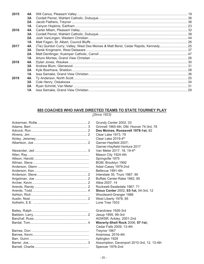| 2015 | 4A |                                                                                     |  |
|------|----|-------------------------------------------------------------------------------------|--|
|      | 3A |                                                                                     |  |
|      | 2A |                                                                                     |  |
|      | 1A |                                                                                     |  |
| 2016 | 4A |                                                                                     |  |
|      | 3A |                                                                                     |  |
|      | 2A |                                                                                     |  |
|      | 1A |                                                                                     |  |
| 2017 | 4A | (Tie) Quinton Curry, Valley, West Des Moines & Matt Berst, Cedar Rapids, Kennedy 25 |  |
|      | 3A |                                                                                     |  |
|      | 2A |                                                                                     |  |
|      | 1A |                                                                                     |  |
| 2018 | 4A |                                                                                     |  |
|      | 3A |                                                                                     |  |
|      | 2A |                                                                                     |  |
|      | 1A |                                                                                     |  |
| 2019 | 4A |                                                                                     |  |
|      | 3A |                                                                                     |  |
|      | 2A |                                                                                     |  |
|      | 1A |                                                                                     |  |
|      |    |                                                                                     |  |

## 885 COACHES WHO HAVE DIRECTED TEAMS TO STATE TOURNEY PLAY

| Grundy Center 2002, 03                     |
|--------------------------------------------|
| Grinnell 1965-4th; DM, Hoover 74-3rd, 78   |
| Des Moines, Roosevelt 1978-1st; 82         |
| Clear Lake 1973, 79                        |
| Clear Lake 2019-4th                        |
| Garner-Hayfield 2007;                      |
| Garner-Hayfield-Ventura 2017               |
| Van Meter 2017, 18, 19-4 <sup>th</sup>     |
| Mason City 1924-4th                        |
| Springville 1975                           |
| BGM, Brooklyn 1992                         |
| Adair-Casey 1979-2nd                       |
| Bellevue 1991-4th                          |
| Interstate 35, Truro 1987, 90              |
| Buffalo Center-Rake 1982, 85               |
| Albia 2007, 14                             |
| Rockwell-Swaledale 1967, 71                |
| Sioux Center 2002, 03-1st, 04-3rd, 12      |
| Woodward-Granger 1986                      |
| West Liberty 1978, 85                      |
| Lone Tree 1933                             |
|                                            |
| Grandview 1926-3rd                         |
| Jesup 1995, 99-3rd                         |
| AGWSR, Ackley, 2001-2nd                    |
| Waverly-Shell Rock 2006, 07-1st;           |
| Cedar Falls 2009, 13-4th                   |
| Treynor 1967                               |
| Anamosa, 2016-4th                          |
| Aplington 1929                             |
| Assumption, Davenport 2010-3rd, 12, 13-4th |
| Spencer 1976-2nd                           |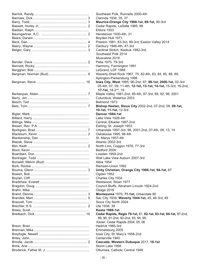Clarinda 1934, 35, 37 **Maurice-Orange City 1988-1st, 89-1st, 90-3rd** Cedar Rapids, LaSalle 1985, 88 **Eldora 1933** Henderson 1930-4th, 31 Boyden-Hull 1971 Preston 1981, 83-3rd, 99-3rd; Easton Valley 2014 Danbury 1946-4th, 47-3rd Cardinal Stritch, Keokuk 1982-3rd; Southeast Polk 2014 Muscatine 2018 Pella 1975, 79-3rd Harmony, Farmington 1991 LeGrand, LDF 1988 Waverly-Shell Rock 1967, 75, 82-4th, 83, 84, 85, 88, 89; Aplington-Parkersburg 1998 lowa City, West 1995, 96-2nd, 97, 98-1st, 2000-1st, 02-3rd 05-4th, 07, 09, 11-4th, **12-1st, 13-1st, 14-1st,** 15-3rd, 16-2nd, **17-1st,** 18-2nd, 19 Maple Valley 1981-2nd, 85-4th, 87-3rd, 89, 92, 98, 2001 Columbus, Waterloo 2003 Belmond 1973 Bishop Heelan, Sioux City 2002-2nd, 07-2nd, 08, 09-1st, **10-1st, 11-1st,** 12-3rd Bigler, Mark ................................................................ **Denver 1984-1st** Lake View 1926-4th Central, Elkader 1987-2nd Earling, St. Joseph 1953 Urbandale 1997-3rd, 98, 2001-2nd, 07-4th, 09, 13, 14 Oskaloosa 1995, 96-4th St. Marvs 1957-4th Atlantic 2002-3rd North Linn, Coggon 1976, 77-3rd Bedford 2008 Lowden 1959-2nd Wall Lake View Auburn 2007-3rd Albia 1954 Remsen-Union 1992 **Unity Christian, Orange City 1986-1st, 94-1st, 97** Ogden 1952 Charles City 1934 Westwood, Sloan 1977 Council Bluffs, Abraham Lincoln 1924-2nd Osage 2016 **Montezuma** 1970, 71-1st; Urbandale 80 Sac City 1939; Waverly 1944-1st, 45, 46-3rd, 49 Sioux City North 2004 Ute 1938, 39 Brees, Scott................................................................ **Keota 1989-1st** Breitbach, Dick ....................................................... 16 **Cedar Rapids, Regis 79-1st,** 81, **82-1st, 83-1st, 84-1st,** 87-2nd, 89, 90, 91-2nd, 92-2nd, 93, 94, 95; Xavier, Cedar Rapids 2004, 05, 06 Hedrick 1985-3rd Emmetsburg 2005 lowa City, St. Mary's 1958-2nd Centerville 1940 **Cascade, Western Dubuque** 2017, 18-1st Storm Lake 1956 Ottumwa, Catholic Central 1948

Southeast Polk, Runnells 2000-4th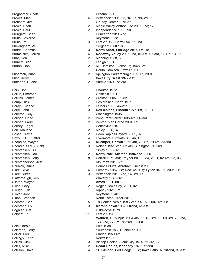Urbana 1986 Bettendorf 1991, 93, 94, 97, 98-3rd, 99 Grundy Center 1975-2<sup>nd</sup> Maple Valley-Anthon-Oto 2015-2nd; 17 Independence 1989, 90 Dunkerton 2014-2nd Keystone 1958 Fertile 1953; Carroll 54, 67-2nd Sergeant Bluff 1940 **North Scott, Eldridge 2015-1st**, 18, 19 **Nodaway Valley 2005-2nd, 06-1st, 07-3rd, 12-4th, 13, 15** Manning 1958, 59 Lehigh 1931 NE Hamilton, Blairsburg 1968-3rd; South Hamilton, Jewell 1991 Aplington-Parkersburg 1997-3rd, 2004 **Iowa City, West 1977-1st** Aurelia 1974, 78-3rd Chariton 1972 Goldfield 1931 Creston 2005, 06-4th Des Moines, North 1971 LeMars 1930, 46-2nd **Des Moines, Lincoln 1975-1st, 77, 81** Washington 1935 Bondurant-Farrar 2005-4th, 06-3rd Benton, Van Horne 2004, 09 Conesville 1948 Maloy 1936, 37 Coon Rapids-Bayard, 2001, 02 Livermore 1932-4th, 42, 46, 48 Kuemper, Carroll 1976-4th, 78-4th, 79-4th, 85-1st Roland 1951-2nd, 52-4th; Burlington, 56-2nd Sibley 1958-3rd **North Polk, Alleman 1996-1st, 2000** Carroll 1971-3rd; Treynor 80, 83, 84, 2001, 02-4th, 03, 06 Alburnett 2019-2<sup>nd</sup> Council Bluffs, Abraham Lincoln 2000 Pomeroy 1987, 88; Rockwell City-Lytton 94, 96, 2005, 06 Bettendorf 2013-2nd, 14-3rd, 17 Waverly 1943-3rd Clinton, Wayne........................................................... **Ames 1991-1st** Regina, Iowa City, 2001, 02 Rippey 1925-3rd Keystone 1940 North Tama, Traer 2013 Tri-Center, Neola 1986-2nd, 95, 97, 2007-4th, 08 Cochrane, Ev............................................................ 3 **Marshalltown** 1957, **60-1st, 61-1st** Oskaloosa 1979 Fertile 1954: **Wahlert, Dubuque** 1964-4th, 66, 67-3rd, 68, 69-3rd, 73-2nd, 74-2nd, 77-3rd, 78-2nd, **80-1st** Dike 1938 Southeast Polk, Runnells 1985 Clarion 1959-4th Norwalk 1972 Bishop Heelan, Sioux City 1974, 76-3rd, 77 Cedar Rapids, Kennedy 1971, 72-1st Collison, Dave .......................................................... 4 St. Edmond, Fort Dodge 1988; **Iowa Falls** 97, **98-1st, 99-1st**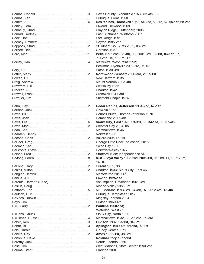| Davis          |
|----------------|
| Dubuc          |
| Des M          |
| Elwoo          |
| Clayto         |
| East E         |
| Fort D         |
| Daytor         |
| St. Alb        |
| Garris         |
| Pella          |
| $10-2r$        |
| Marqu          |
| Beckn          |
| Paton          |
| <b>North</b>   |
| New <b>H</b>   |
|                |
| Mount          |
| Wellsk         |
| Charit         |
| Cromy          |
| <b>Sheffio</b> |
|                |
| Cedar          |
| Oelwe          |
| Counc          |
| Cama           |
| <b>Sioux</b>   |
| Webst          |
| Marsh          |
| Norwa          |
| <b>Ballar</b>  |
| Georg          |
| Swea           |
| Corwit         |
| Stratfo        |
| <b>MOC-</b>    |
| 14. 16         |
| Duran          |
| Charit         |
| Monte          |
| Lawto          |
| Assun          |
| Nishna         |
| MFL N          |
| Dubuc          |
| Kingsl         |
| Hudsc          |
| <b>Paulli</b>  |
| Water          |
| Sioux          |
| Marsh          |
|                |
| <b>Huds</b>    |
| Apling         |
| Grund          |
| Ames           |
| Rolan          |
| Douds          |
| West I         |
| Clarin         |

B. Davis County, Bloomfield 1977, 82-4th, 83 Dubuque, Loras 1950 Comito, Al................................................................. 6 **Des Moines, Roosevelt** 1953, 54-2nd, 59-3rd, 62, **65-1st,** 68-2nd Elwood, Delwood 1969 Clayton Ridge, Guttenberg 2005 East Buchanan, Winthrop 2007 Fort Dodge 1991 Dayton 1985-2nd 2 St. Albert, Co. Bluffs 2002, 03-3rd Garrison 1957 Pella 1997-2nd, 98-4th, 99, 2001-3rd, 02-1st, 03-1st, 07, 10-2nd, 15, 16-3rd, 17 4 Marquette, West Point 1992; Beckman, Dyersville 2002-3rd, 05, 07 Paton 1930-3rd Cotter, Marty............................................................. 2 **Northwood-Kensett** 2006-3rd, **2007-1st** New Hartford 1935 Mount Vernon 2003-4th Wellsburg 1932 Chariton 1942 Cromwell 1941-3rd Sheffield-Chapin 1974 2 Cedar Rapids, Jefferson 1964-2nd, 67-1st Oelwein 1953 Council Bluffs, Thomas Jefferson 1970 Camanche 2017-4th Davis, Les................................................................. 6 **Sioux City, East** 1928, 29-3rd, 33, **34-1st,** 35, 37-4th Webster City 2004, 05 Marshalltown 1946 Norwalk 1980  $2$  Ballard 2005-4<sup>th</sup>, 19 George-Little Rock (co-coach) 2018 Swea City 1930 Corwith-Wesley 1977 2 Stratford 1938; Independence 54 8 MOC-Floyd Valley 1995-2nd, 2005-1st, 06-2nd, 11, 12, 13-3rd, Durant 1989, 98 Chariton 1933; Sioux City, East 46 Montezuma 2019-4<sup>th</sup> Lawton 1925-1st Assumption, Davenport 1961-3rd Nishna Valley 1988-3rd 5 MFL MarMac 1993-3rd, 94-4th, 97, 2012-4th, 13-4th Dubuque Hempstead 2017 Kingsley-Pierson 2004 Hudson 1960-4th Dick, Larry ................................................................ 2 **Paullina 1968-1st;** Waterloo, West 71 Sioux City, North 1990 4 Marshalltown 1932, 33, 37-2nd, 39-3rd Dober, Ken ............................................................... 3 **Hudson** 1982, **93-1st,** 94-3rd Dohrn, Bill................................................................. 3 **Aplington** 1990-4th, **91-1st,** 92-1st Grundy Center 1971 **Ames 1936-1st, 38-3rd** Roland-Story 1977-1st Douds-Leando 1960 West Marshall, State Center 1990-2nd Clarinda 2004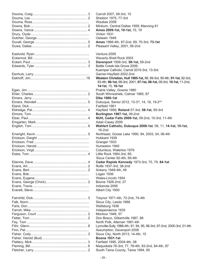| Carroll 2007, 09-3rd, 10                                               |
|------------------------------------------------------------------------|
| Sheldon 1975, 77-3rd                                                   |
| Waukee 2008                                                            |
| Minburn, Central Dallas 1959; Manning 61                               |
| Ames 2009-1st, 10-1st, 15, 19                                          |
| Vinton 1931                                                            |
| Oelwein 1948                                                           |
| Ames 1966-4th, 67-2nd, 69, 70-3rd, 73-1st                              |
| Pleasant Valley, 2001, 06-2nd                                          |
|                                                                        |
| Ventura 2009                                                           |
| Waverly-Shell Rock 2003                                                |
| Davenport 1956-3rd, 58-1st, 59-2nd                                     |
| Battle Creek-Ida Grove 2006;                                           |
| Kuemper Catholic, Carroll 2010-3rd, 13-3rd                             |
| Garner-Hayfield 2002-2nd                                               |
| Western Christian, Hull 1985-1st, 88, 89-3rd, 90-4th, 91-1st, 92-3rd,  |
| 93-4th, 96-1st, 99-3rd, 2001, 07-1st, 08-1st, 09-3rd, 10-1st, 11-2nd,  |
| 14-1st, 15, 16-1st                                                     |
| Prairie Valley, Gowrie 1980                                            |
| South Winneshiek, Calmar 1985, 87                                      |
| <b>Dike 1980-1st</b>                                                   |
|                                                                        |
| Dubuque, Senior 2012, 13-3rd, 14, 16, 19-2nd                           |
| Fairfield 1961                                                         |
| Hayfield 1956; Roland 57-3rd, 58-1st, 59-3rd                           |
| Burlington 1987-1st, 09-2nd                                            |
| NUH, Cedar Falls 2008-1st, 09-2nd, 10-3rd, 11-4th                      |
| Adair-Casey 2009                                                       |
| Wahlert Catholic, Dubuque 2008-1st, 09, 11, 14-1st, 15-1st,            |
| $16-2nd$                                                               |
| Northeast, Goose Lake 1990, 94, 2003, 04, 06-4th                       |
| Hubbard 1939                                                           |
| Granger 1933                                                           |
| Humeston 1940                                                          |
| Columbus, Waterloo 1976                                                |
| Little Rock 1984-3rd, 85;                                              |
| Sioux Center 92-4th, 95-4th                                            |
| Cedar Rapids Kennedy 1973-3rd, 75, 79, 84-1st                          |
| Rolfe 1937-3rd, 38-2nd                                                 |
| Ankeny 1948-4th, 49                                                    |
| Logan 1936                                                             |
|                                                                        |
| Wales-Lincoln 1954                                                     |
| Boone 1926-2nd, 27                                                     |
| Indianola 2006                                                         |
| Albert City 1950                                                       |
|                                                                        |
| Treynor 1971-4th, 72-2nd, 74-4th                                       |
| Sioux City, Leeds 1968                                                 |
| Wellsburg 1936                                                         |
| Independence 1935                                                      |
| Montour 1946, 57                                                       |
| Don Bosco, Gilbertville 1987, 88                                       |
| North Polk, Alleman 1981-4th                                           |
| Lynnville-Sully 1986-4th, 91, 94, 95, 96-3rd, 97-2nd, 2000-3rd, 01-4th |
| Assumption, Davenport 2008                                             |
| Sioux City, North 2013, 14-4th, 15                                     |
| <b>Boone 1931-1st</b>                                                  |
| Fairfield 1995, 2004-4th, 08                                           |
| Maquoketa 76-3rd, 77, 78-4th, 83-2nd, 84-4th, 87                       |
| South Tama County, Tama 1994, 95                                       |
|                                                                        |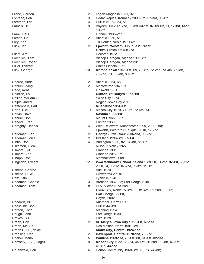| Logan-Magnolia 1981, 92                                                                  |
|------------------------------------------------------------------------------------------|
| Cedar Rapids, Kennedy 2000-3rd, 07-3rd, 08-4th                                           |
| Hull 1951, 52, 54, 56                                                                    |
| Boyden-Hull 2001-2nd, 02-3rd, 03-1st, 07, 08-4th, 11, 12-1st, 13-1st,<br>$19-2nd$        |
| Grinnell 1935-2nd                                                                        |
| Atlantic 1950, 51                                                                        |
| Tri-Center, Neola 1970-4th                                                               |
| Epworth, Western Dubuque 2001-1st;                                                       |
| Central Clinton, DeWitt-2nd                                                              |
| Decorah 1972                                                                             |
| Bishop Garrigan, Algona 1993-4th                                                         |
| Bishop Garrigan, Algona 2010                                                             |
| Wales-Lincoln 1952                                                                       |
| Marshalltown 1966-1st, 69, 70-4th, 72-2nd, 73-4th, 75-4th,<br>76-2nd, 79, 83-4th, 89-3rd |
| Atlantic 1964, 65                                                                        |
| Montezuma 1949, 50                                                                       |
| Griswold 1981                                                                            |
| Clinton, St. Mary's 1953-1st                                                             |
| Swea City 1974                                                                           |
|                                                                                          |
| Regina, Iowa City 2019                                                                   |
| <b>Muscatine 1954-1st</b>                                                                |
| Mason City 1970, 71-3rd, 72-4th, 74                                                      |
| Nashua 1985-1st                                                                          |
| Mount Union 1957                                                                         |
| Clinton 1939                                                                             |
| West Delaware, Manchester 1999, 2000-2nd;                                                |
| Epworth, Western Dubuque, 2010, 12-2nd                                                   |
| George-Little Rock 2006-1st, 08-2nd                                                      |
| Creston 1996-3rd, 97-1st                                                                 |
| Burlington 1980, 82, 84-4th, 85-4th                                                      |
| Missouri Valley 1927                                                                     |
| Clarinda 1991                                                                            |
| Clarinda 2012-3rd                                                                        |
|                                                                                          |
| Marshalltown 2008                                                                        |
| Iowa Mennonite School, Kalona 1988, 90, 91-2nd, 92-1st, 98-2nd,                          |
| 2000, 04, 05-2nd, 07-2nd, 09-3rd, 11, 12                                                 |
| <b>Adel 1970</b>                                                                         |
| Crawfordville 1946                                                                       |
| Lynnville 1940                                                                           |
| Bronson 1932, 35; Fort Dodge 1949                                                        |
| HLV, Victor 1973-2nd;                                                                    |
| Sioux City, North 75-3rd, 80, 81-4th, 82-2nd, 83-3rd;                                    |
| Fort Dodge 88-1st,                                                                       |
| Saydel 2002                                                                              |
| Kuemper, Carroll 1999                                                                    |
| Hull 1944-3rd                                                                            |
| Manning 1994                                                                             |
|                                                                                          |
| Fort Dodge 1930                                                                          |
| <b>Dike 1928</b>                                                                         |
| St. Mary's, Iowa City 1956-1st, 57-1st                                                   |
| Des Moines, North 1991-3rd                                                               |
| Sioux City, Central 1924-1st                                                             |
| Davenport, Central 1970-1st, 79-2nd                                                      |
| Paullina 1969-1st, 70-1st, 80, 81-1st, 82-1st                                            |
| Mason City 1932, 33, 34, 35-1st, 36-2nd, 39-4th, 40-1st,                                 |
| 41-4th, 43-1st                                                                           |
| Harlan Community 1968-3rd, 72, 73, 74-4th;                                               |
|                                                                                          |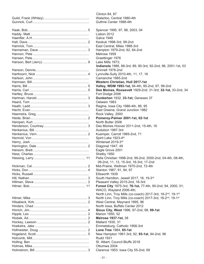| Clinton 84, 87                                               |
|--------------------------------------------------------------|
| Waterloo, Central 1980-4th                                   |
| Guthrie Center 1988-4th                                      |
|                                                              |
| Spencer 1995, 97, 98, 2003, 04                               |
| Lisbon 2012                                                  |
| <b>Galva 1948</b>                                            |
| Keokuk 1998-3rd, 99-2nd                                      |
| East Central, Miles 1988-3rd                                 |
| Hampton 1979-2nd, 82, 84-2nd                                 |
| Melrose 1959                                                 |
| Graettinger 1976                                             |
| Lake Mills 1973;                                             |
| Indianola 1986, 88-3rd; 89, 90-3rd, 92-2nd, 98, 2001-1st, 03 |
| Grinnell 1978-2nd                                            |
|                                                              |
| Lynnville-Sully 2010-4th, 11, 17, 18                         |
| Camanche 1985-2nd                                            |
| Western Christian, Hull 2017-1st                             |
| Valley, WDM 1993-1st, 94-4th, 95-2nd, 97, 99-2nd             |
| Des Moines, Roosevelt 1929-2nd; 31-3rd; 32-1st, 33-2nd, 34   |
| Fort Dodge 2006                                              |
| Dunkerton 1932, 33-1st; Geneseo 37                           |
| Oelwein 1983                                                 |
| Regina, Iowa City 1986-4th, 89, 95                           |
| East Greene, Grand Junction 1982                             |
| Rock Valley, 2000                                            |
| Pomeroy-Palmer 2001-1st, 02-1st                              |
| North Butler 2006                                            |
| Des Moines Hoover 2011-2nd, 15-4th, 16                       |
| Audubon 1987-3rd                                             |
| Kuemper, Carroll 1969-2nd, 71                                |
| Spirit Lake 1923-4th                                         |
| Winterset 2019-3rd                                           |
| Diagonal 1947, 49                                            |
| Eagle Grove 2001                                             |
| Shelby 1950                                                  |
| Pella Christian 1998-2nd, 99-2nd, 2000-2nd, 04-4th, 08-4th,  |
| 09-2nd, 11, 13, 15-3rd, 16-3rd, 17-2nd                       |
| Mid-Prairie, Wellman 1970-2nd, 72-4th                        |
| Stanton 1987, 91, 94, 97                                     |
| Ellsworth 1939                                               |
| South Hamilton, Jewell 2017, 18, 19-3rd                      |
| Pleasant Valley 2015-2nd, 16-3rd                             |
|                                                              |
| Forest City 1975-3rd, 76-1st, 77-4th, 90-2nd, 94, 2000, 01;  |
| WACO, Wayland 2006-4th;                                      |
| North Linn, Troy Mills (co-coach) 2017-3rd, 18-2nd, 19-1st   |
| North Linn, Troy Mills (co-coach) 2017-3rd, 18-2nd, 19-1st   |
| West Central, Maynard 1995, 96                               |
| North Iowa, Buffalo Center 2012                              |
| Sioux City, West 1996, 97-2nd, 98, 99-1st                    |
| Marion 1950, 52                                              |
| <b>Melrose 1937-1st, 38</b>                                  |
| Mallard 1930, 31                                             |
| Emmetsburg, Catholic 1956-3rd                                |
| Lone Tree 1984, 85-1st                                       |
| New Hampton 1991-3rd, 92, 93-1st, 94-2nd, 96                 |
| <b>Rudd 1931</b>                                             |
| St. Albert, Council Bluffs 2018                              |
| Ottumwa 2004                                                 |
| Clarence 1953; Iowa City 55-2nd, 69                          |
|                                                              |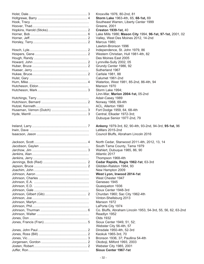Knoxville 1976, 80-2nd, 81  $Storm Lake 1963-4th, 65, 68-1st, 69$ Southeast Warren, Liberty Center 1999 Greene, 2001 **Creston 1939-1st, 40** Lake Mills 1986; Mason City 1994, 96-1st, 97-1st, 2001, 02 Valley, West Des Moines 2012, 14-2nd Marcus 1980; Lawton-Bronson 1996 Independence, St. John 1979, 86 Western Christian, Hull 1981-4th, 82 Des Moines East 2005 Lynnville-Sully 2002, 05 Grundy Center 1986, 92 Sutherland 1967 Carlisle 1981, 88 Calumet 1961-2nd Waterloo, West 1981, 85-2nd, 86-4th, 94 Manson 1970 Storm Lake 1994; Linn-Mar, **Marion 2004-1st,** 05-2nd Adair-Casey 1989 Norway 1968, 69-4th ACL, Allerton 1960 Fort Dodge 1959, 64, 68-4th Central, Elkader 1972-3rd; Dubuque Senior 1977-2nd, 79 Ankeny 1979-3rd, 82, 90-4th, 93-2nd, 94-3rd, 95-1st, 96 LeMars 2015-2nd Council Bluffs, Abraham Lincoln 2016 North Cedar, Stanwood 2011-4th, 2012, 13, 14 South Tama County, Tama 1979 Wahlert, Dubuque 1985, 86, 90 Atlantic 2017 Thompson 1968-4th Cedar Rapids, Regis 1962-1st, 63-3rd Glidden-Ralston 1984, 93 New Hampton 2009 West Lyon, Inwood 2014-1st West Chester 1947 Geneseo 1945 Quasqueton 1936 Sioux Center 1948-3rd Churdan 1960; Sac City 1962-4th Vinton-Shellsburg 2013 Manson 1972 LaPorte City 1974 Co. Bluffs, Abraham Lincoln 1953, 54-3rd, 55, 56, 62, 63-2nd Readlyn 1952 **Olds 1932** Sioux Center 1949, 51, 52; Webster City 56-4th, 57 Dinsdale 1950-4th, 52-3rd Keokuk 1965-3rd, 70 Bronson 1936, 37; Paullina 54-4th Okoboji, Milford 1993, 2003 Webster City 1985, 2001 Sioux Center 1967-1st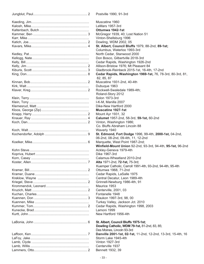Postville 1990, 91-3rd

Muscatine 1960 LeMars 1957-3rd Kaltenbach, Butch ...................................................... **Ottumwa 1942-1st** McGregor 1939, 40; Lost Nation 51 Vinton-Shellsburg 1996 Dowling, WDM 2002, 05 **St. Albert, Council Bluffs** 1979, 88-2nd, 89-1st; Columbus, Waterloo 1993-3rd North Cedar, Stanwood 2000 Don Bosco, Gilbertville 2018-3rd Cedar Rapids, Washington 1926-2nd Allison-Bristow 1976; Mt Pleasant 84 Gladbrook-Reinbeck 2015-1st, 16-4th, 17-2nd **Cedar Rapids, Washington 1969-1st, 76, 78-3rd, 80-3rd, 81,** 82, 85, 87 Muscatine 1931-2nd, 40-4th Dubuque 1963 Rockwell-Swaledale 1989-4th; Roland-Story 2012 Solon 1973-3rd I-K-M. Manilla 2007 Dike-New Hartford 2000 **Muscatine 1927-1st** Mount Ayr 1931, 32 Knauer, Ray ............................................................. 4 **Calumet** 1957-2nd, 58-3rd, **59-1st,** 60-2nd Vinton, Washington 1986; Co. Bluffs Abraham Lincoln 88 Waverly 1940 **St. Edmond, Fort Dodge** 1996, 99-4th, 2000-1st, 04-2nd, 06-2nd, 08-2nd, 09-4th, 11, 12-2nd Marquette, West Point 1987-2nd; **Winfield-Mount Union** 92-2nd, 93-3rd, 94-4th, **95-1st,** 96-2nd Ackley-Geneva 1979-4th Dike 1967-3rd Calamus-Wheatland 2010-2nd **Alta 1971-2nd, 72-1st, 75-3rd;**  Kuemper Catholic, Carroll 1991-4th, 93-2nd, 94-4th, 95-4th Ottumwa 1968, 71-2nd Cedar Rapids, LaSalle 1975 Central Decatur, Leon 1989-4th Grinnell-Newburg 1986-4th, 91 Maurice 1953 Centerville, 2001, 03 Fontanelle 1948 Waukon 1997-3rd, 98, 00 Turkey Valley, Jackson Jct. 2010 Cedar Rapids, Washington 1998, 2003 Lamoni 1999 New Hartford 1956-4th **St. Albert, Council Bluffs 1975-1st; Dowling Catholic, WDM 79-1st,** 81-2nd, 83, 85; Des Moines, Lincoln 93-3rd Danville 2001-1st, 02-1st, 11-2nd, 12-2nd, 13-3rd, 15-4th, 16 Storm Lake 1945-4th

- 33 -

Vinton 1927-3rd Centerville 1937 Bennett 1932, 39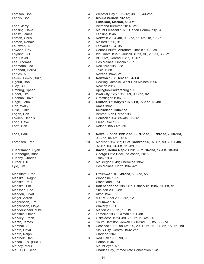Webster City 1936-3rd; 38, 39, 43-2nd **Mount Vernon 73-1st; Linn-Mar, Marion, 83-1st** Belmond-Klemme 2014-3rd Mount Pleasant 1976; Harlan Community 84 Lansing 1946 Norwalk 2004-4th, 09-2nd, 11-4th, 18, 19-2<sup>nd</sup> Mallard 1990, 91 Ledyard 1934, 35 Council Bluffs, Abraham Lincoln 1938, 39 Ida Grove 1927; Council Bluffs, AL, 29, 31, 33-3rd BCLUW, Conrad 1987, 98-4th Des Moines, Lincoln 1987 Rockford 1981, 88 Joice 1958 Nevada 1942-3rd Levick, Lewis (Buzz) ................................................ 3 **Newton** 1958, **63-1st, 64-1st** Dowling Catholic, West Des Moines 1996 Newton 2017 Aplington-Parkersburg 1996 lowa City, City 1989-1st, 90-2nd, 92 Graettinger 1986, 89 **Clinton, St Mary's 1975-1st, 77-1st, 78-4th** Ames 1961 Little, Justin ................................................................ **Dunkerton 2004-1st** Benton, Van Horne 1980 Denison 1984, 85-4th, 86-3rd Clear Lake 1968 Roland 1953-4th, 55 Loos, Paul ................................................................ 9 **Newell-Fonda 1991-1st,** 92, **97-1st,** 98, **99-1st, 2000-1st,** 03-2nd, 04-4th; 2014 Monroe 1987-4th; PCM, Monroe 95, 97-4th, 99, 2001-4th, 02-4th, 03, **04-1st,** 11-3rd, 12 **Xavier, Cedar Rapids** 2015-3rd; 16-1st, 17-1st, 18-3rd George-Little Rock (co-coach) 2018 Tracy 1934 McGregor 1949; Cherokee 1952 Des Moines, North 1967-4th **Ottumwa 1948, 49-1st, 53-2nd, 55** Woodbine 1969 Wheatland 1954 Maaske, Tim............................................................. 4 **Independence** 1980-4th; Estherville 1986, **87-1st,** 91 Sheldon 2018-4th Alton 1947, 59 A-D-M, Adel 2008-3rd, 12 Ottumwa 1978 Waverly 1951 Marion 2009, 11, 18, 19 LaMoille 1930; Gilman 1931-4th Oskaloosa 1923-3rd, 25-3rd, 27-4th, 30 South Hamilton, Jewell 1980-2nd, 83, 85, 88-2nd Cascade 1993, 98-4th, 99, 2001-3rd, 11, 14-4th, 15, 16-2nd Sioux City, Central 1932-2nd Clarinda 1941 Red Oak 1983, 90, 93

Harlan 1946 Mount Ayr 1975

Charles City, Immaculate Conception 1949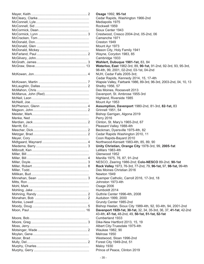**Osage 1992, 95-1st** Cedar Rapids, Washington 1966-2nd Mediapolis 1975 Rockwell 1959 Sioux Center 1943 Crestwood, Cresco 2004-2nd, 05-2nd, 06 Camanche 1971 Creston 1949 Mount Ayr 1973 Mason City. Holy Family 1941 Wayne, Corydon 1983, 85 Cambridge 1933 **Wahlert, Dubuque 1981-1st, 83, 84** Waterloo, East 1982-3rd, 89, 90-1st, 91-2nd, 92-3rd, 93, 95-3rd, 98-4th, 99, 2001, 02-2nd, 03-1st, 04-2nd NUH, Cedar Falls 2005-3rd; Cedar Rapids, Kennedy 2014, 15, 17-4th Wapsie Valley, Fairbank 1986, 89-3rd, 96-3rd, 2003-2nd, 04, 10, 13 Shelby 1956, 57 Des Moines, Roosevelt 2013 Davenport, St. Ambrose 1955-3rd. Highland, Riverside 1985 Mount Ayr 1953 **Assumption, Davenport 1980-2nd, 81-3rd, 82-1st, 83** Grinnell 1951, 54 Bishop Garrigan, Algona 2019 Perry 2016 Clinton, St. Mary's 1965-2nd, 67 Pleasant Valley 1988-4th Beckman, Dyersville 1975-4th, 82 Cedar Rapids Washington 2010, 11 Coon Rapids-Bayard 2010 Northwood-Kensett 1983-4th, 85, 89, 90 **Unity Christian, Orange City 1978-3rd, 99, 2005-1st** LeMars 1983-4th Glenwood 1952 Manilla 1975, 76, 87, 91-2nd NESCO, Zearing 1986-2nd; Colo-NESCO 89-2nd, 90-1st Miller, Robert............................................................ 8 **Rock Valley** 1973, 76-3rd, 77-2nd, 79, **96-1st,** 97, **98-1st,** 99-4th Des Moines Christian 2016 Newton 1949 Kuemper Catholic, Carroll 2016, 17-3rd, 18 Johnston 1973-4th **Osage 2006** Humboldt 2014 Guthrie Center 1996-4th, 2008 Audubon 1999, 2000 Grundy Center 1985-2nd Bishop Heelan, Sioux City 1989-4th, 92, 93-4th, 94, 2001-2nd Davenport 1929-1st, 30-1st, 32, 34, 35-3rd, 36, 37, 41-1st, 42-2nd 43-4th, **47-1st,** 48-2nd, 49, **50-1st, 51-1st, 52-1st** Cumberland 1933 Dike-New Hartford 2013, 15, 19 Albert City-Truesdale 1975-4th Waukee 1982, 90 Melrose 1950 Westwood, Sloan 1996-2nd Forest City 1949-2nd, 51 Maloy 1930 Prince of Peace, Clinton 2019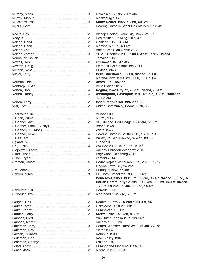| Oelwein 1988, 95, 2002-4th                                   |
|--------------------------------------------------------------|
| Macksburg 1958                                               |
| Sioux Center 1955, 59-1st, 60-3rd                            |
| Dowling Catholic, West Des Moines 1992-4th                   |
| Bishop Heelan, Sioux City 1966-3rd, 67                       |
| Des Moines, Dowling 1945, 47                                 |
| Oakland 1985, 86-3rd                                         |
| Monticello 1959, 60-4th                                      |
| Battle Creek-Ida Grove 2008                                  |
| SCMT, Sheffield 2005, 2008; West Fork 2011-1st               |
| Jamaica 1956                                                 |
| Ottumwa 1945, 47-4th                                         |
| Exira/Elk Horn-Kimballton 2011                               |
| Hudson 1948                                                  |
| Pella Christian 1990-1st, 92-1st, 93-1st;                    |
| Marshalltown 1999-3rd, 2000, 03-4th, 04                      |
| Ames 1952, 55-1st                                            |
| Belle Plaine 2015                                            |
| Regina, Iowa City 72, 76-1st, 78-1st, 79-1st                 |
| Assumption, Davenport 1991-4th, 92, 99-1st, 2000-1st,        |
| 02, 03-3rd                                                   |
| Bondurant-Farrar 1997-1st, 98                                |
| United Community, Boone 1970, 88                             |
|                                                              |
| Villisca 2009                                                |
| Murray 1935                                                  |
|                                                              |
| St. Edmond, Fort Dodge 1980-3rd, 81-3rd                      |
| Boone 1948                                                   |
| Wiota 1946                                                   |
| Dowling Catholic, WDM 2010, 13, 16, 19                       |
| Valley, WDM 1984-2nd, 87-2nd, 88, 89                         |
| Luana 1935                                                   |
| Waukee 2012, 15, 18-3rd, 19-3rd                              |
| Ankeny Christian Academy 2010                                |
| Edgewood-Colesburg 2018                                      |
| Lamoni 2014                                                  |
| Cedar Rapids, Jefferson 1999, 2010, 11, 12                   |
| Regina, Iowa City 14-2nd                                     |
| Dubuque 1952, 55-4th                                         |
| Elk Horn-Kimballton 1989, 90-3rd;                            |
| Pomeroy-Palmer 1991-3rd, 92-3rd, 93-4th, 94-1st, 95-2nd, 97, |
| Harlan Community 98-2nd, 2001-4th, 03-2nd, 04-1st, 06-1st,   |
| 07-3rd, 08-2nd, 09-4th, 13-2nd, 14-4th                       |
| Danville 1952                                                |
| Moorhead 1949-3rd, 60-3rd                                    |
|                                                              |
| Central Clinton, DeWitt 1981-1st, 96                         |
| Oskaloosa 2018-2 <sup>nd</sup> , 2019-1st                    |
| Humboldt 1998, 02                                            |
| Storm Lake 1979-4th, 80-1st                                  |
| Van Buren, Keosauqua 1980-4th                                |
| Ankeny 1950-2nd                                              |
| Central Webster, Burnside 1976-4th, 77, 78                   |
| Slater 1954                                                  |
| Rathbun 1939                                                 |
| Rock Valley 1987                                             |
| Whitten 1940                                                 |
| Cumberland-Massena 1995, 98                                  |
| Mitchellville 1936, 37                                       |
|                                                              |
|                                                              |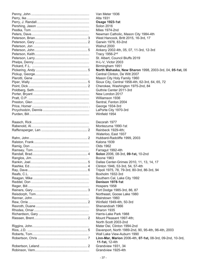| Van Meter 1936                                             |
|------------------------------------------------------------|
| Alta 1931                                                  |
| <b>Osage 1923-1st</b>                                      |
| <b>Solon 2016</b>                                          |
| Miles 1974-2nd                                             |
| Newman Catholic, Mason City 1984-4th                       |
| West Hancock, Britt 2015, 16-3rd, 17                       |
| Garwin 1978, 83-2nd                                        |
| Walnut 2000                                                |
| Ankeny 2002-4th, 05, 07, 11-3rd, 12-3rd                    |
| Tracy 1956-2nd                                             |
|                                                            |
| St. Albert, Council Bluffs 2019                            |
| H-L-V, Victor 2003                                         |
| Birmingham 1951                                            |
| North Mahaska, New Sharon 1998, 2003-3rd, 04, 05-1st, 06   |
| Central Clinton, De Witt 2007                              |
| Mason City Holy Family 1960                                |
| Sioux City, Central 1958-4th, 62-3rd, 64, 65, 72           |
| Cherokee, Washington 1975-2nd, 84                          |
| Guthrie Center 2011-3rd                                    |
| New London 2017                                            |
| Williamson 1936                                            |
| Sentral, Fenton 2004                                       |
| George 1934-3rd                                            |
| LaPorte City 1970-3rd                                      |
| Winfield 1954                                              |
|                                                            |
| Decorah 1977                                               |
| Montezuma 1990-1st                                         |
| Reinbeck 1929-4th;                                         |
|                                                            |
| Waterloo, East 1937                                        |
| Hubbard-Radcliffe 1999, 2003                               |
| Kalona 1939                                                |
| Olds 1962                                                  |
| Farragut 1992-4th                                          |
| Solon 2006, 08-3rd, 09-1st, 10-2nd                         |
| <b>Boone 1963</b>                                          |
| Dallas Center-Grimes 2010, 11, 13, 14, 17                  |
| Clinton 1946, 53-3rd, 54, 57-4th                           |
| Tripoli 1975, 78, 79-3rd, 80-3rd, 86-3rd, 94               |
| Boxholm 1932-3rd                                           |
| Southern Cal, Lake City 1992                               |
| Denison 1978-1st                                           |
| Hospers 1958                                               |
| Fort Dodge 1985-3rd, 86, 87                                |
| Northeast, Goose Lake 1980                                 |
| Blairstown 1960                                            |
| Winfield 1949-4th, 50-3rd                                  |
| Shenandoah 1966                                            |
| Sharon 1935                                                |
|                                                            |
| Harris-Lake Park 1988                                      |
| Mount Pleasant 1997-4th;                                   |
| North Scott 2003-2nd                                       |
| Mater Dei, Clinton 1994-2nd                                |
| Davenport, North 1989-2nd, 90, 95-4th, 96-4th, 2003        |
| Wall Lake View-Auburn 1990                                 |
| Linn-Mar, Marion 2006-4th, 07-1st, 08-3rd, 09-2nd, 10-3rd, |
| 11-1st, 12-4th                                             |
| Grandview 1931, 34                                         |
| Grandview 1925-4th                                         |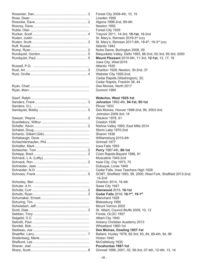Forest City 2008-4th, 10, 15 Lowden 1958 Algona 1996-2nd, 99-4th Newton 1992 Forest City 1935 Rucker, Scott............................................................ 4 Treynor 2011, 14-3rd, **15-1st**, 18-2nd St. Mary's, Remsen 2019-3rd (co) St. Mary's, Remsen 2017-4th, 18-4<sup>th</sup>, 19-3<sup>rd</sup> (co) Atlantic 1942 Notre Dame, Burlington 2008, 09 Maquoketa Valley, Delhi 1983, 86-2nd, 92-3rd, 95-3rd, 2000 **Mount Pleasant** 2010-4th, 11-3rd, 12-1st, 13, 17, 18 Iowa City, West 2019 Atlantic 1930 Chariton 1928; Newton, 30-2nd, 37 Webster City 1926-2nd; Cedar Rapids (Washington), 32; Cedar Rapids, Franklin 38, 44 Des Moines, North 2017 Dumont 1969 **Waterloo, West 1925-1st Johnston** 1992-4th, **94-1st, 95-1st** Plover 1933 Des Moines, Hoover 1998-2nd, 99, 2003-3rd;

 Johnston 2009-3rd; 18 Waukon 1978, 81 Creston 1936 Nishna Valley 1993; East Mills 2014 Storm Lake 1970-2nd Sharon 1936 Williamsburg 2015-4th Grinnell 1977 Iowa Falls 1993 Schleicher, Tom ....................................................... 2 **Perry** 1987-4th, **88-1st** Coon Rapids-Bayard 1988, 91 Muscatine 1945-2nd Iowa City, City 1973, 75 Dubuque, Loras 1948 Cedar Falls, Iowa Teachers High 1928 SCMT, Sheffield 1993, 99, 2000; West Fork, Sheffield 2013-2nd; 14-2nd Chariton 2014, 16-4th Swea City 1947 Schulte, Curt ............................................................ 2 **Glenwood** 2015, **18-1st** Cedar Falls 2016; 18-1<sup>st</sup>, 19-1<sup>st</sup> Blanchard 1928 Blakesburg 1990 Mount Vernon 2002 St. Albert, Council Bluffs 2009, 10, 12 Fonda, OLGC 1957 Albert City 1940 Ankeny Christian Academy 2013 Wheatland 1960-1st Des Moines, Dowling 1957-1st Ballard, Huxley 1978, 82-3rd, 83, 84, 89-4th, 94, 98 Hinton 1940 McCallsburg 1935 **Pocahontas 1987-1st** Grinnell 1999, 2001, 02, 06-3rd, 07-4th, 12-4th, 13, 14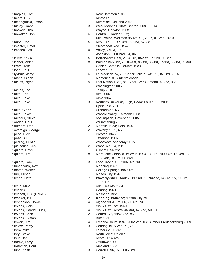| New Hampton 1942                                                    |
|---------------------------------------------------------------------|
| Kinross 1930                                                        |
| Riverside, Oakland 2013                                             |
| West Marshall, State Center 2008, 09, 14                            |
| Wayne, Corydon 1968                                                 |
| Central, Elkader 1982;                                              |
| Mid-Prairie, Wellman 96-4th, 97, 2005, 07-2nd, 2010                 |
| Keokuk 1950, 51-3rd, 52-2nd, 57, 58                                 |
| Steamboat Rock 1947                                                 |
| Valley, WDM, 1990;                                                  |
| Johnston 2000-2nd, 04, 06                                           |
|                                                                     |
| Bettendorf 1999, 2004-3rd, 05-1st, 07-2nd, 09-4th                   |
| Palmer 1977-4th, 79, 83-1st, 85-4th, 86-1st, 87-1st, 88-1st, 89-3rd |
| Gehlen Catholic, LeMars 1983                                        |
| <b>Lenox 1939</b>                                                   |
| Ft. Madison 74, 76; Cedar Falls 77-4th, 78, 87-3rd, 2005            |
| Montour 1943 (interim coach)                                        |
| Lost Nation 1987, 88; Clear Creek-Amana 92-2nd, 93;                 |
| Washington 2006                                                     |
| Jesup 2016                                                          |
| Alta 2006                                                           |
| Albia 1967                                                          |
| Northern University High, Cedar Falls 1998, 2001;                   |
| Spirit Lake 2016                                                    |
| Urbandale 1977                                                      |
|                                                                     |
| Wapsie Valley, Fairbank 1968                                        |
| Assumption, Davenport 2005                                          |
| Williamsburg 2003                                                   |
| Martelle 1934; Delhi 1937                                           |
| Waverly 1962, 66                                                    |
| Preston 1946                                                        |
| Jefferson 1966                                                      |
| Woodward Academy 2015                                               |
| Wapello 1994, 2018                                                  |
| Gilbert 1995-2nd                                                    |
| Marquette Catholic Bellevue 1993, 97-3rd, 2000-4th, 01-3rd, 02,     |
| 03-4th, 04-3rd, 06-2nd                                              |
| Lone Tree 1996, 2007-4th, 13                                        |
| Manning 1957                                                        |
| College Springs 1959-4th                                            |
|                                                                     |
| Mason City 1947                                                     |
| Waverly-Shell Rock 2011-2nd, 12, 13-1st, 14-3rd, 15, 17-3rd,        |
| $18-4th$                                                            |
| Adel-DeSoto 1984                                                    |
| Corning 1960                                                        |
| Massena 1951                                                        |
| Manning 1948-1st; Mason City 59                                     |
| Algona 1964-3rd, 66, 71-4th, 73                                     |
| Sioux City East 1960                                                |
| Sioux City, Central 45-3rd, 47-2nd, 50, 51                          |
| Central City 1982-2nd, 86                                           |
| <b>Britt 1930</b>                                                   |
| Fredericksburg 1997, 2002-2nd, 03; Sumner-Fredericksburg 2009       |
| Corning 1976-2nd, 77, 78                                            |
| LeMars 2000-3rd                                                     |
|                                                                     |
| North, West Union 1963                                              |
| Keota 2014-4th                                                      |
| Ottumwa 1993                                                        |
| Richland 1953                                                       |
| Carroll 1996, 97, 2005-3rd                                          |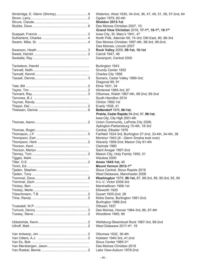Waterloo, West 1930, 34-2nd, 36, 47, 49, 51, 56, 57-2nd, 64 Ogden 1979, 82-4th Sheldon 2013-1st Des Moines Christian 2007, 10; **Grand View Christian** 2016, **17-1st, 18-1st, 19-1st** Iowa City, St. Mary's 1941, 47 North Polk, Alleman 69, 74-3rd; DM East, 80, 86-3rd Des Moines Christian 1997-4th, 98-3rd, 99-2nd; Des Moines, Lincoln 2007 Swanson, Heath....................................................... 3 **Rock Valley** 2005, **09-1st, 10-1st** Carroll 1947, 48 Davenport, Central 2000 Burlington 1943 Grundy Center 1952 Charles City 1956 Somers, Cedar Valley 1969-3rd; Diagonal 89, 91 Elma 1931, 34 Winterset 1985-3rd, 87 Ottumwa, Walsh 1967-4th, 68-2nd, 69-2nd South Hamilton 2014 Clinton 1992-1st Everly 1938, 41 **Bettendorf 1976, 86-1st; Prairie, Cedar Rapids** 94-2nd, 97, **98-1st;** Iowa City, City High 2001-4th Union Community, LaPorte City 2008; Aplington-Parkersburg 15-4th, 18-3rd Central, Elkader 1976 Fairfield 1924-3rd; Burlington 27-2nd, 33-4th, 34-4th, 38 Montour 1943 (ill - Glenn Smaha took over) Waverly 1958-2nd; Mason City 61-4th Clarinda 1980 Saint Ansgar 1997-2nd Mason City, Holy Family 1950, 51 Waukee 2000 **Ames 1945-1st, 46 Mount Vernon 2012-1st** Sioux Central, Sioux Rapids 2019 West Delaware, Manchester 2008 Washington 1979, 86-1st, 87, 88-3rd, 89, 90-3rd, 93, 94 H-L-V. Victor 2008-3rd Marshalltown 1956-1st Ellsworth 1929 Dysart 1925-2nd, 28 Notre Dame, Burlington 1981-2nd; Burlington 1986-2nd Ottosen 1937 Des Moines, Hoover 1984-3rd, 86, 87-4th Woodbine 1995, 96 Wellsburg-Steamboat Rock 1987-3rd, 88-2nd West Delaware 2017-4<sup>th</sup>, 19 Ottumwa 1932, 36-4th Holstein 1940-3rd, 41-2nd Sioux Center 1985-3rd Des Moines Christian 2019

Lake View-Auburn 1978-2nd: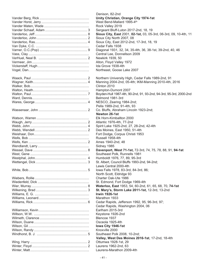| Denison, 82-2nd                                                    |
|--------------------------------------------------------------------|
| Unity Christian, Orange City 1974-1st                              |
| West Bend-Mallard 1995-4th                                         |
| Rock Valley 2019                                                   |
| Sergeant Bluff-Luton 2017-2nd, 18, 19                              |
| Sioux City, East 2001, 02-1st, 03, 05-3rd, 06-3rd, 09, 10-4th, 11  |
| Sioux City North 2007, 08                                          |
| Sioux City, East 2012-2nd, 17-3rd, 18, 19                          |
| Cedar Falls 1938                                                   |
| Diagonal 1931, 32, 34, 35-4th, 36, 38-1st, 39-2nd, 40, 46          |
| Central Lee, Donnellson 2009                                       |
| Newkirk 1939, 50                                                   |
| Alton, Floyd Valley 1972                                           |
| Ida Grove 1938-4th                                                 |
| Northeast, Goose Lake 2007                                         |
|                                                                    |
| Northern University High, Cedar Falls 1989-2nd, 91                 |
| Manning 2004-2nd, 05-4th; IKM-Manning 2010-4th, 2016               |
| Clinton 2010                                                       |
|                                                                    |
| Hampton-Dumont 2007                                                |
| Boyden-Hull 1987-4th, 90-2nd, 91, 93-2nd, 94-3rd, 95-3rd, 2000-2nd |
| Belmond 1981-3rd                                                   |
| NESCO, Zearing 1984-2nd;                                           |
| Pella 1989-2nd, 91-4th, 93                                         |
| Co. Bluffs, Abraham Lincoln 1923-2nd;                              |
| Newton 26-1st                                                      |
| Elk Horn-Kimballton 2000                                           |
| Atlantic 1976-4th, 77-2nd                                          |
| Spirit Lake 1925-2nd, 27, 28-2nd, 42-4th                           |
| Des Moines, East 1950, 51-4th                                      |
| Fort Dodge, Corpus Christi 1953                                    |
| Russell 1958-4th                                                   |
| Ames 1940-2nd, 48                                                  |
| Sidney 1985                                                        |
| Davenport, West 71-1st, 72-3rd, 74, 75, 78, 88, 91, 94-1st         |
| Southeast Polk, Runnells 1981                                      |
| Humboldt 1976, 77, 89, 95-3rd                                      |
| St. Albert, Council Bluffs 1993-2nd, 94-2nd;                       |
| Lewis Central 2000-4th                                             |
| lowa Falls 1978, 83-3rd, 84-3rd, 86;                               |
| North Scott, Eldridge 93                                           |
| Charter Oak-Ute 1986                                               |
| St. Edmond, Fort Dodge 1969-4th                                    |
| Waterloo, East 1953, 54, 60-2nd, 61, 65, 68, 70, 74-1st            |
| St. Mary's, Storm Lake 2011-1st, 12-3rd, 13-2nd                    |
| <b>Irwin 1926-1st</b>                                              |
| Marathon 1933                                                      |
| Cedar Rapids, Jefferson 1992, 95, 96-3rd, 97;                      |
| Cedar Rapids, Washington 2004, 06                                  |
| Earlham 2015-3rd                                                   |
| Keystone 1926-2nd                                                  |
| Blencoe 1937                                                       |
| Osceola 1925-4th                                                   |
|                                                                    |
| Iowa City 1946-1st<br>Knoxville 2000                               |
|                                                                    |
| Southeast Polk 2008, 10-2nd;                                       |
| Valley, West Des Moines 2016-1st, 17-2nd, 18-4th                   |
| Ottumwa 1928-1st, 29                                               |
| Laurens 1962-2nd, 63                                               |
| Laurens-Marathon 2009-4th                                          |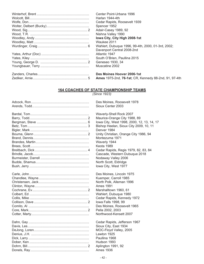| Center Point-Urbana 1996                              |
|-------------------------------------------------------|
| Harlan 1944-4th                                       |
| Cedar Rapids, Roosevelt 1939                          |
| Spencer 1952                                          |
| Adair-Casey 1989, 92                                  |
| Nishna Valley 1990                                    |
| Iowa City, City High 2008-1st                         |
| Waukee 2011                                           |
| Wahlert, Dubuque 1996, 99-4th, 2000, 01-3rd, 2002;    |
| Davenport Central 2008-2nd                            |
| Atlantic 1947                                         |
| South O'Brien, Paullina 2015                          |
| Geneseo 1930, 34                                      |
| Muscatine 2002                                        |
| Des Moines Hoover 2006-1st                            |
| Ames 1975-2nd, 76-1st; CR, Kennedy 88-2nd, 91, 97-4th |

#### **164 COACHES OF STATE CHAMPIONSHIP TEAMS**

*(Since 1923)*

| Des Moines, Roose         |
|---------------------------|
| Sioux Center 2003         |
| <b>Waverly-Shell Rocl</b> |
| Maurice-Orange Ci         |
| lowa City, West 19        |
| Bishop Heelan, Sic        |
| Denver 1984               |
| Unity Christian, Ora      |
| Montezuma 1971            |
| Waverly 1944              |
| Keota 1989                |
| Cedar Rapids, Reg         |
| Cascade, Western          |
| Nodaway Valley 20         |
| North Scott, Eldridg      |
| lowa City, West 19        |
| Des Moines, Lincol        |
| Kuemper, Carroll 1        |
| North Polk, Allemar       |
| <b>Ames 1991</b>          |
| Marshalltown 1960         |
| Wahlert, Dubuque          |
| Cedar Rapids, Ken         |
| lowa Falls 1998, 99       |
| Des Moines, Roose         |
| Pella 2002, 2003          |
| Northwood-Kenset          |
| Cedar Rapids, Jeff        |
| Sioux City, East 19       |
| MOC-Floyd Valley,         |
| Lawton 1925               |
| Paullina 1968             |
| Hudson 1993               |
| Aplington 1991, 92        |
| <b>Ames 1936</b>          |
|                           |

erly-Shell Rock 2007 Irice-Orange City 1988, 89 a City, West 1998, 2000, 12, 13, 14, 17 op Heelan, Sioux City 2009, 10, 11 iver 1984 y Christian, Orange City 1986, 94 ntezuma 1971 verly 1944 lar Rapids, Regis 1979, 82, 83, 84 cade, Western Dubuque 2018 laway Valley 2006 th Scott, Eldridge a City, West 1977

Moines, Roosevelt 1978

Moines, Lincoln 1975 mper, Carroll 1985 th Polk, Alleman 1996 shalltown 1960, 61 nlert, Dubuque 1980 lar Rapids, Kennedy 1972 a Falls 1998, 99 Moines, Roosevelt 1965 a 2002, 2003 thwood-Kensett 2007

lar Rapids, Jefferson 1967 Jx City, East 1934 C-Floyd Valley, 2005 ton 1925 Ilina 1968 Ison 1993 ngton 1991, 92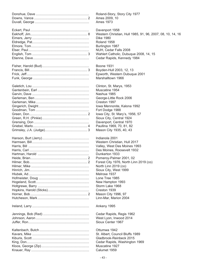| Roland-Story,        |
|----------------------|
| Ames 2009, 1         |
| <b>Ames 1973</b>     |
| Davenport 19         |
| <b>Western Chris</b> |
| <b>Dike 1980</b>     |
| Roland 1958          |
| Burlington 198       |
| NUH, Cedar F         |
| <b>Wahlert Catho</b> |
| Cedar Rapids         |
| <b>Boone 1931</b>    |
| Boyden-Hull 2        |
| Epworth, Wes         |
| Marshalltown         |
| Clinton, St. Ma      |
| Muscatine 195        |
| Nashua 1985          |
| George-Little I      |
| Creston 1997         |
| Iowa Mennoni         |
| Fort Dodge 19        |
| lowa City, St.       |
| Sioux City, Ce       |
| Davenport, Ce        |
| Paullina 1969,       |
| Mason City 19        |
| Indianola 200        |
| <b>Western Chris</b> |
| Valley, West D       |
| Des Moines, F        |
| Dunkerton 193        |
| Pomeroy-Paln         |
| Forest City 19       |
| North Linn 20        |
| Sioux City, We       |
| Melrose 1937         |
| Lone Tree 198        |
| New Hampton          |
| Storm Lake 19        |
| Creston 1939         |
| Mason City 19        |
| Linn-Mar, Mar        |
| Ankeny 1995          |
| Cedar Rapids         |
| West Lyon, In        |
| Sioux Center         |
| Ottumwa 1942         |
| St. Albert, Cou      |
| Gladbrook-Re         |
| Cedar Rapids         |
| Muscatine 192        |
| Calumet 1959         |

oland-Story, Story City 1977 mes 2009, 10  $m<sub>es</sub> 1973$ avenport 1958 Vestern Christian, Hull 1985, 91, 96, 2007, 08, 10, 14, 16  $i$ ike 1980  $\text{Coland}\ 1958$ **Eurlington 1987** IUH, Cedar Falls 2008 Vahlert Catholic, Dubuque 2008, 14, 15 edar Rapids, Kennedy 1984<sup>.</sup> oone 1931  $Sovden-Hull 2003, 12, 13$ pworth, Western Dubuque 2001 Aarshalltown 1966 Iinton, St. Marys, 1953 Iuscatine 1954 lashua 1985 George-Little Rock 2006 reston 1997. bwa Mennonite, Kalona 1992 ort Dodge 1988 bwa City, St. Mary's, 1956, 57 ioux City, Central 1924 avenport, Central 1970 aullina 1969, 70, 81, 82 Iason City 1935, 40, 43 ndianola 2001 Vestern Christian, Hull 2017 'alley, West Des Moines 1993 es Moines, Roosevelt 1932 unkerton 1933 omeroy-Palmer 2001, 02 orest City 1976, North Linn 2019 (co) lorth Linn 2019 (co) ioux City, West 1999 lelrose 1937 one Tree 1985. lew Hampton 1993 torm Lake 1968  $C$ reston 1939. Aason City 1996, 97 inn-Mar, Marion 2004 nkeny 1995 edar Rapids, Regis 1962<sup>.</sup> Vest Lyon, Inwood 2014 ioux Center 1967 Itumwa 1942 t. Albert, Council Bluffs 1989 iladbrook-Reinbeck 2015 edar Rapids, Washington 1969 Iuscatine 1927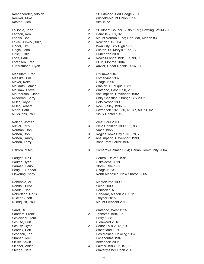| St. Edmond, Fort Dodge 2000                      |
|--------------------------------------------------|
| Winfield-Mount Union 1995                        |
| Alta 1972                                        |
|                                                  |
| St. Albert, Council Bluffs 1975; Dowling, WDM 79 |
|                                                  |
| Danville 2001, 02                                |
| Mount Vernon 1973; Linn-Mar, Marion 83           |
| Newton 1963, 64                                  |
| Iowa City, City High 1989                        |
| Clinton, St. Mary's 1975, 77                     |
| Dunkerton 2004                                   |
|                                                  |
| Newell-Fonda 1991, 97, 99, 00                    |
| PCM, Monroe 2004                                 |
| Xavier, Cedar Rapids 2016, 17                    |
|                                                  |
| Ottumwa 1949                                     |
| Estherville 1987                                 |
| Osage 1995                                       |
| Wahlert, Dubuque 1981                            |
| Waterloo, East 1990, 2003                        |
|                                                  |
| Assumption, Davenport 1982                       |
| Unity Christian, Orange City 2005                |
| Colo-Nesco 1990                                  |
| Rock Valley 1996, 98                             |
| Davenport 1929, 30, 41, 47, 50, 51, 52           |
| Sioux Center 1959                                |
|                                                  |
| West Fork 2011                                   |
|                                                  |
| Pella Christian 1990, 92, 93                     |
| <b>Ames 1955</b>                                 |
| Regina, Iowa City 1976, 78, 79                   |
| Assumption, Davenport 1999, 00                   |
| Bondurant-Farrar 1997                            |
|                                                  |
| Pomeroy-Palmer 1994; Harlan Community 2004, 06   |
|                                                  |
| Central, DeWitt 1981                             |
| Oskaloosa 2019                                   |
| Storm Lake 1980                                  |
| Osage 1923                                       |
| North Mahaska, New Sharon 2005                   |
|                                                  |
| Montezuma 1990                                   |
| <b>Solon 2009</b>                                |
|                                                  |
| Denison 1978                                     |
| Linn-Mar, Marion 2007, 11                        |
| Treynor 2015                                     |
| Mount Pleasant 2012                              |
|                                                  |
| Waterloo, West 1925                              |
| Johnston 1994, 95                                |
| <b>Perry 1988</b>                                |
| Glenwood 2018                                    |
| Cedar Falls 2018, 19                             |
|                                                  |
| Wheatland 1960                                   |
| Des Moines, Dowling 1957                         |
| Pocahontas 1987                                  |
| Bettendorf 2005                                  |
| Palmer 1983, 86, 87, 88                          |
| Waverly-Shell Rock 2013                          |
|                                                  |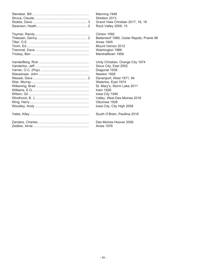| Manning 1948                              |
|-------------------------------------------|
| Sheldon 2013                              |
| Grand View Christian 2017, 18, 19         |
| Rock Valley 2009, 10                      |
| Clinton 1992                              |
| Bettendorf 1986; Cedar Rapids, Prairie 98 |
| Ames 1945                                 |
| Mount Vernon 2012                         |
| Washington 1986                           |
| Marshalltown 1956                         |
| Unity Christian, Orange City 1974         |
| Sioux City, East 2002                     |
| Diagonal 1938                             |
| Newton 1926                               |
| Davenport, West 1971, 94                  |
| Waterloo, East 1974                       |
| St. Mary's, Storm Lake 2011               |
| <b>Irwin 1926</b>                         |
| lowa City 1946                            |
| Valley, West Des Moines 2016              |
| Ottumwa 1928                              |
| Iowa City, City High 2008                 |
| South O'Brien, Paullina 2016              |
| Des Moines Hoover 2006                    |
| <b>Ames 1976</b>                          |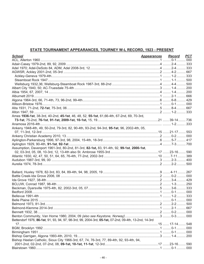### STATE TOURNAMENT APPEARANCES, TOURNEY W-L RECORD, 1923 - PRESENT

| <b>School</b>                                                                                         | <b>Appearances</b> | <b>Record</b> | <b>PCT</b> |
|-------------------------------------------------------------------------------------------------------|--------------------|---------------|------------|
|                                                                                                       |                    |               |            |
|                                                                                                       |                    |               |            |
|                                                                                                       |                    |               |            |
|                                                                                                       |                    |               |            |
|                                                                                                       |                    |               |            |
|                                                                                                       |                    |               |            |
|                                                                                                       |                    |               |            |
|                                                                                                       |                    |               |            |
|                                                                                                       |                    |               |            |
|                                                                                                       |                    |               |            |
|                                                                                                       |                    |               |            |
|                                                                                                       |                    |               |            |
|                                                                                                       |                    |               |            |
|                                                                                                       |                    |               |            |
| Ames 1936-1st, 38-3rd, 40-2nd, 45-1st, 46, 48, 52, 55-1st, 61,66-4th, 67-2nd, 69, 70-3rd,             |                    |               |            |
|                                                                                                       |                    |               |            |
|                                                                                                       |                    |               |            |
| Ankeny 1948-4th, 49, 50-2nd, 79-3rd, 82, 90-4th, 93-2nd, 94-3rd, 95-1st, 96, 2002-4th, 05,            |                    |               |            |
|                                                                                                       |                    |               |            |
|                                                                                                       |                    |               |            |
|                                                                                                       |                    |               |            |
|                                                                                                       |                    |               |            |
| Assumption, Davenport 1961-3rd, 80-2nd, 81-3rd, 82-1st, 83, 91-4th, 92, 99-1st, 2000-1st,             |                    |               |            |
|                                                                                                       |                    |               |            |
|                                                                                                       |                    |               |            |
|                                                                                                       |                    |               |            |
|                                                                                                       |                    |               |            |
|                                                                                                       |                    |               |            |
|                                                                                                       |                    |               |            |
|                                                                                                       |                    |               |            |
|                                                                                                       |                    |               |            |
|                                                                                                       |                    |               |            |
|                                                                                                       |                    |               |            |
|                                                                                                       |                    |               |            |
|                                                                                                       |                    |               |            |
|                                                                                                       |                    |               |            |
|                                                                                                       |                    |               |            |
|                                                                                                       |                    |               |            |
|                                                                                                       |                    |               |            |
| Bettendorf 1976, 86-1st, 91, 93, 94, 97, 98-3rd, 99, 2004-3rd, 05-1st, 07-2nd, 09-4th, 13-2nd, 14-3rd |                    |               |            |
|                                                                                                       |                    |               |            |
|                                                                                                       |                    |               |            |
|                                                                                                       |                    |               |            |
|                                                                                                       |                    |               |            |
|                                                                                                       |                    |               |            |
| Bishop Heelan Catholic, Sioux City 1966-3rd, 67, 74, 76-3rd, 77, 89-4th, 92, 93-4th, 94,              |                    |               |            |
|                                                                                                       |                    |               |            |
|                                                                                                       |                    |               |            |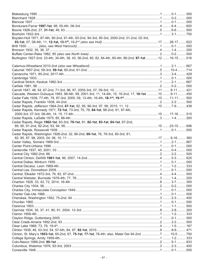| Boyden-Hull 1971, 87-4th, 90-2nd, 91-4th, 93-2nd, 94-3rd, 95-3rd, 2000-2nd, 01-2nd, 02-3rd,               |  |  |
|-----------------------------------------------------------------------------------------------------------|--|--|
|                                                                                                           |  |  |
|                                                                                                           |  |  |
|                                                                                                           |  |  |
|                                                                                                           |  |  |
|                                                                                                           |  |  |
| Burlington 1927-2nd, 33-4th, 34-4th, 38, 43, 56-2nd, 80, 82, 84-4th, 85-4th, 86-2nd, 87-1st 12  16-15 516 |  |  |
|                                                                                                           |  |  |
|                                                                                                           |  |  |
|                                                                                                           |  |  |
|                                                                                                           |  |  |
|                                                                                                           |  |  |
|                                                                                                           |  |  |
|                                                                                                           |  |  |
|                                                                                                           |  |  |
| Cascade, Western Dubuque 1993, 98-4th, 99, 2001-3rd, 11, 14-4th, 15, 16-2nd, 17, 18-1st 10  9-11  450     |  |  |
|                                                                                                           |  |  |
|                                                                                                           |  |  |
|                                                                                                           |  |  |
| Cedar Rapids, Kennedy 1971, 72-1st, 73-3rd, 75, 79, 84-1st, 88-2nd, 91, 97-4th,                           |  |  |
|                                                                                                           |  |  |
|                                                                                                           |  |  |
| Cedar Rapids, Regis 1962-1st, 63-3rd, 79-1st, 81, 82-1st, 83-1st, 84-1st, 87-2nd,                         |  |  |
|                                                                                                           |  |  |
|                                                                                                           |  |  |
|                                                                                                           |  |  |
| Cedar Rapids, Washington 1926-2nd, 32, 66-2nd, 69-1st, 76, 78-3rd, 80-3rd, 81,                            |  |  |
|                                                                                                           |  |  |
|                                                                                                           |  |  |
|                                                                                                           |  |  |
|                                                                                                           |  |  |
|                                                                                                           |  |  |
|                                                                                                           |  |  |
|                                                                                                           |  |  |
|                                                                                                           |  |  |
|                                                                                                           |  |  |
|                                                                                                           |  |  |
|                                                                                                           |  |  |
|                                                                                                           |  |  |
|                                                                                                           |  |  |
|                                                                                                           |  |  |
|                                                                                                           |  |  |
|                                                                                                           |  |  |
|                                                                                                           |  |  |
|                                                                                                           |  |  |
|                                                                                                           |  |  |
|                                                                                                           |  |  |
|                                                                                                           |  |  |
|                                                                                                           |  |  |
|                                                                                                           |  |  |
|                                                                                                           |  |  |
|                                                                                                           |  |  |
| Clinton, St. Mary's 1953-1st, 65-2nd, 67, 75-1st, 77-1st, 78-4th; also, Mater Dei 94-2nd 7  15-5 750      |  |  |
|                                                                                                           |  |  |
|                                                                                                           |  |  |
|                                                                                                           |  |  |
|                                                                                                           |  |  |
|                                                                                                           |  |  |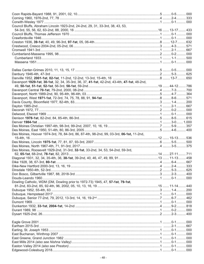| Council Bluffs, Abraham Lincoln 1923-2nd, 24-2nd, 29, 31, 33-3rd, 38, 43, 53,               |  |  |
|---------------------------------------------------------------------------------------------|--|--|
|                                                                                             |  |  |
|                                                                                             |  |  |
|                                                                                             |  |  |
|                                                                                             |  |  |
|                                                                                             |  |  |
|                                                                                             |  |  |
|                                                                                             |  |  |
|                                                                                             |  |  |
|                                                                                             |  |  |
|                                                                                             |  |  |
|                                                                                             |  |  |
|                                                                                             |  |  |
|                                                                                             |  |  |
|                                                                                             |  |  |
| Davenport 1929-1st, 30-1st, 32, 34, 35-3rd, 36, 37, 41-1st, 42-2nd, 43-4th, 47-1st, 48-2nd, |  |  |
|                                                                                             |  |  |
|                                                                                             |  |  |
|                                                                                             |  |  |
|                                                                                             |  |  |
|                                                                                             |  |  |
|                                                                                             |  |  |
|                                                                                             |  |  |
|                                                                                             |  |  |
|                                                                                             |  |  |
|                                                                                             |  |  |
|                                                                                             |  |  |
|                                                                                             |  |  |
| Des Moines, Hoover 1974-3rd, 78, 84-3rd, 86, 87-4th, 98-2nd, 99, 03-3rd, 06-1st, 11-2nd,    |  |  |
|                                                                                             |  |  |
|                                                                                             |  |  |
|                                                                                             |  |  |
|                                                                                             |  |  |
|                                                                                             |  |  |
| Des Moines, Roosevelt 1929-2nd, 31-3rd, 32-1st, 33-2nd, 34, 53, 54-2nd, 59-3rd,             |  |  |
|                                                                                             |  |  |
|                                                                                             |  |  |
|                                                                                             |  |  |
|                                                                                             |  |  |
|                                                                                             |  |  |
|                                                                                             |  |  |
|                                                                                             |  |  |
| Dowling Catholic, WDM (DM, Dowling prior to 1972-73) 1945, 47, 57-1st, 79-1st,              |  |  |
|                                                                                             |  |  |
|                                                                                             |  |  |
|                                                                                             |  |  |
|                                                                                             |  |  |
|                                                                                             |  |  |
|                                                                                             |  |  |
|                                                                                             |  |  |
|                                                                                             |  |  |
|                                                                                             |  |  |
|                                                                                             |  |  |
|                                                                                             |  |  |
|                                                                                             |  |  |
|                                                                                             |  |  |
|                                                                                             |  |  |
|                                                                                             |  |  |
|                                                                                             |  |  |
|                                                                                             |  |  |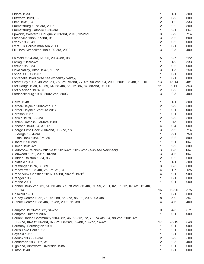| Forest City 1935, 49-2nd, 51, 75-3rd, 76-1st, 77-4th, 90-2nd, 94, 2000, 2001, 08-4th, 10, 15 13  13-14  481 |  |  |
|-------------------------------------------------------------------------------------------------------------|--|--|
|                                                                                                             |  |  |
|                                                                                                             |  |  |
|                                                                                                             |  |  |
|                                                                                                             |  |  |
|                                                                                                             |  |  |
|                                                                                                             |  |  |
|                                                                                                             |  |  |
|                                                                                                             |  |  |
|                                                                                                             |  |  |
|                                                                                                             |  |  |
|                                                                                                             |  |  |
|                                                                                                             |  |  |
|                                                                                                             |  |  |
|                                                                                                             |  |  |
|                                                                                                             |  |  |
|                                                                                                             |  |  |
|                                                                                                             |  |  |
|                                                                                                             |  |  |
|                                                                                                             |  |  |
|                                                                                                             |  |  |
|                                                                                                             |  |  |
|                                                                                                             |  |  |
|                                                                                                             |  |  |
|                                                                                                             |  |  |
|                                                                                                             |  |  |
| Grinnell 1935-2nd, 51, 54, 65-4th, 77, 78-2nd, 86-4th, 91, 99, 2001, 02, 06-3rd, 07-4th, 12-4th,            |  |  |
|                                                                                                             |  |  |
|                                                                                                             |  |  |
|                                                                                                             |  |  |
|                                                                                                             |  |  |
|                                                                                                             |  |  |
|                                                                                                             |  |  |
|                                                                                                             |  |  |
| Harlan; Harlan Community 1944-4th, 46, 68-3rd, 72, 73, 74-4th, 84, 98-2nd, 2001-4th,                        |  |  |
|                                                                                                             |  |  |
|                                                                                                             |  |  |
|                                                                                                             |  |  |
|                                                                                                             |  |  |
|                                                                                                             |  |  |
|                                                                                                             |  |  |
|                                                                                                             |  |  |
|                                                                                                             |  |  |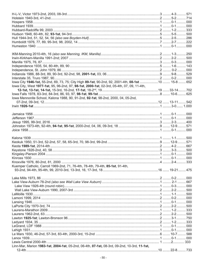| lowa City 1946-1st, 55-2nd, 69, 73, 75; City High 89-1st, 90-2nd, 92, 2001-4th, 08-1st 10  15-8  652 |  |     |
|------------------------------------------------------------------------------------------------------|--|-----|
| lowa City, West 1977-1st, 95, 96-2nd, 97, 98-1st, 2000-1st, 02-3rd, 05-4th, 07, 09, 11-4th,          |  |     |
|                                                                                                      |  |     |
|                                                                                                      |  |     |
| lowa Mennonite School, Kalona 1988, 90, 91-2nd, 92-1st, 98-2nd, 2000, 04, 05-2nd,                    |  |     |
|                                                                                                      |  |     |
|                                                                                                      |  |     |
|                                                                                                      |  |     |
|                                                                                                      |  |     |
|                                                                                                      |  |     |
|                                                                                                      |  |     |
|                                                                                                      |  |     |
|                                                                                                      |  |     |
|                                                                                                      |  |     |
|                                                                                                      |  |     |
|                                                                                                      |  |     |
|                                                                                                      |  |     |
|                                                                                                      |  |     |
|                                                                                                      |  |     |
|                                                                                                      |  |     |
|                                                                                                      |  |     |
|                                                                                                      |  |     |
|                                                                                                      |  |     |
| Kuemper Catholic, Carroll 1969-2nd, 71, 76-4th, 78-4th, 79-4th, 85-1st, 91-4th,                      |  |     |
|                                                                                                      |  |     |
|                                                                                                      |  |     |
|                                                                                                      |  |     |
|                                                                                                      |  |     |
|                                                                                                      |  |     |
|                                                                                                      |  | 500 |
|                                                                                                      |  |     |
|                                                                                                      |  |     |
|                                                                                                      |  |     |
|                                                                                                      |  | 500 |
|                                                                                                      |  |     |
|                                                                                                      |  |     |
|                                                                                                      |  |     |
|                                                                                                      |  | 333 |
|                                                                                                      |  |     |
|                                                                                                      |  |     |
|                                                                                                      |  |     |
|                                                                                                      |  |     |
|                                                                                                      |  |     |
| Linn-Mar, Marion 1983-1st, 2004-1st, 05-2nd, 06-4th, 07-1st, 08-3rd, 09-2nd, 10-3rd, 11-1st,         |  |     |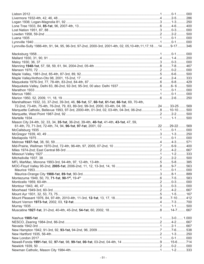|                                                                                                                  |  | .286 |
|------------------------------------------------------------------------------------------------------------------|--|------|
|                                                                                                                  |  |      |
|                                                                                                                  |  |      |
|                                                                                                                  |  |      |
|                                                                                                                  |  | 500  |
|                                                                                                                  |  |      |
|                                                                                                                  |  |      |
| Lynnville-Sully 1986-4th, 91, 94, 95, 96-3rd, 97-2nd, 2000-3rd, 2001-4th, 02, 05,10-4th, 11, 17, 18 14  9-17 346 |  |      |
|                                                                                                                  |  |      |
|                                                                                                                  |  |      |
|                                                                                                                  |  |      |
|                                                                                                                  |  |      |
|                                                                                                                  |  |      |
|                                                                                                                  |  |      |
|                                                                                                                  |  |      |
|                                                                                                                  |  |      |
|                                                                                                                  |  |      |
|                                                                                                                  |  |      |
|                                                                                                                  |  |      |
|                                                                                                                  |  |      |
|                                                                                                                  |  |      |
| Marshalltown 1932, 33, 37-2nd, 39-3rd, 46, 56-1st, 57, 60-1st, 61-1st, 66-1st, 69, 70-4th,                       |  |      |
|                                                                                                                  |  |      |
| Marquette Catholic, Bellevue 1993, 97-3rd, 2000-4th, 01-3rd, 02, 03-4th, 04-3rd, 06-2nd 8  10-10 500             |  |      |
|                                                                                                                  |  |      |
| Martelle 1934                                                                                                    |  |      |
| Mason City 24-4th, 32, 33, 34, 35-1st, 36-2nd, 39-4th, 40-1st, 41-4th, 43-1st, 47, 59,                           |  |      |
|                                                                                                                  |  |      |
|                                                                                                                  |  |      |
|                                                                                                                  |  |      |
|                                                                                                                  |  |      |
|                                                                                                                  |  |      |
|                                                                                                                  |  |      |
|                                                                                                                  |  |      |
|                                                                                                                  |  |      |
|                                                                                                                  |  |      |
|                                                                                                                  |  |      |
|                                                                                                                  |  |      |
|                                                                                                                  |  |      |
|                                                                                                                  |  |      |
|                                                                                                                  |  |      |
|                                                                                                                  |  |      |
|                                                                                                                  |  |      |
|                                                                                                                  |  |      |
|                                                                                                                  |  |      |
|                                                                                                                  |  |      |
|                                                                                                                  |  |      |
|                                                                                                                  |  |      |
|                                                                                                                  |  |      |
|                                                                                                                  |  |      |
|                                                                                                                  |  |      |
|                                                                                                                  |  |      |
|                                                                                                                  |  |      |
|                                                                                                                  |  |      |
|                                                                                                                  |  |      |
|                                                                                                                  |  |      |
|                                                                                                                  |  |      |
|                                                                                                                  |  |      |
|                                                                                                                  |  |      |
|                                                                                                                  |  |      |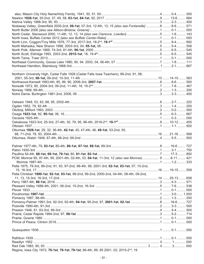| Northern University High, Cedar Falls 1928 (Cedar Falls Iowa Teachers), 89-2nd, 91, 98,            |  |  |
|----------------------------------------------------------------------------------------------------|--|--|
|                                                                                                    |  |  |
|                                                                                                    |  |  |
|                                                                                                    |  |  |
|                                                                                                    |  |  |
|                                                                                                    |  |  |
|                                                                                                    |  |  |
|                                                                                                    |  |  |
|                                                                                                    |  |  |
|                                                                                                    |  |  |
|                                                                                                    |  |  |
|                                                                                                    |  |  |
|                                                                                                    |  |  |
|                                                                                                    |  |  |
| Ottumwa 1928-1st, 29, 32, 36-4th, 42-1st, 45, 47-4th, 48, 49-1st, 53-2nd, 55,                      |  |  |
|                                                                                                    |  |  |
|                                                                                                    |  |  |
|                                                                                                    |  |  |
|                                                                                                    |  |  |
|                                                                                                    |  |  |
|                                                                                                    |  |  |
| PCM, Monroe 95, 97-4th, 99, 2001-4th, 02-4th, 03, 04-1st, 11-3rd, 12 (also see Monroe) 9  8-11 421 |  |  |
|                                                                                                    |  |  |
| Pella 1975, 79-3rd, 89-2nd, 91, 93, 97-2nd, 98-4th, 99, 2001-3rd, 02-1st, 03-1st, 07, 10-2nd,      |  |  |
|                                                                                                    |  |  |
| Pella Christian 1990-1st, 92-1st, 93-1st, 98-2nd, 99-2nd, 2000-2nd, 04-4th, 08-4th, 09-2nd,        |  |  |
|                                                                                                    |  |  |
|                                                                                                    |  |  |
|                                                                                                    |  |  |
|                                                                                                    |  |  |
|                                                                                                    |  |  |
|                                                                                                    |  |  |
|                                                                                                    |  |  |
|                                                                                                    |  |  |
|                                                                                                    |  |  |
|                                                                                                    |  |  |
|                                                                                                    |  |  |
|                                                                                                    |  |  |
|                                                                                                    |  |  |
|                                                                                                    |  |  |
|                                                                                                    |  |  |
|                                                                                                    |  |  |
|                                                                                                    |  |  |
|                                                                                                    |  |  |
| Regina, Iowa City 1972, 76-1st, 78-1st, 79-1st, 86-4th, 89, 95 2001, 02; 2015-2 <sup>nd</sup> , 19 |  |  |
|                                                                                                    |  |  |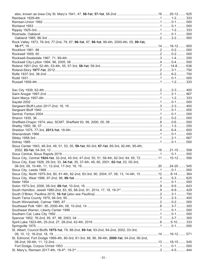| Rock Valley 1973, 76-3rd, 77-2nd, 79, 87, 96-1st, 97, 98-1st, 99-4th, 2000-4th, 05, 09-1st,            |  |  |
|--------------------------------------------------------------------------------------------------------|--|--|
|                                                                                                        |  |  |
|                                                                                                        |  |  |
|                                                                                                        |  |  |
|                                                                                                        |  |  |
|                                                                                                        |  |  |
|                                                                                                        |  |  |
|                                                                                                        |  |  |
|                                                                                                        |  |  |
|                                                                                                        |  |  |
|                                                                                                        |  |  |
|                                                                                                        |  |  |
|                                                                                                        |  |  |
|                                                                                                        |  |  |
|                                                                                                        |  |  |
|                                                                                                        |  |  |
|                                                                                                        |  |  |
|                                                                                                        |  |  |
|                                                                                                        |  |  |
|                                                                                                        |  |  |
|                                                                                                        |  |  |
|                                                                                                        |  |  |
|                                                                                                        |  |  |
|                                                                                                        |  |  |
|                                                                                                        |  |  |
|                                                                                                        |  |  |
|                                                                                                        |  |  |
| Sioux Center 1943, 48-3rd, 49, 51, 53, 55, 59-1st, 60-3rd, 67-1st, 85-3rd, 92-4th, 95-4th,             |  |  |
|                                                                                                        |  |  |
|                                                                                                        |  |  |
| Sioux City, Central 1924-1st, 32-2nd, 45-3rd, 47-2nd, 50, 51, 58-4th, 62-3rd, 64, 65, 7211  15-12 556  |  |  |
| Sioux City, East 1928, 29-3rd, 33, 34-1st, 35, 37-4th, 46, 60, 2001, 02-1st, 03, 05-3rd,               |  |  |
|                                                                                                        |  |  |
|                                                                                                        |  |  |
| Sioux City, North 1975-3rd, 80, 81-4th, 82-2nd, 83-3rd, 90, 2004, 07, 08, 13, 14-4th, 15 12  8-14  364 |  |  |
|                                                                                                        |  |  |
|                                                                                                        |  |  |
|                                                                                                        |  |  |
|                                                                                                        |  |  |
|                                                                                                        |  |  |
|                                                                                                        |  |  |
|                                                                                                        |  |  |
|                                                                                                        |  |  |
|                                                                                                        |  |  |
|                                                                                                        |  |  |
|                                                                                                        |  |  |
|                                                                                                        |  |  |
|                                                                                                        |  |  |
| St. Albert, Council Bluffs 1975-1st, 79, 88-2nd, 89-1st, 93-2nd, 94-2nd, 2002, 03-3rd,                 |  |  |
|                                                                                                        |  |  |
| St. Edmond, Fort Dodge 1969-4th, 80-3rd, 81-3rd, 88, 96, 99-4th, 2000-1st, 04-2nd, 06-2nd,             |  |  |
|                                                                                                        |  |  |
|                                                                                                        |  |  |
|                                                                                                        |  |  |
|                                                                                                        |  |  |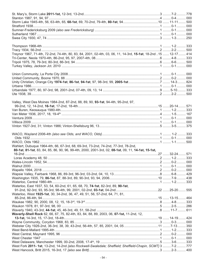| Treynor 1967, 71-4th, 72-2nd, 74-4th, 80, 83, 84, 2001, 02-4th, 03, 06, 11, 14-3rd, 15-1st, 18-2nd 15  12-17  414 |  |  |
|-------------------------------------------------------------------------------------------------------------------|--|--|
|                                                                                                                   |  |  |
|                                                                                                                   |  |  |
|                                                                                                                   |  |  |
|                                                                                                                   |  |  |
|                                                                                                                   |  |  |
|                                                                                                                   |  |  |
|                                                                                                                   |  |  |
|                                                                                                                   |  |  |
|                                                                                                                   |  |  |
|                                                                                                                   |  |  |
|                                                                                                                   |  |  |
| Valley, West Des Moines 1984-2nd, 87-2nd, 88, 89, 90, 93-1st, 94-4th, 95-2nd, 97,                                 |  |  |
|                                                                                                                   |  |  |
|                                                                                                                   |  |  |
|                                                                                                                   |  |  |
|                                                                                                                   |  |  |
|                                                                                                                   |  |  |
|                                                                                                                   |  |  |
|                                                                                                                   |  |  |
|                                                                                                                   |  |  |
|                                                                                                                   |  |  |
|                                                                                                                   |  |  |
| Wahlert, Dubuque 1964-4th, 66, 67-3rd, 68, 69-3rd, 73-2nd, 74-2nd, 77-3rd, 78-2nd,                                |  |  |
| 80-1st, 81-1st, 83, 84, 85, 86, 90, 96, 99-4th, 2000, 2001-3rd, 02, 08-1st, 09, 11, 14-1st, 15-1st,               |  |  |
|                                                                                                                   |  |  |
|                                                                                                                   |  |  |
|                                                                                                                   |  |  |
|                                                                                                                   |  |  |
|                                                                                                                   |  |  |
|                                                                                                                   |  |  |
|                                                                                                                   |  |  |
|                                                                                                                   |  |  |
| Waterloo, East 1937, 53, 54, 60-2nd, 61, 65, 68, 70, 74-1st, 82-3rd, 89, 90-1st,                                  |  |  |
|                                                                                                                   |  |  |
| Waterloo, West 1925-1st, 30, 34-2nd, 36, 47, 49, 51, 56, 57-2nd, 64, 71, 81,                                      |  |  |
|                                                                                                                   |  |  |
|                                                                                                                   |  |  |
|                                                                                                                   |  |  |
|                                                                                                                   |  |  |
| Waverly-Shell Rock 62, 66, 67, 75, 82-4th, 83, 84, 88, 89, 2003, 06, 07-1st, 11-2nd, 12,                          |  |  |
|                                                                                                                   |  |  |
|                                                                                                                   |  |  |
|                                                                                                                   |  |  |
|                                                                                                                   |  |  |
|                                                                                                                   |  |  |
|                                                                                                                   |  |  |
|                                                                                                                   |  |  |
| West Fork 2011-1st, 13-2nd, 14-2nd {also Rockwell-Swaledale; Sheffield; Sheffield-Chapin, SCMT} 3  7-2  777       |  |  |
|                                                                                                                   |  |  |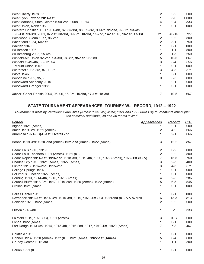| Western Christian, Hull 1981-4th, 82, 85-1st, 88, 89-3rd, 90-4th, 91-1st, 92-3rd, 93-4th,             |  |  |
|-------------------------------------------------------------------------------------------------------|--|--|
| 96-1st, 99-3rd, 2001, 07-1st, 08-1st, 09-3rd, 10-1st, 11-2nd, 14-1st, 15, 16-1st, 17-1st21  40-15 727 |  |  |
|                                                                                                       |  |  |
|                                                                                                       |  |  |
|                                                                                                       |  |  |
|                                                                                                       |  |  |
|                                                                                                       |  |  |
|                                                                                                       |  |  |
|                                                                                                       |  |  |
|                                                                                                       |  |  |
|                                                                                                       |  |  |
|                                                                                                       |  |  |
|                                                                                                       |  |  |
|                                                                                                       |  |  |
|                                                                                                       |  |  |
|                                                                                                       |  |  |

# STATE TOURNAMENT APPEARANCES, TOURNEY W-L RECORD, 1912 - 1922

Tournaments were by invitation; if dual sites (Ames; Iowa City) listed; 1921 and 1922 Iowa City tournaments reflect just<br>the semifinal and finals; 48 and 36 teams invited

| <b>School</b>                                                                                       | <b>Appearances Record</b> | <b>PCT</b> |
|-----------------------------------------------------------------------------------------------------|---------------------------|------------|
|                                                                                                     |                           |            |
|                                                                                                     |                           |            |
|                                                                                                     |                           |            |
|                                                                                                     |                           |            |
|                                                                                                     |                           |            |
|                                                                                                     |                           | 500        |
| Cedar Rapids 1914-1st, 1916-1st, 1918-3rd, 1919-4th, 1920, 1922 (Ames), 1922-1st (IC-A) 7  15-5 750 |                           |            |
|                                                                                                     |                           |            |
|                                                                                                     |                           |            |
|                                                                                                     |                           |            |
|                                                                                                     |                           |            |
|                                                                                                     |                           |            |
|                                                                                                     |                           |            |
|                                                                                                     |                           |            |
|                                                                                                     |                           |            |
| Davenport 1913-1st, 1914-3rd, 1915-3rd, 1919, 1920-1st (IC), 1921-1st (IC)-A & overall 6  13-3  813 |                           |            |
|                                                                                                     |                           |            |
|                                                                                                     |                           |            |
|                                                                                                     |                           |            |
|                                                                                                     |                           |            |
|                                                                                                     |                           |            |
|                                                                                                     |                           |            |
|                                                                                                     |                           |            |
|                                                                                                     |                           |            |
|                                                                                                     |                           |            |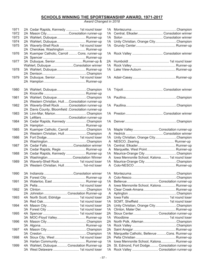### **SCHOOLS WINNING THE SPORTSMANSHIP AWARD, 1971-2017**

*Award Changed in 2018*

| 1971 | 2A Cedar Rapids, Kennedy  1st round loser          | 1A |                                               |  |
|------|----------------------------------------------------|----|-----------------------------------------------|--|
| 1972 | 2A Mason CityConsolation runner-up                 | 1Α | Central, Elkader Consolation winner           |  |
| 1973 | 2A Wahlert, Dubuque Runner-up                      | 1A |                                               |  |
| 1974 | 2A Wahlert, Dubuque Runner-up                      | 1A | Unity Christian, Orange CityChampion          |  |
| 1975 | 3A Waverly-Shell Rock  1st round loser             | 1A |                                               |  |
|      | 2A Cherokee, Washington  Runner-up                 |    |                                               |  |
| 1976 | 3A Kuemper Catholic, Carroll  Cons. runner-up      |    | 1A Rock Valley  Consolation winner            |  |
|      |                                                    |    |                                               |  |
| 1977 | 3A Dubuque, SeniorRunner-up &                      |    |                                               |  |
|      | Wahlert, Dubuque Consolation winner                |    |                                               |  |
| 1978 | 3A Wahlert, Dubuque Runner-up                      | 1A |                                               |  |
|      |                                                    |    |                                               |  |
| 1979 | 3A Dubuque, Senior 1st round loser                 |    |                                               |  |
|      |                                                    |    |                                               |  |
|      |                                                    |    |                                               |  |
| 1980 | 3A Wahlert, DubuqueChampion                        |    |                                               |  |
|      |                                                    |    |                                               |  |
| 1981 | 3A Wahlert, DubuqueChampion                        |    |                                               |  |
|      | 2A Western Christian, HullConsolation runner-up    |    |                                               |  |
| 1982 | 3A Waverly-Shell Rock Consolation runner-up        |    |                                               |  |
|      | 2A Davis County, Bloomfield .Consolation runner-up |    |                                               |  |
| 1983 | 3A Linn-Mar, MarionChampion                        |    |                                               |  |
|      | 2A LeMarsConsolation runner-up                     |    |                                               |  |
| 1984 | 3A Cedar Rapids, Kennedy Champion                  |    |                                               |  |
|      |                                                    |    |                                               |  |
| 1985 | 3A Kuemper Catholic, Carroll Champion              | 1A | Maple Valley Consolation runner-up            |  |
|      | 2A Western Christian, HullChampion                 | A  |                                               |  |
| 1986 |                                                    | 1A | Unity Christian, Orange CityChampion          |  |
|      |                                                    | A  |                                               |  |
| 1987 | 3A Cedar Falls Consolation winner                  | 1A |                                               |  |
|      | 2A Cedar Rapids, Regis  Runner-up                  | A  | Marquette, West Point Runner-up               |  |
| 1988 | 3A Cedar Rapids, Kennedy  Runner-up                | 1А |                                               |  |
|      | 2A WashingtonConsolation Winner                    | A  | Iowa Mennonite School, Kalona 1st round loser |  |
| 1989 | 3A Waverly-Shell Rock  1st round loser             | 1A |                                               |  |
|      | 2A Western Christian, Hull 1st-rnd loser           | A  |                                               |  |
|      |                                                    |    |                                               |  |
| 1990 | 3A Indianola Consolation winner                    |    |                                               |  |
|      |                                                    |    |                                               |  |
| 1991 |                                                    | 1Α |                                               |  |
|      |                                                    | A  | Iowa Mennonite School, Kalona Runner-up       |  |
| 1992 |                                                    | 1Α |                                               |  |
|      | 2A Johnston  Consolation Runner-up                 | A  |                                               |  |
| 1993 | 4A North Scott, Eldridge  1st round loser          | 2A |                                               |  |
|      |                                                    | 1A |                                               |  |
| 1994 |                                                    | 2A | Unity Christian, Orange CityChampion          |  |
|      |                                                    | 1A |                                               |  |
| 1995 |                                                    | 2A | Sioux Center Consolation runner-up            |  |
|      | 3A MOC-Floyd Valley Runner-up                      | 1A |                                               |  |
| 1996 |                                                    | 2A |                                               |  |
|      |                                                    |    |                                               |  |
|      |                                                    | 1A |                                               |  |
| 1997 |                                                    | 2A |                                               |  |
|      |                                                    | 1A | Marquette Catholic, Bellevue Cons. Runner-up  |  |
| 1998 | 4A Sioux City, West  1st round loser               | 2A |                                               |  |
|      | 3A Harlan Community  Runner-up                     | 1Α | Iowa Mennonite School, Kalona Runner-up       |  |
| 1999 | 4A Wahlert, Dubuque Consolation Runner-up          | 2A | St. Edmond, Fort Dodge Consolation runner-up  |  |
|      | 3A West Delaware  1st round loser                  | 1A | Rock Valley  Consolation runner-up            |  |

| 2A Cedar Rapids, Kennedy  1st round loser          | 1Α           |                                                 |  |
|----------------------------------------------------|--------------|-------------------------------------------------|--|
| 2A Mason CityConsolation runner-up                 | 1Α           | Central, Elkader Consolation winner             |  |
| 2A Wahlert, Dubuque Runner-up                      | 1Α           |                                                 |  |
| 2A Wahlert, Dubuque Runner-up                      | 1Α           | Unity Christian, Orange CityChampion            |  |
| 3A Waverly-Shell Rock  1st round loser             | 1Α           |                                                 |  |
| 2A Cherokee, Washington  Runner-up                 |              |                                                 |  |
| 3A Kuemper Catholic, Carroll  Cons. runner-up      |              |                                                 |  |
|                                                    |              |                                                 |  |
| 3A Dubuque, SeniorRunner-up &                      | 2A -         |                                                 |  |
| Wahlert, Dubuque Consolation winner                | 1A           |                                                 |  |
| 3A Wahlert, Dubuque Runner-up                      | 1A           |                                                 |  |
|                                                    |              |                                                 |  |
| 3A Dubuque, Senior 1st round loser                 |              |                                                 |  |
|                                                    |              |                                                 |  |
|                                                    |              |                                                 |  |
| 3A Wahlert, DubuqueChampion                        |              |                                                 |  |
|                                                    |              |                                                 |  |
| 3A Wahlert, DubuqueChampion                        |              |                                                 |  |
| 2A Western Christian, HullConsolation runner-up    |              |                                                 |  |
| 3A Waverly-Shell Rock Consolation runner-up        |              |                                                 |  |
| 2A Davis County, Bloomfield .Consolation runner-up |              |                                                 |  |
| 3A Linn-Mar, MarionChampion                        |              |                                                 |  |
| 2A LeMarsConsolation runner-up                     |              |                                                 |  |
| 3A Cedar Rapids, Kennedy Champion                  |              |                                                 |  |
|                                                    |              |                                                 |  |
| 3A Kuemper Catholic, Carroll Champion              | 1A           | Maple Valley Consolation runner-up              |  |
| 2A Western Christian, HullChampion                 | A            |                                                 |  |
|                                                    | 1Α           | Unity Christian, Orange CityChampion            |  |
|                                                    | A            |                                                 |  |
| 3A Cedar Falls Consolation winner                  | 1Α           |                                                 |  |
| 2A Cedar Rapids, Regis  Runner-up                  | A            | Marquette, West Point Runner-up                 |  |
| 3A Cedar Rapids, Kennedy  Runner-up                | 1A           | Maurice-Orange City Champion                    |  |
| 2A WashingtonConsolation Winner                    | A            | Iowa Mennonite School, Kalona 1st round loser   |  |
| 3A Waverly-Shell Rock  1st round loser             | 1A           | Maurice-Orange City Champion                    |  |
| 2A Western Christian, Hull 1st-rnd loser           | A            |                                                 |  |
|                                                    |              |                                                 |  |
| 3A Indianola Consolation winner                    |              |                                                 |  |
|                                                    |              |                                                 |  |
|                                                    | 1A           |                                                 |  |
|                                                    | A            | Iowa Mennonite School, Kalona Runner-up         |  |
|                                                    | 1A           |                                                 |  |
| 2A Johnston  Consolation Runner-up                 | $\mathsf{A}$ |                                                 |  |
| 4A North Scott, Eldridge  1st round loser          | 2A           |                                                 |  |
|                                                    | 1A           |                                                 |  |
|                                                    | 2A           | Unity Christian, Orange CityChampion            |  |
|                                                    | 1A           |                                                 |  |
|                                                    | 2A           | Sioux Center Consolation runner-up              |  |
| 3A MOC-Floyd Valley Runner-up                      | 1A           |                                                 |  |
|                                                    | 2A           |                                                 |  |
|                                                    | 1A           |                                                 |  |
|                                                    | 2A           |                                                 |  |
|                                                    | 1A           | Marquette Catholic, Bellevue Cons. Runner-up    |  |
| 4A Sioux City, West  1st round loser               | 2A           |                                                 |  |
| 3A Harlan Community  Runner-up                     | 1A           | Iowa Mennonite School, Kalona Runner-up         |  |
| 4A Wahlert, Dubuque Consolation Runner-up          |              | 2A St. Edmond, Fort Dodge Consolation runner-up |  |
| 3A West Delaware  1st round loser                  |              | 1A Rock Valley  Consolation runner-up           |  |
|                                                    |              |                                                 |  |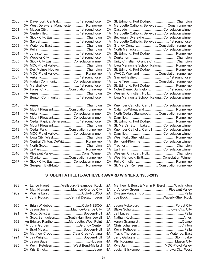| 2000 |                                            |    | 2A St. Edmond, Fort DodgeChampion                |
|------|--------------------------------------------|----|--------------------------------------------------|
|      | 3A West Delaware, Manchester  Runner-up    | 1A | Marquette Catholic, Bellevue  Cons. runner-up    |
| 2001 |                                            | 2A |                                                  |
|      |                                            | 1A | Marquette Catholic, Bellevue  Consolation winner |
| 2002 |                                            | 2A | Beckman, Dyersville Consolation winner           |
|      |                                            | 1A | Marquette Catholic, Bellevue  1st round loser    |
| 2003 |                                            | 2A | Grundy Center Consolation runner-up              |
|      |                                            | 1A | North Mahaska  Consolation winner                |
| 2004 |                                            | 2A | St. Edmond, Fort Dodge Runner-up                 |
|      |                                            | 1A |                                                  |
| 2005 | 4A Sioux City East Consolation winner      | 2A | Unity Christian, Orange CityChampion             |
|      | 3A MOC-Floyd ValleyChampion                | 1A | Iowa Mennonite School, Kalona Runner-up          |
| 2006 | 4A Des Moines Hoover Champion              | 2A | St. Edmond, Fort Dodge Runner-up                 |
|      | 3A MOC-Floyd Valley Runner-up              | 1A | WACO, Wayland  Consolation runner-up             |
| 2007 |                                            | 2A |                                                  |
|      | 3A Harlan Community Consolation winner     | 1A | Lone Tree  Consolation runner-up                 |
| 2008 |                                            | 2A | St. Edmond, Fort Dodge Runner-up                 |
|      | 3A Forest City Consolation runner-up       | 1A | Notre Dame, Burlington 1st round loser           |
| 2009 |                                            | 2A | Western Christian, Hull Consolation winner       |
|      | 3A Benton Community  1st round loser       | 1A | Iowa Mennonite School, Kalona Consolation winner |
| 2010 |                                            |    | 2A Kuemper Catholic, Carroll  Consolation winner |
|      | 3A Mount PleasantConsolation runner-up     | 1A |                                                  |
| 2011 |                                            | 2A | North Cedar, Stanwood Consolation runner-up      |
|      | 3A Mount PleasantConsolation winner        | 1A |                                                  |
| 2012 | 4A Cedar Rapids, Jefferson 1st round loser | 2A | St. Edmond, Fort Dodge Runner-up                 |
|      |                                            | 1A | St. Mary's, Storm Lake  Consolation winner       |
| 2013 | 4A Cedar Falls Consolation runner-up       | 2A | Kuemper Catholic, Carroll  Consolation winner    |
|      | 3A MOC-Floyd ValleyConsolation winner      | 1A |                                                  |
| 2014 |                                            | 2A | West Fork, Sheffield  Runner-up                  |
|      | 3A Central Clinton, DeWitt  Runner-up      | 1A | Belmond-Klemme Consolation winner                |
| 2015 |                                            | 2A |                                                  |
|      |                                            | 1A |                                                  |
| 2016 | 4A Pleasant Valley  Cons. Winner           | 2A | Western Christian, HullChampion                  |
|      | 3A Chariton Consolation runner-up          | 1A | West Hancock, BrittConsolation Winner            |
| 2017 | 4A Sioux City, East Consolation winner     |    |                                                  |
|      | 3A Sergeant Bluff-Luton Runner-up          |    | 1A St. Mary's, Remsen  Consolation runner-up     |
|      |                                            |    |                                                  |

| 4A Davenport, Central 1st round loser      |      | 2A St. Edmond, Fort DodgeChampion                   |
|--------------------------------------------|------|-----------------------------------------------------|
| 3A West Delaware, Manchester  Runner-up    | 1A   | Marquette Catholic, Bellevue  Cons. runner-up       |
|                                            | 2A   |                                                     |
|                                            | 1A   | Marquette Catholic, Bellevue  Consolation winner    |
| 4A Sioux City, East Champion               | 2A   | Beckman, Dyersville Consolation winner              |
|                                            | 1A   | Marquette Catholic, Bellevue  1st round loser       |
|                                            |      | 2A Grundy Center Consolation runner-up              |
|                                            |      | 1A North Mahaska  Consolation winner                |
|                                            |      | 2A St. Edmond, Fort Dodge Runner-up                 |
|                                            | 1A   |                                                     |
| 4A Sioux City East Consolation winner      | 2A   | Unity Christian, Orange CityChampion                |
| 3A MOC-Floyd ValleyChampion                | 1A   | Iowa Mennonite School, Kalona Runner-up             |
| 4A Des Moines Hoover Champion              |      | 2A St. Edmond, Fort Dodge Runner-up                 |
| 3A MOC-Floyd Valley Runner-up              |      | 1A WACO, Wayland  Consolation runner-up             |
|                                            |      |                                                     |
| 3A Harlan Community Consolation winner     |      |                                                     |
| 4A Marshalltown 1st round loser            | 2A   | St. Edmond, Fort Dodge Runner-up                    |
| 3A Forest City Consolation runner-up       | 1A   | Notre Dame, Burlington 1st round loser              |
|                                            |      | 2A Western Christian, Hull Consolation winner       |
| 3A Benton Community  1st round loser       |      | 1A Iowa Mennonite School, Kalona Consolation winner |
|                                            |      |                                                     |
|                                            |      | 2A Kuemper Catholic, Carroll  Consolation winner    |
| 3A Mount PleasantConsolation runner-up     |      |                                                     |
| 4A AnkenyConsolation winner                | 2A . | North Cedar, Stanwood Consolation runner-up         |
| 3A Mount PleasantConsolation winner        | 1A   |                                                     |
| 4A Cedar Rapids, Jefferson 1st round loser |      | 2A St. Edmond, Fort Dodge Runner-up                 |
|                                            | 1A   | St. Mary's, Storm Lake  Consolation winner          |
| 4A Cedar Falls Consolation runner-up       | 2A   | Kuemper Catholic, Carroll  Consolation winner       |
| 3A MOC-Floyd ValleyConsolation winner      | 1A   |                                                     |
|                                            | 2A   | West Fork, Sheffield  Runner-up                     |
| 3A Central Clinton, DeWitt  Runner-up      | 1A   | Belmond-Klemme Consolation winner                   |
|                                            | 2A   |                                                     |
|                                            |      |                                                     |
| 4A Pleasant Valley Cons. Winner            | 2A   | Western Christian, HullChampion                     |

#### **STUDENT ATHLETE-ACHIEVER AWARD WINNERS, 1988-2019**

| 1988 | A Lance Haupt  Wellsburg-Steamboat Rock  |    | 2A Matthew J. Berst & Martin R. Berst  Washington |  |
|------|------------------------------------------|----|---------------------------------------------------|--|
|      | 1A Matt Nieman  Maurice-Orange City      |    | 3A J. Andrew Green  Pleasant Valley               |  |
| 1989 |                                          | 2A |                                                   |  |
|      | 1A John RouseCentral Decatur, Leon       |    |                                                   |  |
| 1990 |                                          |    |                                                   |  |
|      | 1A Jason Smits  Maurice-Orange City      |    |                                                   |  |
| 1991 |                                          |    |                                                   |  |
|      | 1A Scott SamuelsonSouth Hamilton, Jewell |    |                                                   |  |
| 1992 | An Edward PantherMarquette, West Point   |    |                                                   |  |
|      | 1A John Gorden Grundy Center             |    |                                                   |  |
| 1993 |                                          |    |                                                   |  |
|      | 2A Matthew Croco Clear Creek-Amana       |    |                                                   |  |
| 1994 |                                          | 3A |                                                   |  |
|      |                                          |    |                                                   |  |
| 1995 | 1A Kevin KetelsenWest Bend-Mallard       |    |                                                   |  |
|      |                                          |    | 4A Josiah Bilskemper  lowa City, West             |  |

|  | A Lance Haupt  Wellsburg-Steamboat Rock  |    | 2A Matthew J. Berst & Martin R. Berst  Washington |  |
|--|------------------------------------------|----|---------------------------------------------------|--|
|  | 1A Matt Nieman  Maurice-Orange City      |    | 3A J. Andrew Green  Pleasant Valley               |  |
|  |                                          | 2A |                                                   |  |
|  | 1A John RouseCentral Decatur, Leon       |    |                                                   |  |
|  |                                          |    |                                                   |  |
|  | 1A Jason Smits Maurice-Orange City       |    |                                                   |  |
|  |                                          |    |                                                   |  |
|  | 1A Scott SamuelsonSouth Hamilton, Jewell |    |                                                   |  |
|  | An Edward PantherMarquette, West Point   |    |                                                   |  |
|  | 1A John Gorden Grundy Center             |    |                                                   |  |
|  |                                          |    |                                                   |  |
|  | 2A Matthew Croco Clear Creek-Amana       |    |                                                   |  |
|  |                                          |    |                                                   |  |
|  |                                          |    |                                                   |  |
|  | 1A Kevin KetelsenWest Bend-Mallard       |    |                                                   |  |
|  |                                          |    | 4A Josiah Bilskemper  lowa City, West             |  |
|  |                                          |    |                                                   |  |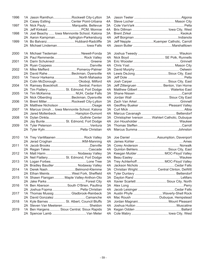| 1996 | 1A Jason RamthunRockwell City-Lytton           | 3A  |                                                |
|------|------------------------------------------------|-----|------------------------------------------------|
|      | 2A Casey Estling Center Point-Urbana           | 4A  |                                                |
| 1997 | 1A Nick Pauly Marquette, Bellevue              | 3A  |                                                |
|      |                                                | 4A  |                                                |
| 1998 | 1A Joel Beachy  Iowa Mennonite School, Kalona  | 3A  |                                                |
|      | 2A Aaron Kampman Aplington-Parkersburg         | 4A  |                                                |
| 1999 | 1A Bo Balvanz Hubbard-Radcliffe                | 3A  |                                                |
|      | 2A Michael Lindeman lowa Falls                 | 4A  |                                                |
| 2000 | 1A Michael Tiedeman  Newell-Fonda              |     |                                                |
|      | 2A Paul Remmerde Rock Valley                   | 4A  |                                                |
| 2001 |                                                | 3A  |                                                |
|      |                                                |     |                                                |
| 2002 | 1A Mike Mefferd  Pomeroy-Palmer                | 3A  |                                                |
|      | 2A David Rahe Beckman, Dyersville              | 4A  |                                                |
| 2003 | 1A Trevor HarkemaNorth Mahaska                 | 3A  |                                                |
|      | 2A Colin McDonough  Okoboji, Milford           | 4A  |                                                |
| 2004 | 1A Ramsey BoeckholtSentral, Fenton             | 3A  | Jeff Zittergruen  Benton, Van Horne            |
|      | 2A Tim Flattery St. Edmond, Fort Dodge         | 4A  |                                                |
| 2005 | 1A Tim McKenna NUH, Cedar Falls                |     |                                                |
|      | 2A Nick Olberding Beckman, Dyersville          | 4A  |                                                |
| 2006 | 1A Brent MillerRockwell City-Lytton            |     |                                                |
|      |                                                | 4A  | Geoffrey Bueker  Pleasant Valley               |
| 2007 | 1A Marcus Unruh  Iowa Mennonite School, Kalona | 3A  |                                                |
|      | 2A Jared MollenbeckHampton-Dumont              | 4A  |                                                |
| 2008 |                                                | 3A  | Christopher Iverson  Wahlert Catholic, Dubuque |
|      | 2A Jay Bunte St. Edmond, Fort Dodge            | 4A  |                                                |
| 2009 |                                                | 3A  |                                                |
|      |                                                | 4A  |                                                |
| 2010 | 1A Trey VanMaanen  Rock Valley                 |     | 3A Joe Daniel Assumption, Davenport            |
|      |                                                | 4A. |                                                |
| 2011 |                                                | 3A  |                                                |
|      |                                                | 4A  |                                                |
| 2012 | 1A Matt Harm  Nodaway Valley                   | 3A  | Keegan Mulder  MOC-Floyd Valley                |
|      | 2A Neil Flattery St. Edmond, Fort Dodge        | 4A  |                                                |
| 2013 |                                                |     | 3A Trey Achterhoff MOC-Floyd Valley            |
|      | 2A Bradley Baudler  Nodaway Valley             |     |                                                |
| 2014 | 1A Derek NashBelmond-Klemme                    | ЗΑ  | Christian Wright Central Clinton, DeWitt       |
|      | 2A Ethan MeintsWest Fork, Sheffield            | 4A  |                                                |
| 2015 | 1A Shawn Flanigan  Maple Valley-Anthon-Oto     | 3A  |                                                |
|      |                                                |     | 4A Xavier Scarlett  Sioux City, North          |
| 2016 | 1A Ben Aberson  South O'Brien, Paullina        | 3A  |                                                |
|      | 2A Joshua Fopma  Pella Christian               | 4A  |                                                |
| 2017 | 1A Thomas Mussig  Gladbrook-Reinbeck           | 3A  | Austin Phyfe Waverly-Shell Rock                |
|      | 2A David Gonzalez Camanche                     | 4A  | Mac Roush  Dubuque, Hempstead                  |
| 2018 | 1A Kyle Barnes  St. Albert, Council Bluffs     | 3A  | Jordan Magnani Mount Pleasant                  |
|      | 2A Steven Van Meeteren Sheldon                 | 4A. |                                                |
| 2019 | 1A Ben Hargens Sioux Central, Sioux Rapids     | 3A  |                                                |
|      |                                                | 4A  |                                                |

|                                                | 3A   |                                                |
|------------------------------------------------|------|------------------------------------------------|
| 1A Jason RamthunRockwell City-Lytton           |      |                                                |
| 2A Casey Estling Center Point-Urbana           | 4A   |                                                |
| 1A Nick Pauly Marquette, Bellevue              | ЗA   |                                                |
|                                                | 4A   |                                                |
| 1A Joel Beachy  Iowa Mennonite School, Kalona  | 3A   |                                                |
| 2A Aaron Kampman Aplington-Parkersburg         | 4A   |                                                |
| 1A Bo Balvanz Hubbard-Radcliffe                | 3A   |                                                |
| 2A Michael Lindeman lowa Falls                 | 4A   |                                                |
| 1A Michael Tiedeman Newell-Fonda               | 3A   |                                                |
| 2A Paul Remmerde Rock Valley                   | 4A   |                                                |
|                                                | 3A   |                                                |
|                                                | 4A   |                                                |
| 1A Mike Mefferd  Pomeroy-Palmer                | 3A   |                                                |
| 2A David Rahe Beckman, Dyersville              | 4A   |                                                |
| 1A Trevor HarkemaNorth Mahaska                 | 3A.  |                                                |
| 2A Colin McDonough  Okoboji, Milford           | 4A   |                                                |
| 1A Ramsey BoeckholtSentral, Fenton             | 3A   | Jeff Zittergruen  Benton, Van Horne            |
| 2A Tim Flattery St. Edmond, Fort Dodge         | 4A   |                                                |
| 1A Tim McKenna NUH, Cedar Falls                | 3A.  |                                                |
| 2A Nick Olberding Beckman, Dyersville          | 4A   |                                                |
| 1A Brent MillerRockwell City-Lytton            | 3A   |                                                |
|                                                | 4A   | Geoffrey Bueker  Pleasant Valley               |
| 1A Marcus Unruh  Iowa Mennonite School, Kalona | 3A   |                                                |
| 2A Jared MollenbeckHampton-Dumont              | 4A   |                                                |
| 1A Dylan DinklaGuthrie Center                  | 3A   | Christopher Iverson  Wahlert Catholic, Dubuque |
| 2A Jay Bunte St. Edmond, Fort Dodge            | 4A   |                                                |
|                                                |      |                                                |
|                                                |      |                                                |
|                                                | 3A   |                                                |
|                                                | 4A - |                                                |
| 1A Trey VanMaanen  Rock Valley                 | 3A   |                                                |
| 2A Jerad Croghan IKM-Manning                   | 4A   |                                                |
|                                                | 3A   |                                                |
|                                                | 4A   |                                                |
|                                                | 3A   | Quinton BehlersSioux City, East                |
| 1A Matt Harm  Nodaway Valley                   | 4A   | Keegan Mulder  MOC-Floyd Valley                |
| 2A Neil Flattery St. Edmond, Fort Dodge        |      |                                                |
|                                                |      | 3A Trey Achterhoff MOC-Floyd Valley            |
| 2A Bradley Baudler  Nodaway Valley             | 3A   |                                                |
| 1A Derek NashBelmond-Klemme                    | 4A   | Christian Wright Central Clinton, DeWitt       |
| 2A Ethan MeintsWest Fork, Sheffield            |      |                                                |
| 1A Shawn Flanigan  Maple Valley-Anthon-Oto     | 3A   |                                                |
|                                                | 4A - |                                                |
| 1A Ben Aberson  South O'Brien, Paullina        |      |                                                |
| 2A Joshua Fopma  Pella Christian               | 4A   |                                                |
| 1A Thomas Mussig  Gladbrook-Reinbeck           |      | 3A Austin Phyfe Waverly-Shell Rock             |
| 2A David Gonzalez Camanche                     | 4A   |                                                |
| 1A Kyle Barnes  St. Albert, Council Bluffs     | 3A   |                                                |
| 2A Steven Van Meeteren Sheldon                 | 4A   |                                                |
| 1A Ben Hargens Sioux Central, Sioux Rapids     |      |                                                |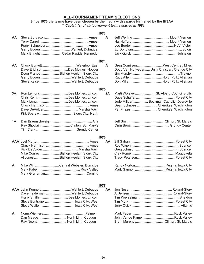### **ALL-TOURNAMENT TEAM SELECTIONS**

#### **Since 1973 the teams have been chosen by the media with awards furnished by the IHSAA** *\* Captain(s) of all-tournament teams started in 1981*

| AA | Gerry Eggers  Wahlert, Dubuque<br>Mark Enright  Cedar Rapids, Kennedy                                                                        | 1973<br>A |                                                                                                                                                                   |
|----|----------------------------------------------------------------------------------------------------------------------------------------------|-----------|-------------------------------------------------------------------------------------------------------------------------------------------------------------------|
|    |                                                                                                                                              | 1974      |                                                                                                                                                                   |
| AA | Dave Erickson Des Moines, Hoover<br>Doug FranceBishop Heelan, Sioux City<br>Gerry Eggers  Wahlert, Dubuque<br>Steve Kaiser  Wahlert, Dubuque | A         | Greg Cornilsen West Central, Miles<br>Doug Van Hofwegan Unity Christian, Orange City<br>Rudy Allen  North Polk, Alleman                                           |
|    |                                                                                                                                              | 1975      |                                                                                                                                                                   |
| 3A | Ron Lemons Des Moines, Lincoln<br>Mark Long Des Moines, Lincoln                                                                              | 2A        | Marti Wolever St. Albert, Council Bluffs<br>Jude Millbert  Beckman Catholic, Dyersville<br>Dean Schnoes  Cherokee, Washington<br>Pat Phipps  Cherokee, Washington |
| 1Α | Ray Shovlain  Clinton, St. Mary's                                                                                                            |           |                                                                                                                                                                   |
|    |                                                                                                                                              | 1976      |                                                                                                                                                                   |
|    | Mike Courey Bishop Heelan, Sioux City<br>Al Jones Bishop Heelan, Sioux City                                                                  | <b>AA</b> |                                                                                                                                                                   |
| A  | Mike Will  Central Webster, Burnside                                                                                                         |           |                                                                                                                                                                   |

| . .<br>. . | PU 1 |
|------------|------|
|            |      |

|   | <b>AAA</b> John Kunnert  Wahlert, Dubuque |  |                                  |
|---|-------------------------------------------|--|----------------------------------|
|   | Dave Felderman  Wahlert, Dubuque          |  |                                  |
|   | Frank Smith  Des Moines, Lincoln          |  |                                  |
|   |                                           |  |                                  |
|   |                                           |  |                                  |
| A |                                           |  |                                  |
|   | Dan Meade  North Linn, Coggon             |  |                                  |
|   | Ray Noonan North Linn, Coggon             |  | Brent Murphy Clinton, St. Mary's |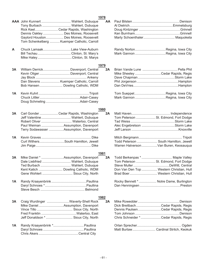|    |                                             | 1978 |                                          |
|----|---------------------------------------------|------|------------------------------------------|
|    | AAA John Kunnert  Wahlert, Dubuque          | AA   |                                          |
|    | Tony Burbach  Wahlert, Dubuque              |      |                                          |
|    | Rick Keel Cedar Rapids, Washington          |      |                                          |
|    | Dennis Oakley  Des Moines, Roosevelt        |      |                                          |
|    | Gaylord Houston Des Moines, Roosevelt       |      |                                          |
|    | Tom Schenkelberg  Kuemper Catholic, Carroll |      |                                          |
|    |                                             |      |                                          |
| A  |                                             |      |                                          |
|    |                                             |      |                                          |
|    |                                             |      |                                          |
|    |                                             | 1979 |                                          |
| 3A | William Derrick Davenport, Central          | 2A   |                                          |
|    | Kevin Oliger  Davenport, Central            |      | Mike Sheeley Cedar Rapids, Regis         |
|    |                                             |      |                                          |
|    | Dan Stevens  Kuemper Catholic, Carroll      |      |                                          |
|    | Bob Hansen Dowling Catholic, WDM            |      |                                          |
|    |                                             |      |                                          |
| 1A |                                             |      |                                          |
|    |                                             |      |                                          |
|    |                                             |      |                                          |
|    |                                             | 1980 |                                          |
| 3A | Carl Gonder  Cedar Rapids, Washington       | 2A   |                                          |
|    | Jeff Valentine  Wahlert, Dubuque            |      | Tom Peterson  St. Edmond, Fort Dodge     |
|    | Robert Oliver  Waterloo, Central            |      |                                          |
|    | Paul Weiman Assumption, Davenport           |      |                                          |
|    | Terry Sodawasser  Assumption, Davenport     |      |                                          |
| 1A |                                             |      |                                          |
|    |                                             |      |                                          |
|    | Curt WithersSouth Hamilton, Jewell          |      | Todd Peterson  South Hamilton, Jewell    |
|    |                                             |      | Warren Halverson  Van Buren, Keosauqua   |
|    |                                             | 1981 |                                          |
| 3A |                                             | 2A   | Todd Berkenpas * Maple Valley            |
|    | Dale Liebfried  Wahlert, Dubuque            |      | Tom Peterson  St. Edmond, Fort Dodge     |
|    | Ted Burbach  Wahlert, Dubuque               |      |                                          |
|    | Kent Katich  Dowling Catholic, WDM          |      | Don Van Den Top  Western Christian, Hull |
|    | Gene Wohlert  Sioux City, North             |      | Brad Boer Western Christian, Hull        |
| 1A |                                             |      |                                          |
|    |                                             |      | Rocky Bennett *  Notre Dame, Burlington  |
|    |                                             |      |                                          |
|    |                                             |      |                                          |
|    |                                             | 1982 |                                          |
| 3A | Craig Wurdinger  Waverly-Shell Rock         | 2A   |                                          |
|    | Mike DanielAssumption, Davenport            |      | Dick BreitbachCedar Rapids, Regis        |
|    |                                             |      | Dennis PaulsenCedar Rapids, Regis        |
|    |                                             |      |                                          |
|    | Jeff Donaldson *  Sioux City, North         |      | Chris Schneider *Cedar Rapids, Regis     |
| 1A |                                             |      |                                          |
|    |                                             |      | Matt Burtaw Cardinal Stritch, Keokuk     |
|    |                                             |      |                                          |

# **1978**

Chris Akers ...........................................Central City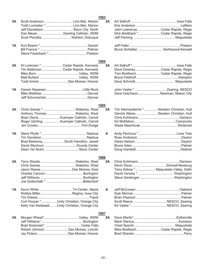|    |                                                | 1983        |    |                                               |
|----|------------------------------------------------|-------------|----|-----------------------------------------------|
| 3A | Scott Anderson  Linn-Mar, Marion               |             | 2A |                                               |
|    | Todd Lumsden *  Linn-Mar, Marion               |             |    |                                               |
|    | Jeff Donaldson Sioux City, North               |             |    | John LawrenceCedar Rapids, Regis              |
|    | Dan Meyer  Dowling Catholic, WDM               |             |    | Dick Breitbach * Cedar Rapids, Regis          |
|    | Scott Plondke  Wahlert, Dubuque                |             |    |                                               |
| 1A |                                                |             |    |                                               |
|    |                                                |             |    | Bruce Schlatter  Northwood-Kensett            |
|    |                                                |             |    |                                               |
|    |                                                | 1984        |    |                                               |
| 3A | Al Lorenzen *  Cedar Rapids, Kennedy           |             | 2A |                                               |
|    | Tim Batterson  Cedar Rapids, Kennedy           |             |    | Dave DowneyCedar Rapids, Regis                |
|    |                                                |             |    | Tom BreitbachCedar Rapids, Regis              |
|    |                                                |             |    |                                               |
|    | Todd AmickDes Moines, Hoover                   |             |    |                                               |
| 1A |                                                |             |    |                                               |
|    |                                                |             |    | Dave HutchisonNewman, Mason City              |
|    |                                                |             |    |                                               |
|    |                                                | 1985        |    |                                               |
| 3A |                                                |             | 2A | Tim Kleinwolterink *  Western Christian, Hull |
|    | Anthony Thomas Waterloo, West                  |             |    | Derrick Altena  Western Christian, Hull       |
|    | Brian David  Kuemper Catholic, Carroll         |             |    |                                               |
|    | Roger Gehling  Kuemper Catholic, Carroll       |             |    |                                               |
|    |                                                |             |    |                                               |
| 1A |                                                |             | A  |                                               |
|    |                                                |             |    |                                               |
|    | Brad BarkemaSouth Hamilton, Jewell             |             |    |                                               |
|    |                                                |             |    |                                               |
|    |                                                |             |    |                                               |
|    |                                                | 1986        |    |                                               |
| ЗΑ |                                                |             | 2A |                                               |
|    |                                                |             |    |                                               |
|    |                                                |             |    | Terry Kehoe * Maquoketa Valley, Delhi         |
|    |                                                |             |    |                                               |
|    |                                                |             |    |                                               |
|    |                                                |             |    |                                               |
| 1A |                                                |             | A  |                                               |
|    |                                                |             |    |                                               |
|    |                                                |             |    |                                               |
|    | Curt Hooyer *Unity Christian, Orange City      |             |    |                                               |
|    | Kelly Van KalsbeekUnity Christian, Orange City |             |    |                                               |
|    |                                                | <u>1987</u> |    |                                               |
| 3A |                                                |             | 2A |                                               |
|    |                                                |             |    |                                               |
|    |                                                |             |    |                                               |
|    | Robert Johnson Des Moines, Lincoln             |             |    | Mike Breitbach Cedar Rapids, Regis            |

Brad Stracke ......................................................Perry

Jay Polson .................................Des Moines, Hoover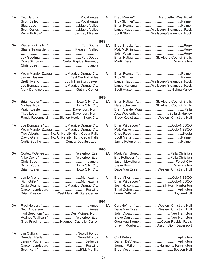| 1A        |                                                | A    | Brad Moeller*  Marquette, West Point       |
|-----------|------------------------------------------------|------|--------------------------------------------|
|           |                                                |      |                                            |
|           |                                                |      |                                            |
|           |                                                |      | Lance Haupt Wellsburg-Steamboat Rock       |
|           | Kevin Polkow* Central, Elkader                 |      | Scott Starr  Wellsburg-Steamboat Rock      |
|           |                                                | 1988 |                                            |
| 3A        |                                                | 2A   |                                            |
|           | Shane TeagardenPleasant Valley                 |      |                                            |
|           |                                                |      |                                            |
|           |                                                |      | Brian Ratigan  St. Albert, Council Bluffs  |
|           | Doug Simpson  Cedar Rapids, Kennedy            |      |                                            |
|           |                                                |      |                                            |
| <b>1A</b> | Kevin Vander Zwaag * Maurice-Orange City       | A    |                                            |
|           | James Hasken East Central, Miles               |      |                                            |
|           | Brett Hyland South Hamilton, Jewell            |      | Lance Haupt Wellsburg-Steamboat Rock       |
|           | Joe Bomgaars  Maurice-Orange City              |      | Lance Hansmann Wellsburg-Steamboat Rock    |
|           |                                                |      |                                            |
|           |                                                | 1989 |                                            |
| 3A        |                                                | 2A   | Brian Ratigan * St. Albert, Council Bluffs |
|           |                                                |      | Nate Schnitker  St. Albert, Council Bluffs |
|           | Kraig KoesterDavenport, North                  |      |                                            |
|           |                                                |      | Alex Westenfield  Ballard, Huxley          |
|           | Randy Rosenquist Bishop Heelan, Sioux City     |      | Stacy Kooistra Western Christian, Hull     |
| <b>1A</b> | Joe Bomgaars *  Maurice-Orange City            | A    |                                            |
|           | Kevin Vander Zwaag  Maurice-Orange City        |      |                                            |
|           | Trev Alberts  No. University High, Cedar Falls |      |                                            |
|           | David GlennNo. University High, Cedar Falls    |      |                                            |
|           | Curtis Boothe Central Decatur, Leon            |      |                                            |
|           |                                                | 1990 |                                            |
| 3A        |                                                | 2A   |                                            |
|           |                                                |      |                                            |
|           |                                                |      |                                            |
|           |                                                |      |                                            |
|           |                                                |      | Dave Van Essen  Western Christian, Hull    |
|           |                                                |      |                                            |
| <b>1A</b> |                                                | A    |                                            |
|           |                                                |      |                                            |
|           | Craig Douma  Maurice-Orange City               |      | Josh Nelsen  Elk Horn-Kimballton           |
|           |                                                |      |                                            |
|           | Brian Preston  West Marshall, State Center     |      |                                            |
|           |                                                | 1991 |                                            |
| 3A        |                                                | 2A   | Curt Hofman *  Western Christian, Hull     |
|           |                                                |      | Dave Van Essen  Western Christian, Hull    |
|           | Hurl Beechum *  Des Moines, North              |      |                                            |
|           | Rodney Wallican * Waterloo, East               |      |                                            |
|           | Greg Friedman  Kuemper Catholic, Carroll       |      | Greg HawthorneCedar Rapids, Regis          |
|           |                                                |      | Shawn Moeller Assumption, Davenport        |
| <b>1A</b> |                                                |      |                                            |
|           |                                                | A    |                                            |
|           |                                                |      |                                            |
|           |                                                |      | Jermain Wilform  Harmony, Farmington       |

Brad Moss.............................................. Boyden-Hull

Scott Kuhl \*.............................................IKM, Manilla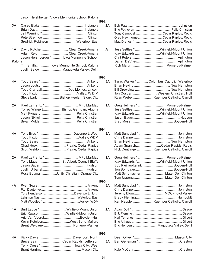Jason Hershberger \*. Iowa Mennonite School, Kalona

|        |                                                                        | <u> 1992 </u>  |
|--------|------------------------------------------------------------------------|----------------|
| 3A     |                                                                        | 2 <sub>l</sub> |
|        |                                                                        |                |
|        |                                                                        |                |
|        | Sredrick Robinson Waterloo, East                                       |                |
|        |                                                                        |                |
| 1A     | David Kutcher Clear Creek-Amana                                        | A              |
|        | Adam Reid Clear Creek-Amana                                            |                |
|        | Jason Hershberger * Iowa Mennonite School,                             |                |
| Kalona |                                                                        |                |
|        | Tim Smith Iowa Mennonite School, Kalona                                |                |
|        | Justin Salow  Maquoketa Valley, Delhi                                  |                |
|        |                                                                        | 1993           |
| 4A     |                                                                        | 3 <sub>l</sub> |
|        |                                                                        |                |
|        | Todd Crandall  Des Moines, Lincoln                                     |                |
|        |                                                                        |                |
|        | Steve LarkinBishop Heelan, Sioux City                                  |                |
|        |                                                                        |                |
| 2A     |                                                                        | $\overline{1}$ |
|        | Torrey Wingert Bishop Garrigan, Algona                                 |                |
|        |                                                                        |                |
|        |                                                                        |                |
|        |                                                                        |                |
|        |                                                                        | 1994           |
| 4A     |                                                                        | 3 <sub>l</sub> |
|        |                                                                        |                |
|        |                                                                        |                |
|        | Chad Hook Prairie, Cedar Rapids<br>Scott Weldon  Prairie, Cedar Rapids |                |
|        |                                                                        |                |
| 2A     |                                                                        | 1              |
|        | Tony Mauer  St. Albert, Council Bluffs                                 |                |
|        |                                                                        |                |
|        |                                                                        |                |
|        | Ross Bouma Unity Christian, Orange City                                |                |
|        |                                                                        | 1995           |
| 4A     |                                                                        | 3,             |
|        |                                                                        |                |
|        |                                                                        |                |
|        |                                                                        |                |
|        |                                                                        |                |
|        |                                                                        |                |
| 1A     | Burt Lappe * Winfield-Mount Union                                      | 2              |
|        | Eric Rawson Winfield-Mount-Union                                       |                |
|        | Kevin KetelsenWest Bend-Mallard                                        |                |
|        | Brent Weidauer Pomeroy-Palmer                                          |                |
|        |                                                                        |                |
|        |                                                                        | <u>1996</u>    |
| 4А     |                                                                        |                |
|        | Bruce Sain  Cedar Rapids, Jefferson                                    | 3 <sub>l</sub> |

Terry Cress \* .................................... Iowa City, West Brant Harriman ........................................ Mason City

| 2A              |                                             |
|-----------------|---------------------------------------------|
|                 |                                             |
|                 | Tony Campbell  Cedar Rapids, Regis          |
|                 | Greg Hawthorne Cedar Rapids, Regis          |
|                 | Matt Drahos * Cedar Rapids, Regis           |
| A               | Jess Settles * Winfield-Mount Union         |
|                 | Klay Edwards Winfield-Mount Union           |
|                 |                                             |
|                 |                                             |
|                 |                                             |
|                 |                                             |
| $\frac{1}{3}$ A | Taras Walker *  Columbus Catholic, Waterloo |
|                 |                                             |
|                 |                                             |
|                 |                                             |
|                 | Jon Oostra  Western Christian, Hull         |
|                 | Ryan Weber Kuemper Catholic, Carroll        |
| 1A              | Greg Helmers *  Pomeroy-Palmer              |
|                 | Jess SettlesWinfield-Mount Union            |
|                 | Klay Edwards Winfield-Mount Union           |
|                 |                                             |
|                 |                                             |
|                 |                                             |
| <u>.</u><br>ЗА  |                                             |
|                 |                                             |
|                 |                                             |
|                 |                                             |
|                 | Adam SpanichCedar Rapids, Regis             |
|                 | Nick DentlingerKuemper Catholic, Carroll    |
| 1A              | Greg Helmers *  Pomeroy-Palmer              |
|                 | Klay Edwards *Winfield-Mount Union          |
|                 | Bob Kleinwolterink  Boyden-Hull             |
|                 |                                             |
|                 |                                             |
|                 |                                             |
|                 | Tom Uppena  Mater Dei, Clinton              |
| <u>;</u><br>3А  |                                             |
|                 |                                             |
|                 | Jeremy Blom  MOC-Floyd Valley               |
|                 |                                             |
|                 | Ken Nepple Kuemper Catholic, Carroll        |
| 2A              |                                             |
|                 |                                             |
|                 |                                             |
|                 |                                             |
|                 | Eric Henderson Maquoketa Valley, Delhi      |
|                 |                                             |
|                 |                                             |
| 3A              |                                             |
|                 |                                             |

Kyle McCann..................................................Creston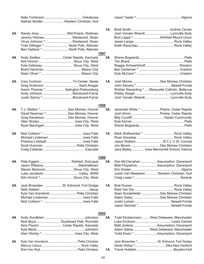|    | Nathan Mulder  Western Christian, Hull |           |                                                   |
|----|----------------------------------------|-----------|---------------------------------------------------|
|    |                                        |           |                                                   |
|    |                                        | 1A        |                                                   |
| 2A |                                        |           | Josh Vander Weerdt  Lynnville-Sully               |
|    | Jeremy Holmes Westwood, Sloan          |           | Burt Lappe *Winfield-Mount Union                  |
|    | Vince Johnson * Westwood, Sloan        |           |                                                   |
|    | Tosh Dillinger *  North Polk, Alleman  |           |                                                   |
|    | Ben Fjelland *  North Polk, Alleman    |           |                                                   |
|    |                                        | 1997      |                                                   |
| 4A | Andy Zediker Cedar Rapids, Kennedy     | 3A        |                                                   |
|    |                                        |           |                                                   |
|    | Kyle Galloway Sioux City, West         |           |                                                   |
|    |                                        |           |                                                   |
|    |                                        |           |                                                   |
|    |                                        |           |                                                   |
| 2A | Cary Cochran Tri-Center, Neola         | <b>1A</b> | Josh Moore  Des Moines Christian                  |
|    |                                        |           |                                                   |
|    | Aaron Thomas * Aplington-Parkersburg   |           | Robbie Sieverding *  Marquette Catholic, Bellevue |
|    | Andy JohnsonBondurant-Farrar           |           |                                                   |
|    | Justin Sanny *Bondurant-Farrar         |           | Josh Vander Weerdt  Lynnville-Sully               |
|    |                                        | 1998      |                                                   |
| 4A | T.J. Welton * Des Moines, Hoover       | 3A        | Jeremiah White * Prairie, Cedar Rapids            |
|    | David Newman *Des Moines, Hoover       |           |                                                   |
|    | Greg DanielsonDes Moines, Hoover       |           |                                                   |
|    |                                        |           |                                                   |
|    | Ryan Baumgart lowa City, West          |           |                                                   |
|    |                                        |           |                                                   |
| 2A |                                        | <b>1A</b> |                                                   |
|    |                                        |           |                                                   |
|    |                                        |           | Jason Walters  B C L U W, Conrad                  |
|    |                                        |           | Jon Moore Des Moines Christian                    |
|    |                                        |           | Jace Bailey Iowa Mennonite School, Kalona         |
|    |                                        |           |                                                   |
|    |                                        | 1999      |                                                   |
| 4Α |                                        | 3A        | Dan McClanahan Assumption, Davenport              |
|    |                                        |           | Matt FitzpatrickAssumption, Davenport             |
|    | Slaven Markovic  Sioux City, West      |           |                                                   |
|    |                                        |           | Justin Van Meeteren  Western Christian, Hull      |
|    |                                        |           |                                                   |
| 2A |                                        | <b>1A</b> |                                                   |
|    | Jack Brownlee  St. Edmond, Fort Dodge  |           |                                                   |
|    |                                        |           |                                                   |
|    | Kyle Van Arendonk Pella Christian      |           | Sean Sonderleiter Des Moines Christian            |
|    |                                        |           | Adam Daley Des Moines Christian                   |
|    |                                        |           |                                                   |
|    |                                        |           |                                                   |
|    |                                        | 2000      |                                                   |
| 4A |                                        | 3A        | Todd Klostermann West Delaware, Manchester        |
|    | Nick Boyd Southeast Polk, Runnells     |           |                                                   |
|    | Seni Payton Cedar Rapids, Kennedy      |           | Matt JenkinsAssumption, Davenport                 |
|    |                                        |           | Adam SalowWest Delaware, Manchester               |
|    |                                        |           | Todd Ewen * Assumption, Davenport                 |
|    |                                        |           |                                                   |
| 2A |                                        |           | Jack Brownlee * St. Edmond, Fort Dodge            |
|    |                                        |           |                                                   |
|    |                                        | 1A        |                                                   |
|    |                                        |           |                                                   |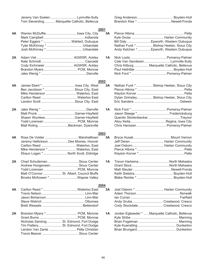Jeremy Van Soelen ............................ Lynnville-Sully Tom Sieverding ........... Marquette Catholic, Bellevue Greg Anderson....................................... Boyden-Hull Brandon Kies \*.....................................Newell-Fonda

|    |                                           | 2001      |                                                  |
|----|-------------------------------------------|-----------|--------------------------------------------------|
| 4A |                                           | 3A        |                                                  |
|    |                                           |           | Kyle Gross  Harlan Community                     |
|    | Peter Eggers *  Wahlert, Dubuque          |           | Bill Daly  Epworth, Western Dubuque              |
|    |                                           |           | Nathan Funk * Bishop Heelan, Sioux City          |
|    |                                           |           | Andy Kelchen *  Epworth, Western Dubuque         |
| 2A |                                           | 1A        |                                                  |
|    |                                           |           | Cale Van Genderen  Lynnville-Sully               |
|    | Cody Eichmeier  AGWSR, Ackley             |           | Chris Kilburg  Marquette Catholic, Bellevue      |
|    |                                           |           |                                                  |
|    |                                           |           |                                                  |
|    |                                           | 2002      |                                                  |
| 4A |                                           | 3A        | Nathan Funk * Bishop Heelan, Sioux City          |
|    | Ben Jacobson *  Sioux City, East          |           |                                                  |
|    | Mike Henderson Waterloo, East             |           |                                                  |
|    |                                           |           | Dylan Grimsley Bishop Heelan, Sioux City         |
|    |                                           |           |                                                  |
| 2A |                                           | 1A        |                                                  |
|    |                                           |           |                                                  |
|    | Shawn WumkesGarner-Hayfield               |           |                                                  |
|    |                                           |           |                                                  |
|    | Matt Roling Beckman, Dyersville           |           | Chris Hanssen  Pomeroy-Palmer                    |
|    |                                           | 2003      |                                                  |
| 4A |                                           | 3A        |                                                  |
|    | Jeremy Hellickson Des Moines, Hoover      |           |                                                  |
|    |                                           |           | Joel Osborn Harlan Community                     |
|    | Mike Henderson * Waterloo, East           |           |                                                  |
|    | Shaun Logan * North Scott, Eldridge       |           |                                                  |
| 2A |                                           | 1A        | Trevor HarkemaNorth Mahaska                      |
|    | Andrew Hoogeveen Sioux Center             |           |                                                  |
|    |                                           |           |                                                  |
|    | Matt O'Connor  St. Albert, Council Bluffs |           |                                                  |
|    | Brooks McKowen * Wapsie Valley            |           |                                                  |
|    |                                           | 2004      |                                                  |
| 4A |                                           | 3A        | Joel Osborn *  Harlan Community                  |
|    |                                           |           |                                                  |
|    |                                           |           |                                                  |
|    |                                           |           | Andy Grube Crestwood, Cresco                     |
|    |                                           |           | Cody Stockdale Crestwood, Cresco                 |
| 2A |                                           | <b>1A</b> | Jordan Egleseder *  Marquette Catholic, Bellevue |
|    |                                           |           |                                                  |
|    | Nicholas Sandvig St. Edmond, Fort Dodge   |           |                                                  |
|    | Tim Flattery St. Edmond, Fort Dodge       |           |                                                  |
|    | Landon Van Zante  Pella Christian         |           |                                                  |
|    |                                           |           |                                                  |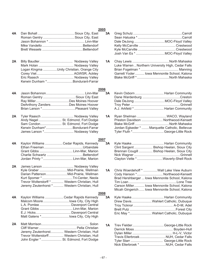## **2005**

| 4А |                                                                                   | 3A         | Dale DeJong  MOC-Floyd Valley                      |
|----|-----------------------------------------------------------------------------------|------------|----------------------------------------------------|
|    |                                                                                   |            |                                                    |
|    |                                                                                   |            |                                                    |
|    |                                                                                   |            |                                                    |
| 2A |                                                                                   | 1A         |                                                    |
|    |                                                                                   |            | Luke Warren  Northern University High, Cedar Falls |
|    | Logan Kingma Unity Christian, Orange City                                         |            |                                                    |
|    |                                                                                   |            | Garrett Yoder  Iowa Mennonite School, Kalona       |
|    | Kerwin Dunham *Bondurant-Farrar                                                   |            | Blake McGriff *North Mahaska                       |
|    |                                                                                   | 2006       |                                                    |
| 4А |                                                                                   | 3A         | Kevin Osborn  Harlan Community                     |
|    |                                                                                   |            |                                                    |
|    |                                                                                   |            | Dale DeJong  MOC-Floyd Valley                      |
|    | DeAnthony ZandersDes Moines Hoover                                                |            | A.J. Arkfeld *  Harlan Community                   |
|    |                                                                                   |            |                                                    |
| 2A | Tyler Raasch  Nodaway Valley                                                      | 1A         | Ryan Shelman  WACO, Wayland                        |
|    | Andy Nagel  St. Edmond, Fort Dodge                                                |            | Preston Davidson  Northwood-Kensett                |
|    | Sam Condon St. Edmond, Fort Dodge                                                 |            |                                                    |
|    | Kerwin Dunham*Bondurant-Farrar                                                    |            | Jordan Eglseder *  Marquette Catholic, Bellevue    |
|    | James Larson * Nodaway Valley                                                     |            | Tyler Fluth *George-Little Rock                    |
| 4А | Kaylon Williams  Cedar Rapids, Kennedy                                            | 2007<br>3A |                                                    |
|    |                                                                                   |            | Clint Sargent  Bishop Heelan, Sioux City           |
|    |                                                                                   |            | Brennan Cougill  Bishop Heelan, Sioux City         |
|    |                                                                                   |            |                                                    |
|    | Jordan Printy *  Linn-Mar, Marion                                                 |            | Clayton Vette *Waverly-Shell Rock                  |
| 2A | James Larson  Nodaway Valley                                                      |            |                                                    |
|    | Kyle Graber Mid-Prairie, Wellman                                                  | 1A         | Chris Woerdehoff * Wall Lake View Auburn           |
|    | Darian Patterson Mid-Prairie, Wellman                                             |            | Cody Hanson * Northwood-Kensett                    |
|    | Kurt Spomer * Tri-Center, Neola<br>Trevor Wolterstorff *  Western Christian, Hull |            | Brad Hershberger  Iowa Mennonite School, Kalona    |
|    |                                                                                   |            | Carson Miller Iowa Mennonite School, Kalona        |
|    | Jeremy Zeutenhorst *  Western Christian, Hull                                     |            | Micah Gingerich  Iowa Mennonite School, Kalona     |
|    |                                                                                   | 2008       |                                                    |
| 4Α | Kaylon Williams  Cedar Rapids Kennedy                                             | 3A         |                                                    |
|    | Malcom Moore  lowa City, City High                                                |            | Drew Davis Wahlert Catholic, Dubuque               |
|    |                                                                                   |            |                                                    |
|    |                                                                                   |            |                                                    |
|    | Matt Gatens * lowa City, City High                                                |            | Eric May * Wahlert Catholic, Dubuque               |
| 2A |                                                                                   | <b>1A</b>  |                                                    |
|    |                                                                                   |            |                                                    |
|    | Jeremy Zeutenhorst Western Christian, Hull                                        |            |                                                    |
|    | Trevor Wolterstorff Western Christian, Hull                                       |            | Travis Ellerbroek NUH, Cedar Falls                 |
|    | John Engler *  St. Edmond, Fort Dodge                                             |            |                                                    |
|    |                                                                                   |            |                                                    |

| 1А      | Luke Warren  Northern University High, Cedar Falls<br>Garrett Yoder  Iowa Mennonite School, Kalona<br>Blake McGriff *North Mahaska                         |  |
|---------|------------------------------------------------------------------------------------------------------------------------------------------------------------|--|
| .<br>ЗА | Kevin Osborn  Harlan Community<br>Dale DeJong MOC-Floyd Valley<br>A.J. Arkfeld *  Harlan Community                                                         |  |
| 1А      | Ryan Shelman  WACO, Wayland<br>Preston Davidson  Northwood-Kensett<br>Jordan Eglseder *  Marquette Catholic, Bellevue<br>Tyler Fluth *George-Little Rock   |  |
| .<br>ЗА | Kyle Haake Harlan Community<br>Clint Sargent  Bishop Heelan, Sioux City<br>Brennan Cougill  Bishop Heelan, Sioux City<br>Clayton Vette *Waverly-Shell Rock |  |

- Woerdehoff \* ..............Wall Lake View Auburn Hanson \*............................... Northwood-Kensett Hershberger ... Iowa Mennonite School, Kalona Tim Loan ....................................................Lone Tree n Miller........... Iowa Mennonite School, Kalona Gingerich...... Iowa Mennonite School, Kalona
- **3A** Kyle Haake................................... Harlan Community Davis......................Wahlert Catholic, Dubuque Troy Ticknor........................................... A-D-M, Adel Brett Putz ..................................................Forest City lay \*........................Wahlert Catholic, Dubuque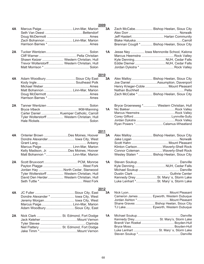|    |                                                                                      | 2009       |
|----|--------------------------------------------------------------------------------------|------------|
| 4A | Marcus Paige Linn-Mar, Marion<br>Zach Bohannon  Linn-Mar, Marion                     | 3A         |
|    |                                                                                      |            |
| 2A | Shawn Keizer  Western Christian, Hull<br>Trevor Wolterstorff Western Christian, Hull | 1Α         |
| 4A | Adam Woodbury Sioux City East                                                        | 2010<br>3A |
|    | Michael Weber<br>Ames                                                                |            |

|  | Matt Bohannon  Linn-Mar, Marion             |
|--|---------------------------------------------|
|  |                                             |
|  |                                             |
|  |                                             |
|  |                                             |
|  |                                             |
|  | Carter Daniel  Kuemper Catholic, Carroll    |
|  | Tyler Wolterstorff  Western Christian, Hull |

| Tyler Wolterstorff  Western Christian, Hull |
|---------------------------------------------|
|                                             |

|  | 4A Onterier Brown Des Moines, Hoover  |
|--|---------------------------------------|
|  | Dondre Alexander lowa City, West      |
|  |                                       |
|  |                                       |
|  | Kelly Madison, Jr. Des Moines, Hoover |
|  | Matt Bohannon * Linn-Mar, Marion      |

| 2A |                                             |
|----|---------------------------------------------|
|    |                                             |
|    | Jordan Hay North Cedar, Stanwood            |
|    | Tyler Wolterstorff  Western Christian, Hull |
|    | David Den Herder Western Christian. Hull    |
|    |                                             |

|                                     | 2012 |    |
|-------------------------------------|------|----|
|                                     |      | 3A |
| Dondre Alexander *  lowa City, West |      |    |
| Jeremy Morgan lowa City, West       |      |    |
| Marcus Paige Linn-Mar, Marion       |      |    |
| Adam Woodbury Sioux City, East      |      |    |

**2A** Nick Clark ........................... St. Edmond, Fort Dodge Jack Keleher........................................Mount Vernon Tyler Stevee .................................................Clarinda Neil Flattery ........................ St. Edmond, Fort Dodge Jake Timm \*.........................................Mount Vernon

| $-0.0$<br>3A<br>n<br>rf<br>s<br>n<br>s | Zach McCabe Bishop Heelan, Sioux City<br>Brennan Cougill * Bishop Heelan, Sioux City                                                                         |
|----------------------------------------|--------------------------------------------------------------------------------------------------------------------------------------------------------------|
| <b>1A</b><br>n<br>n<br>ıll<br>ıll<br>n | Jesse Ney  lowa Mennonite School, Kalona                                                                                                                     |
| 2010                                   |                                                                                                                                                              |
| 3A<br>st<br>k<br>S<br>n<br>s<br>s      | Alex Malloy Bishop Heelan, Sioux City<br>Joe DanielAssumption, Davenport<br>Henry Krieger-Coble  Mount Pleasant<br>Zach McCabe *  Bishop Heelan, Sioux City  |
| n<br>1A<br>g<br>Ш<br>ıll<br>n          | Bryce Groeneweg * Western Christian, Hull<br>Ryan Powers * Calamus-Wheatland                                                                                 |
| 2011                                   |                                                                                                                                                              |
| 3A<br>эr<br>st<br>у<br>n<br>эr<br>n    | Alex Malloy Bishop Heelan, Sioux City<br>Klinton CarlsonWaverly-Shell Rock<br>Connor ColemanWaverly-Shell Rock<br>Wesley Staten *  Bishop Heelan, Sioux City |
| 1Α<br>e<br>k<br>d<br>Ш<br>II<br>k      | Kennedy Drey St. Mary's, Storm Lake<br>Luke Lenhart *St. Mary's, Storm Lake                                                                                  |
| 2012                                   |                                                                                                                                                              |
| 3Α<br>st<br>st<br>st<br>n<br>st        | Cameron James  Epworth, Western Dubuque<br>Shane Graves  Bishop Heelan, Sioux City<br>TJ Lake Epworth, Western Dubuque                                       |
| 1Α<br>е<br>n<br>а<br>е<br>n            | Kennedy Drey St. Mary's, Storm Lake<br>Luke Lenhart  St. Mary's, Storm Lake                                                                                  |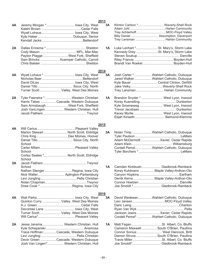- Kalehl Brown ...........................................Cedar Falls Wyatt Lohaus.................................... Iowa City, West Kyle Haber...................................... Dubuque, Senior Kendall Jacks ............................................Bettendorf **2A** Dallas Ennema \*........................................... Sheldon Cody Mason .......................................MFL, Mar-Mac Payton Plagge ...........................West Fork, Sheffield Sam Brincks .....................Kuemper Catholic, Carroll Chris Balster ................................................. Sheldon **2014 4A** Wyatt Lohaus \* ................................. Iowa City, West Nicholas Baer ............................................Bettendorf David DiLeo ...................................... Iowa City, West Daniel Tillo...................................... Sioux City, North Turner Scott....................... Valley, West Des Moines 2A Tyler Feenstra \*.............................Western Christian Harris Takes .................Cascade, Western Dubuque
- Sam Armsbaugh........................West Fork, Sheffield Josh VanLingen.................... Western Christian, Hull Jacob Flathers ...............................................Treynor
- **4A** Will Carius..........................................Pleasant Valley Marlon Stewart ......................... North Scott, Eldridge Chris King ..................................Des Moines, Hoover Daniel Tillo...................................... Sioux City, North School Carter Milam ......................................Pleasant Valley School Cortez Seales \*......................... North Scott, Eldridge **School 2A** Jacob Flathers ...............................................Treynor **School** Nathan Stenger ............................. Regina, Iowa City Nick Waller............................. Aplington-Parkersburg Levi Jungling....................................... Pella Christian Nolan Chapman.............................................Treynor Drew Cook \* .................................. Regina, Iowa City
- **4A** Wali Parks......................................... Iowa City, West Quinton Curry .................... Valley, West Des Moines A.J. Green................................................Cedar Falls Devontae Lane ................................. Iowa City, West Turner Scott....................... Valley, West Des Moines Will Carius\*........................................Pleasant Valley
- **2A** Jesse Jansma....................... Western Christian, Hull Kyle Schepanski ......................................... Anamosa Trace Hoffman..............Cascade, Western Dubuque Levi Jungling....................................... Pella Christian Devin Green .................Cascade, Western Dubuque Josh Van Lingen\* ................. Western Christian, Hull

| 3Α      | Klinton Carlson * Waverly-Shell Rock<br>Billy Daniel Assumption, Davenport<br>Trey Lansman Harlan Community                                                                                |
|---------|--------------------------------------------------------------------------------------------------------------------------------------------------------------------------------------------|
| 1А      | Luke Lenhart *St. Mary's, Storm Lake<br>Kennedy Drey St. Mary's, Storm Lake<br>Brandt Van Roekel Boyden-Hull                                                                               |
| .<br>ЗА | Josh Carter *  Wahlert Catholic, Dubuque<br>Jared Walker Wahlert Catholic, Dubuque<br>Kyle Bauer  Central Clinton, DeWitt<br>Jake VelkyWaverly-Shell Rock<br>Trey Lansman Harlan Community |
| 1Α      | Brandon Snyder *  West Lyon, Inwood<br>Kyle Groeneweg  West Lyon, Inwood<br>Kacey Myrlie  West Lyon, Inwood<br>Elijah Kinseth  Belmond-Klemme                                              |

**2015**

|  | 3A Nolan Timp Wahlert Catholic, Dubuque |
|--|-----------------------------------------|
|  |                                         |
|  |                                         |
|  |                                         |
|  | Cordell Pemsl Wahlert Catholic, Dubuque |
|  |                                         |

- **1A** Camden Kickbush..................... Gladbrook-Reinbeck Korey Kuhlmann ................Maple Valley-Anthon-Oto Canyon Hopkins............................................Earlham Derrik Kerns .......................Maple Valley-Anthon-Oto Connor Hoelzen............................................ Danville Joe Smoldt \*.............................. Gladbrook-Reinbeck
- **2016**

- 69 -

**3A** David Wedewer...............Wahlert Catholic, Dubuque Levi Jansen...................................MOC-Floyd Valley Daric Laing....................................................Chariton Ryan Van Wyk ................................................... Pella Jackson Joens .........................Xavier, Cedar Rapids Cordell Pemsl\*................Wahlert Catholic, Dubuque **1A** Matt Fagan.................................St. Albert, Co. Bluffs Cameron Maxwell .................South O'Brien, Paullina Connor Sonius ........................... West Hancock, Britt Damon Struve.......................South O'Brien, Paullina Travis Miller................................St. Albert, Co. Bluffs

Joe Smoldt\*............................... Gladbrook-Reinbeck

**2013 4A** Jeremy Morgan \* .............................. Iowa City, West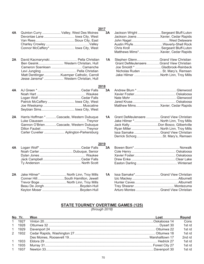| 4Α | Quinton Curry  Valley, West Des Moines<br>Devontae Lane  lowa City, West<br>Connor McCaffery*  lowa City, West                                                | 3A | Jackson Wright  Sergeant Bluff-Luton<br>Jackson Joens  Xavier, Cedar Rapids<br>Austin PhyfeWaverly-Shell Rock<br>Chris Kroll  Sergeant Bluff-Luton                                                                                     |  |
|----|---------------------------------------------------------------------------------------------------------------------------------------------------------------|----|----------------------------------------------------------------------------------------------------------------------------------------------------------------------------------------------------------------------------------------|--|
| 2A | David Kacmarynski Pella Christian<br>Ben Gesink Western Christian, Hull<br>Matt DentlingerKuemper Catholic, Carroll<br>Jesse Jansma*  Western Christian, Hull | 1А | Stephen GlennGrand View Christian<br>Grant DeMeulenaereGrand View Christian<br>Joe Smoldt * Gladbrook-Reinbeck<br>Nicholas Ruden  St. Mary's, Remsen<br>Jake Hilmer North Linn, Troy Mills                                             |  |
| 4А | 2018<br>Patrick McCaffery  lowa City, West                                                                                                                    | 3A |                                                                                                                                                                                                                                        |  |
| 2A | Harris Hoffman *  Cascade, Western Dubuque<br>Gannon O'Brien Cascade, Western Dubuque<br>Carter Cuvelier  Aplington-Parkersburg                               | 1A | Grant DeMeulenaere  Grand View Christian<br>Jake Hilmer * North Linn, Troy Mills<br>Jack KellyDon Bosco, Gilbertville<br>Ryan Miller  North Linn, Troy Mills<br>Issa Samake  Grand View Christian<br>Derrick Schorg St. Mary's, Remsen |  |
| 4Α | 2019                                                                                                                                                          | 3A |                                                                                                                                                                                                                                        |  |
| 2A | Jake Hilmer*  North Linn, Troy Mills<br>Conner HillSouth Hamilton, Jewell<br>Trevor Boge  North Linn, Troy Mills                                              | 1Α | Issa Samake*Grand View Christian<br>Arturo Montes  Grand View Christian                                                                                                                                                                |  |

#### **STATE TOURNEY OVERTIME GAMES (125)** *(through 2018)*

| No Yr. | Won<br>and the control of the control of the control of the control of the control of the control of the control of the | Lost | <b>Round</b> |
|--------|-------------------------------------------------------------------------------------------------------------------------|------|--------------|
| 1 1927 |                                                                                                                         |      | Cons         |
| 1 1928 |                                                                                                                         |      | 1st rd       |
| 1 1929 |                                                                                                                         |      | 1st rd       |
|        |                                                                                                                         |      | 1st rd       |
|        |                                                                                                                         |      | 2nd rd       |
|        |                                                                                                                         |      | 1st rd       |
|        |                                                                                                                         |      | 1st rd       |
|        |                                                                                                                         |      | 1st rd       |

### **2017**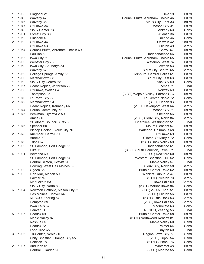|                | 1938 |  | 1st rd |
|----------------|------|--|--------|
| 1              | 1943 |  | 1st rd |
| 1              | 1946 |  | 2nd rd |
| 1              | 1947 |  | 1st rd |
| 1              | 1948 |  | Cons   |
| 1              | 1951 |  | 1st rd |
| 1              | 1952 |  | Cons   |
| 2              | 1953 |  | 2nd rd |
|                |      |  | Semis  |
| $\overline{2}$ | 1954 |  | 1st rd |
|                |      |  | 1st rd |
| 1              | 1955 |  | 1st rd |
| 1              | 1956 |  | 1st rd |
| $\overline{2}$ | 1958 |  | 1st rd |
|                |      |  |        |
|                |      |  | Semis  |
| 1              | 1959 |  | 1st rd |
| 1              | 1960 |  | 1st rd |
| 1              | 1962 |  | Cons   |
| 1              | 1967 |  | Final  |
| 2              | 1968 |  | 1st rd |
|                |      |  | 1st rd |
| 1              | 1970 |  | Cons   |
| $\overline{2}$ | 1972 |  | 1st rd |
|                |      |  | Semis  |
| 1              | 1974 |  | 1st rd |
| 3              | 1975 |  | 1st rd |
|                |      |  | Semis  |
|                |      |  | Final  |
| $\overline{2}$ | 1976 |  | 1st rd |
|                |      |  | 1st rd |
| $\overline{2}$ | 1978 |  | 1st rd |
|                |      |  | Cons   |
| 1              | 1979 |  | 1st rd |
| $\overline{2}$ | 1980 |  | Cons   |
|                |      |  | Final  |
| 4              | 1981 |  | 1st rd |
|                |      |  | Cons   |
|                |      |  | Final  |
|                |      |  |        |
|                |      |  | Semis  |
| 1              | 1982 |  | 1st rd |
| 4              | 1983 |  | 1st rd |
|                |      |  | Semis  |
|                |      |  | Semis  |
|                |      |  | Cons   |
| 6              | 1984 |  | 1st rd |
|                |      |  | 1st rd |
|                |      |  | Semis  |
|                |      |  | Semis  |
|                |      |  | Cons   |
|                |      |  | Final  |
| 5              | 1985 |  | 1st rd |
|                |      |  | 1st rd |
|                |      |  | Semi   |
|                |      |  | Cons   |
|                |      |  | Final  |
| 3              | 1986 |  | Semi   |
|                |      |  | Semi   |
|                |      |  | Cons   |
| 2              | 1987 |  | 1st rd |
|                |      |  | Semi   |
|                |      |  |        |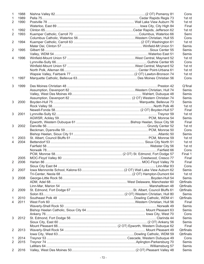| $\mathbf{1}$   | 1988 |  | Cons             |
|----------------|------|--|------------------|
| 1              | 1989 |  | 1st rd           |
| 2              | 1990 |  | 1st rd           |
|                |      |  | Final            |
| 1              | 1992 |  | 1st rd           |
| $\overline{2}$ | 1993 |  | Semi             |
|                |      |  | Cons             |
| 2              | 1994 |  | 1st rd           |
|                |      |  | Semis            |
| $\overline{2}$ | 1995 |  | Semis            |
|                |      |  | Semis            |
| $\overline{4}$ |      |  |                  |
|                | 1996 |  | 1st rd           |
|                |      |  | Cons             |
|                |      |  | 1st rd           |
|                |      |  | 1st rd           |
|                |      |  | 1st rd           |
| $\mathbf{1}$   | 1997 |  | Cons             |
| 3              | 1999 |  | Q'final          |
|                |      |  | Semis            |
|                |      |  | Semis            |
|                |      |  | <b>Semis</b>     |
| 3              | 2000 |  | Semis            |
|                |      |  | 1st rd           |
|                |      |  | Final            |
| 3              | 2001 |  | 1st rd           |
|                |      |  | Semis            |
|                |      |  | Final            |
| 3              | 2002 |  | 1st rd           |
|                |      |  |                  |
|                |      |  | Cons             |
|                |      |  | Semis            |
| 1              | 2003 |  | 1st rd           |
| 4              | 2004 |  | 1st rd           |
|                |      |  | 1st rd           |
|                |      |  | Cons             |
|                |      |  | Final 1          |
|                | 2005 |  | Final            |
|                | 2006 |  | Final            |
|                |      |  | Cons             |
| 2              | 2007 |  | Semis            |
|                |      |  | 1st rd           |
| 3              | 2008 |  | Semis            |
|                |      |  | Qtrfinals        |
|                |      |  | Qtrfinals        |
| 2              | 2009 |  | Qtrfinals        |
|                |      |  |                  |
|                |      |  | Semis            |
| 1              | 2010 |  | <b>Qtrfinals</b> |
| 4              | 2011 |  | Final            |
|                |      |  | Semis            |
|                |      |  | Semis            |
|                |      |  | Cons             |
| 3              | 2012 |  | Semis            |
|                |      |  | Semis            |
|                |      |  | Final            |
| 2              | 2013 |  | Qtrfinals        |
|                |      |  | Qtrfinals        |
| 1              | 2014 |  | Cons             |
| 2              | 2015 |  | Semis            |
|                |      |  | Semis            |
| 2              | 2016 |  | Semis            |
|                |      |  |                  |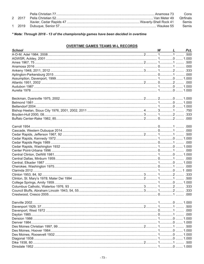|        | Cons         |
|--------|--------------|
| 2 2017 | Otrfinals    |
|        | <b>Semis</b> |
| 2019   | <b>Semis</b> |

\* Note: Through 2018 - 13 of the championship games have been decided in overtime

## **OVERTIME GAMES TEAMS W-L RECORDS**

| School |  | W L | Pct. |
|--------|--|-----|------|
|        |  |     |      |
|        |  |     |      |
|        |  |     |      |
|        |  |     |      |
|        |  |     |      |
|        |  |     |      |
|        |  |     |      |
|        |  |     |      |
|        |  |     |      |
|        |  |     |      |
|        |  |     |      |
|        |  |     |      |
|        |  |     |      |
|        |  |     |      |
|        |  |     |      |
|        |  |     |      |
|        |  |     |      |
|        |  |     |      |
|        |  |     |      |
|        |  |     |      |
|        |  |     |      |
|        |  |     |      |
|        |  |     |      |
|        |  |     |      |
|        |  |     |      |
|        |  |     |      |
|        |  |     |      |
|        |  |     |      |
|        |  |     |      |
|        |  |     |      |
|        |  |     |      |
|        |  |     |      |
|        |  |     |      |
|        |  |     |      |
|        |  |     |      |
|        |  |     |      |
|        |  |     |      |
|        |  |     |      |
|        |  |     |      |
|        |  |     |      |
|        |  |     |      |
|        |  |     | .000 |
|        |  |     |      |
|        |  |     |      |
|        |  |     |      |
|        |  |     |      |
|        |  |     |      |
|        |  |     |      |
|        |  |     |      |
|        |  |     |      |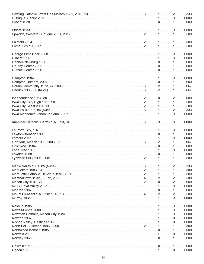|  | .500 |
|--|------|
|  |      |
|  | .500 |
|  | .000 |
|  |      |
|  |      |
|  |      |
|  |      |
|  |      |
|  |      |
|  |      |
|  |      |
|  |      |
|  |      |
|  |      |
|  |      |
|  |      |
|  |      |
|  |      |
|  |      |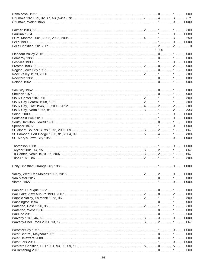|  | .000 |
|--|------|
|  | .000 |
|  |      |
|  |      |
|  |      |
|  |      |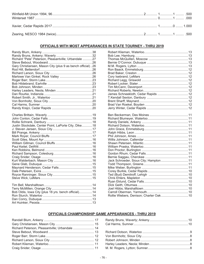#### **OFFICIALS WITH MOST APPEARANCES IN STATE TOURNEY - THRU 2019**

| Richard "Pete" Peterson, Pleasantville; Urbandale 27        |  |
|-------------------------------------------------------------|--|
| Gary Christiansen, Mason City (plus 9 as bench official) 26 |  |
|                                                             |  |
|                                                             |  |
|                                                             |  |
|                                                             |  |
|                                                             |  |
| Justin Stockdale, Center Point, LaPorte City, Dike18        |  |
|                                                             |  |
|                                                             |  |
|                                                             |  |
|                                                             |  |
|                                                             |  |
|                                                             |  |
|                                                             |  |
| Bob Oldis, Iowa City (plus 18 yrs. bench official)14        |  |
|                                                             |  |

| Jack Schroeder, Sioux City; Hampton  11 |  |
|-----------------------------------------|--|
|                                         |  |
|                                         |  |
|                                         |  |
|                                         |  |
|                                         |  |
|                                         |  |
|                                         |  |
|                                         |  |
|                                         |  |
|                                         |  |

## **OFFICIALS CHAMPIONSHIP GAME APPEARANCES - THRU 2019**

| Richard Peterson, Pleasantville; Urbandale  14 |  |
|------------------------------------------------|--|
|                                                |  |
|                                                |  |
|                                                |  |
|                                                |  |
|                                                |  |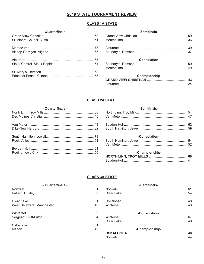## **2019 STATE TOURNAMENT REVIEW**

## **CLASS 1A STATE**

### - Quarterfinals -

| -Semifinals-  |  |  |
|---------------|--|--|
|               |  |  |
|               |  |  |
| -Consolation- |  |  |
|               |  |  |
|               |  |  |

## -Championship-

## **CLASS 2A STATE**

| - Quarterfinals - |  |
|-------------------|--|
|                   |  |
|                   |  |
|                   |  |
|                   |  |
|                   |  |
|                   |  |
|                   |  |
|                   |  |

| -Semifinals- |  |
|--------------|--|
|              |  |
|              |  |
|              |  |
|              |  |

#### -Consolation-

### -Championship-

# **CLASS 3A STATE**

| - Quarterfinals - |  |
|-------------------|--|
|                   |  |
|                   |  |
|                   |  |
|                   |  |
|                   |  |
|                   |  |
|                   |  |
|                   |  |

#### -Semifinals-

#### -Consolation-

#### -Championship-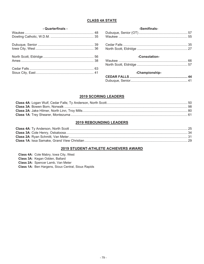#### **CLASS 4A STATE**

#### - Quarterfinals -

| -Semifinals- |  |  |
|--------------|--|--|
|              |  |  |
|              |  |  |
|              |  |  |

# -Consolation-

#### -Championship-

## 2019 SCORING LEADERS

#### **2019 REBOUNDING LEADERS**

### 2019 STUDENT-ATHLETE ACHIEVERS AWARD

| <b>Class 4A: Cole Mabry, Iowa City, West</b>              |
|-----------------------------------------------------------|
| <b>Class 3A: Kegan Odden, Ballard</b>                     |
| <b>Class 2A: Spencer Lamb, Van Meter</b>                  |
| <b>Class 1A: Ben Hargens, Sioux Central, Sioux Rapids</b> |